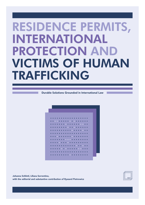# **RESIDENCE PERMITS,** INTERNATIONAL **PROTECTION AN VICTIMS OF HUMAN TRAFFICKING**

**Durable Solutions Grounded in International Law** 



Johanna Schlintl, Liliana Sorrentino, with the editorial and substantive contribution of Ryszard Piotrowicz

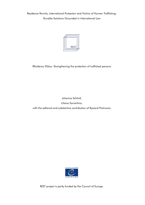Residence Permits, International Protection and Victims of Human Trafficking: Durable Solutions Grounded in International Law



REsidency STatus: Strengthening the protection of trafficked persons

Johanna Schlintl,

Liliana Sorrentino,

with the editorial and substantive contribution of Ryszard Piotrowicz



REST project is partly funded by the Council of Europe.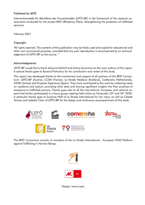#### Published by LEFÖ

Interventionsstelle für Betroffene des Frauenhandels (LEFÖ-IBF) in the framework of the research assessments conducted for the project REST (REsidency STatus: Strengthening the protection of trafficked persons).

February 2021

#### Copyright:

"All rights reserved. The contents of this publication may be freely used and copied for educational and other non-commercial purposes, provided that any such reproduction is accompanied by an acknowledgement of LEFÖ-IBF as the source. "

#### Acknowledaments:

LEFÖ-IBF would like to thank Johanna Schlintl and Liliana Sorrentino as the main authors of this report. A special thanks goes to Ryszard Piotrowicz for his contribution and review of this study.

This report was developed thanks to the involvement and support of all partners of the REST Consortium: LEFÖ-IBF (Austria), CCEM (France), La Strada Moldova (Moldova), CoMensha (Netherlands), ASTRA (Serbia) and Proyecto Esperanza (Spain). They have contributed to this work by collecting cases on residence and asylum, providing other data and sharing significant insights into their practices of assistance to trafficked persons. Thanks goes also to all the international, European and national experts that further participated in a focus group meeting held online on November 23<sup>rd</sup> and 24<sup>th</sup> 2020. A particular thanks goes to Suzanne Hoff of La Strada International for her input, as well as Celeste Tortosa and Isabella Chen of LEFÖ-IBF for the design and continuous accompaniment of this study.



The REST Consortium consists of members of the La Strada International - European NGO Platform against Trafficking in Human Beings.



Design: Ivana Lazic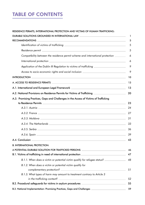# **TABLE OF CONTENTS**

#### RESIDENCE PERMITS, INTERNATIONAL PROTECTION AND VICTIMS OF HUMAN TRAFFICKING:

| DURABLE SOLUTIONS GROUNDED IN INTERNATIONAL LAW ________________________________                                                    |    |
|-------------------------------------------------------------------------------------------------------------------------------------|----|
| <b>RECOMMENDATIONS</b><br><u> 1999 - Johann John Stone, markin sanat masjid asl nashrida asl nashrida asl nashrida asl nashrida</u> | 5  |
|                                                                                                                                     | 5  |
|                                                                                                                                     | 5  |
| Compatibility between the residence permit scheme and international protection ________                                             | 6  |
|                                                                                                                                     | 6  |
| Application of the Dublin III Regulation to victims of trafficking ____________________                                             | 9  |
| Access to socio-economic rights and social inclusion ___________________________                                                    | 9  |
| INTRODUCTION                                                                                                                        | 10 |
|                                                                                                                                     | 13 |
| A.1. International and European Legal Framework ________________________________                                                    | 13 |
| A.2. National Provisions on Residence Permits for Victims of Trafficking <b>A.2. National Provisions on Residence</b>               | 20 |
| A.3. Promising Practices, Gaps and Challenges in the Access of Victims of Trafficking                                               |    |
|                                                                                                                                     | 23 |
|                                                                                                                                     | 24 |
|                                                                                                                                     | 27 |
|                                                                                                                                     | 31 |
|                                                                                                                                     | 33 |
|                                                                                                                                     | 36 |
|                                                                                                                                     | 39 |
|                                                                                                                                     | 43 |
| <b>B. INTERNATIONAL PROTECTION:</b>                                                                                                 |    |
| A POTENTIAL DURABLE SOLUTION FOR TRAFFICKED PERSONS ____________________________                                                    | 46 |
|                                                                                                                                     | 47 |
| B.1.1. When does a victim or potential victim qualify for refugee status? _____________                                             | 48 |
| B.1.2. When does a victim or potential victim qualify for                                                                           | 51 |
| B.1.3. What types of harm may amount to treatment contrary to Article 3                                                             |    |
|                                                                                                                                     | 52 |
| B.2. Procedural safeguards for victims in asylum procedures _____________________                                                   | 55 |
| B.3. National Implementation: Promising Practices, Gaps and Challenges ____________________________                                 | 59 |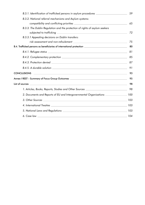| B.3.1. Identification of trafficked persons in asylum procedures _______________                    |    |  |  |  |
|-----------------------------------------------------------------------------------------------------|----|--|--|--|
| B.3.2. National referral mechanisms and Asylum systems:                                             |    |  |  |  |
|                                                                                                     | 65 |  |  |  |
| B.3.3. The Dublin Regulation and the protection of rights of asylum seekers                         |    |  |  |  |
|                                                                                                     | 72 |  |  |  |
| B.3.3.1 Appealing decisions on Dublin transfers:                                                    |    |  |  |  |
|                                                                                                     | 75 |  |  |  |
| B.4. Trafficked persons as beneficiaries of international protection ______________________________ | 80 |  |  |  |
|                                                                                                     | 81 |  |  |  |
|                                                                                                     | 85 |  |  |  |
|                                                                                                     | 87 |  |  |  |
|                                                                                                     | 91 |  |  |  |
| <b>CONCLUSIONS</b><br><u> 1999 - Johann Stoff, amerikansk politiker (d. 1989)</u>                   | 93 |  |  |  |
| Annex I REST - Summary of Focus Group Outcomes __________________________________                   | 95 |  |  |  |
|                                                                                                     | 98 |  |  |  |
| 1. Articles, Books, Reports, Studies and Other Sources _________________________                    | 98 |  |  |  |
| 2. Documents and Reports of EU and Intergovernmental Organisations _______________ 100              |    |  |  |  |
|                                                                                                     |    |  |  |  |
|                                                                                                     |    |  |  |  |
|                                                                                                     |    |  |  |  |
| ,我们也不会有什么?""我们的人,我们也不会有什么?""我们的人,我们也不会有什么?""我们的人,我们也不会有什么?""我们的人,我们也不会有什么?""我们的人                    |    |  |  |  |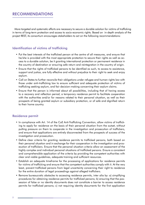More targeted and systematic efforts are necessary to secure a durable solution for victims of trafficking in terms of long-term protection and access to socio-economic rights. Based on in-depth analysis of the project REST, its consortium encourages stakeholders to act on the following recommendations:

## **Identification of victims of trafficking**

- Put the best interests of the trafficked person at the centre of all measures, and ensure that he/she is provided with the most appropriate protection to secure their rights as well as access to a durable solution, be it granting international protection or permanent residence in the country of destination or ensuring safe return and reintegration in the country of origin.
- Ensure that the rights of trafficked persons to be identified as such, to access to assistance, support and justice, are fully effective and without prejudice to their right to seek and enjoy asylum.
- Call on States to further reconcile their obligations under refugee and human rights law with those under anti-trafficking law to ensure sufficient and adequate protection of victims of trafficking seeking asylum, and fair decision-making concerning their asylum claims.
- Ensure that the person is informed about all possibilities, including that of having access to a recovery and reflection period, a temporary residence permit to facilitate cooperation with the authorities and/or for reasons related to their personal situation, as well as their prospects of being granted asylum or subsidiary protection, or of safe and dignified return to their home country.

#### **Residence permit**

- In compliance with Art, 14 of the CoE Anti-Trafficking Convention, allow victims of trafficking to apply for residence on the basis of their personal situation from the outset, without putting pressure on them to cooperate in the investigation and prosecution of traffickers, and ensure that applications are entirely disconnected from the prospects of success of the investigation and prosecution.
- Define clear criteria for granting residence permits to trafficked persons, both based on their personal situation and in exchange for their cooperation in the investigation and prosecution of traffickers. Ensure that the personal situation criteria allow an assessment of the highly complex and individual personal situations of trafficked persons. Ensure a consistent and comprehensible application of the criteria by providing the competent authorities with clear and viable guidelines, adequate training and sufficient resources.
- Establish an adequate timeframe for the processing of applications for residence permits for victims of trafficking and ensure that the competent authorities comply with it. At the very least, prevent trafficked persons from legal uncertainty concerning their right to residence for the entire duration of legal proceedings against alleged traffickers.
- Remove bureaucratic obstacles to accessing residence permits, inter alia by: a) simplifying procedures for obtaining residence permits for trafficked persons; b) ensuring that the possession of false or no identity documents does not constitute a barrier to access residence permits for trafficked persons; c) not requiring identity documents for the first application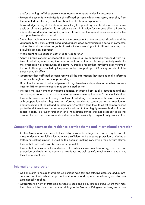and/or granting trafficked persons easy access to temporary identity documents.

- Prevent the secondary victimisation of trafficked persons, which may result, inter alia, from the repeated avestioning of victims about their trafficking experiences.
- Acknowledge the right of victims of trafficking to appeal against the denial/non-renewal decision of their application for a residence permit. Provide for the possibility to have the administrative decision reviewed by a court. Ensure that the appeal has a suspensive effect on a possible decision to expel.
- Strenathen multi-agency involvement in the assessment of the personal situation and the vulnerability of victims of trafficking, and establish good communication between competent authorities and specialised organisations/institutions working with trafficked persons, from a multidisciplinary approach.
- When granting residence in exchange for cooperation:
- Apply a broad concept of cooperation and require a low cooperation threshold from victims of trafficking – including the provision of information that is only potentially useful for the investigation or prosecution of a crime. A credible report that they have been victims of human trafficking submitted by the person or by a supporting NGO acting on behalf of the person should suffice.
- Guarantee that trafficked persons receive all the information they need to make informed decisions throughout criminal proceedings.
- Do not make access of trafficked persons to legal residence dependent on whether proceedings for THB or other related crimes are initiated or not.
- Increase the involvement of various agencies, including both public institutions and civil society organisations, in the determination process assessing the victim's personal situation.
- Ensure the safety and well-being of victims of trafficking, and minimise the risks associated with cooperation when they take an informed decision to cooperate in the investigation and prosecution of the alleged perpetrators. Offer them (and their families) comprehensive protective victim-witness measures explicitly tailored to their highly vulnerable situation and special needs, to prevent retaliation and intimidation during criminal proceedings as well as after the trial. Such measures should include the possibility of urgent family reunification.

# Compatibility between the residence permit scheme and international protection

- Call on States to further reconcile their obligations under refugee and human rights law with those under anti-trafficking law to ensure sufficient and adequate protection of victims of trafficking seeking asylum, as well as fair decision-making concerning their asylum claims.
- Ensure that both paths can be pursued in parallel.
- Ensure that persons are informed about all possibilities to obtain (temporary) residence and protection available in the country of residence, as well as safe mechanisms to return to their home countries.

## **International protection**

- Call on States to ensure that trafficked persons have fair and effective access to asylum procedures, and that both victim protection standards and asylum procedural guarantees are systematically applied.
- Guarantee the right of trafficked persons to seek and enjoy refugee status where they meet the criteria of the 1951 Convention relating to the Status of Refugees. In doing so, ensure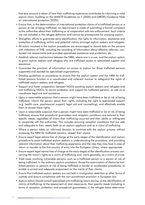that due account is taken of how their trafficking experience contributes to informing a valid asylum claim, building on the UNHCR Guidelines no. 7 (2006) and GRETA's Guidance Note on international protection (2020).

- Ensure that, in the determination of international protection claims of a trafficked person or a person at risk of being trafficked, no requirement is made of submitting a formal complaint to the authorities about their trafficking or of cooperation with law enforcement. Such criteria are not included in the refugee definition and cannot be prerequisites for enjoying asylum.
- Strengthen efforts to guarantee early identification, the rights to information, assistance and protection of trafficking victims and potential victims amongst asylum seekers and refugees.
- All actors involved in the asylum procedures are encouraged to record data on the persons with indicators of THB, including the recording of information about effective referrals, conducted risk assessments and provided specialised assistance and protection, etc.
- Establish referral mechanisms between the NRM, where one is in use, and the asylum system to grant asylum seekers and refugees who are trafficked access to specialised support and assistance.
- Guarantee the provision of information on access to asylum for those trafficked persons supported and assisted by specialised organisations.
- Develop guidelines or procedures to ensure that the asylum system and the NRM for trafficked persons function in a coordinated and coherent manner to safeguard the rights of trafficked asylum seekers and refugees.
- Support and foster cooperation between NGOs assisting asylum seekers and refugees and anti-trafficking NGOs, to secure protection and support for trafficked persons, as well as to coordinate legal aid and assistance.
- Upon a reasonable suspicion that a person might have been trafficked or be at risk of being trafficked, inform the person about their rights, including the right to specialised support (e.g. health care, psychosocial support, legal aid and counselling), and effectively enable them to access these rights.
- Upon a reasonable suspicion that a person might have been trafficked or be at risk of being trafficked, ensure that procedural guarantees and reception conditions are tailored to their specific needs, regardless of where their trafficking occurred and their ability or willingness to cooperate with the authorities. This includes ensuring reception conditions that are safe and adequate to their needs, both as an asylum applicant and as a victim of trafficking.
- Where a person takes an informed decision to continue with the asylum process without accessing the NRM for trafficked persons, respect their choice.
- Ensure expert legal advice free of charge at the early stages of the identification and asylum procedure to assist trafficked asylum seekers in understanding the procedure, and providing relevant information about their trafficking experience and the risks they may face in case of return or transfer to the first country of entry into the European Union, where appropriate.
- Ensure expert legal advice free of charge at the early stages of the identification process concerning the victim's rights as a victim of trafficking and, more generally, as a victim of crime.
- Treat cases involving vulnerable persons, such as a trafficked person or a person at risk of being trafficked, in the ordinary asylum procedure. Avoid the examination of claims by trafficked persons or persons at risk of being trafficked in border or accelerated procedures, to enable a correct and adequate assessment on the merits of their claims.
- Ensure that trafficked asylum seekers are not held in immigration detention or other forms of custody and ensure compliance with the non-punishment provision in European law.
- Asylum actors should consult specialised anti-trafficking actors during: a) the identification of victims of trafficking; b) the assessment of, and response to, their specific needs (including in terms of reception, protection and procedural guarantees); c) the refugee status determina-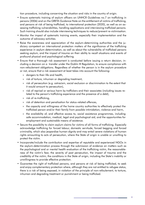tion procedure, including concerning the situation and risks in the country of origin.

- Ensure systematic training of asylum officers on UNHCR Guidelines no.7 on trafficking in persons (2006) and on the GRETA Guidance Note on the entitlement of victims of trafficking, and persons at risk of being trafficked, to international protection (2020), as well as on assessing trafficking vulnerabilities, handling applications and interviewing trafficked persons. Such training should also include interviewing techniques to reduce/prevent re-victimisation.
- Monitor the impact of systematic training events, especially their implementation and the outcome of advocacy activities.
- Raise the awareness and appreciation of the asylum-determining authorities and the judiciary competent on international protection matters of the significance of the trafficking experience in asylum determination, as well as about the vulnerability of trafficked persons seeking asylum, and the impact of trauma on their ability to recall situations and events of profound physical and psychological suffering.
- Ensure that a thorough risk assessment is conducted before issuing a return decision, including a decision on a transfer under the Dublin III Regulation, to ensure compliance with non-refoulement obligations. Regardless of whether the person is in the asylum procedure or not, ensure that a risk assessment at least takes into account the following:
	- » dangers to their life and health,
	- » risk of torture, inhuman or degrading treatment,
	- » risk of persecution (e.g. ostracism, social exclusion or discrimination to the extent that it would amount to persecution),
	- » risk of reprisal or serious harm by traffickers and their associates (including issues related to the person's trafficking experience and the presence of a debt),
	- » risk of re-trafficking,
	- » risk of detention and penalisation for status-related offences,
	- » the capacity and willingness of the home country authorities to effectively protect the trafficked person and/or their family from possible intimidation, violence and harm,
	- » the availability of, and effective access to, social assistance programmes, including safe accommodation, medical, legal and psychological aid, and the opportunities for employment and sustainable means of existence.
- Secure the possibility to claim asylum claims for victims of all forms of trafficking. Especially acknowledge trafficking for forced labour, domestic servitude, forced begging and forced criminality, which also jeopardise human dignity and may entail severe violations of human rights amounting to acts of persecution, where the State of origin is unable or unwilling to protect the victim.
- Incorporate/include the contribution and expertise of reputable and experienced NGOs in the asylum-determination process through the submission of evidence on matters such as the psychological and or mental health evaluation of the trafficking victim, the reasonableness of the victim's fear, the severity of past persecution, the impact of trauma and the credibility of the victim, the conditions in the State of origin, including the State's inability or unwillingness to provide effective protection.
- Guarantee the right of trafficked persons, and persons at risk of being trafficked, to seek and enjoy complementary protection where, although they are not entitled to refugee status, there is a risk of being exposed, in violation of the principle of non-refoulement, to torture, inhuman and degrading treatment or punishment or being trafficked.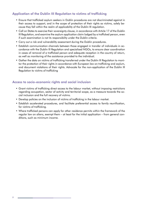# Application of the Dublin III Regulation to victims of trafficking

- Ensure that trafficked asylum seekers in Dublin procedures are not discriminated against in their access to support, and in the scope of protection of their rights as victims, solely because they fall within the realm of applicability of the Dublin III regulation.
- Call on States to exercise their sovereignty clause, in accordance with Article 17 of the Dublin III Regulation, and examine the asylum application claim lodged by a trafficked person, even if such examination is not its responsibility under the Dublin criteria.
- Carry out a risk and vulnerability assessment during the Dublin procedures.
- Establish communication channels between those engaged in transfer of individuals in accordance with the Dublin III Regulation and specialised NGOs, to ensure clear coordination in cases of removal of a trafficked person and adequate reception in the country of return, as well as monitoring of the assistance provided to the individual.
- Gather the data on victims of trafficking transferred under the Dublin III Regulation to monitor the protection of their rights in accordance with European law on trafficking and asylum, and document violations of their rights. Advocate for the non-application of the Dublin III Regulation to victims of trafficking

#### Access to socio-economic rights and social inclusion

- Grant victims of trafficking direct access to the labour market, without imposing restrictions regarding occupation, sector of activity and territorial scope, as a measure towards the social inclusion and the full recovery of victims.
- Develop policies on the inclusion of victims of trafficking in the labour market.
- Establish accelerated procedures, and facilitate preferential access to family reunification, for victims of trafficking.
- Where trafficked persons can apply for other residence permits within the framework of the regular law on aliens, exempt them – at least for the initial application – from general conditions, such as minimum income.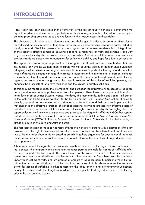# **INTRODUCTION**

This report has been developed in the framework of the Project REST, which aims to strengthen the rights to residence and international protection for third-country nationals trafficked in Europe, by examining promising practices, gaps and challenges in their actual access to these rights.

The objective of this report is to explore avenues and challenges, in order to secure a durable solution for trafficked persons in terms of long-term residence and access to socio-economic rights, including the right to work. Trafficked persons' access to long-term or permanent residence is an integral part of their right to effective remedies. Securing a long-term residence for trafficked persons is one way to guarantee their dignity and foster their access to justice. A durable solution in terms of residence provides trafficked person with a foundation for safety and stability, and hope for a future perspective.

The report puts centre stage the protection of the rights of trafficked persons. It emphasises that they are bearers of rights as women, men, children, victims of crime, victims of gender-based violence, refugees, asylum seekers and migrant workers. It underlines in particular the rights and protection needs of trafficked persons with regard to access to residence and to international protection. It intends to show how integrating and combining protection under the human rights, asylum and anti-trafficking regimes can contribute to strengthening the overall protection of the rights of trafficked persons, and enhance the prospects of long-term residence and the access to durable solutions.

To this end, the report analyses the international and European legal framework on access to residence permits and to international protection for trafficked persons. Then it examines implementation at national level in six countries (Austria, France, Moldova, The Netherlands, Serbia and Spain) - all parties to the CoE Anti-Trafficking Convention, to the ECHR and the 1951 Refugee Convention. It seeks to identify gaps and barriers in international standards, national laws and their practical implementation that challenge the effective protection of trafficked persons. Promising practices for effective access of trafficked persons to durable solutions in terms of their rights, safety and dignity are highlighted. The report builds on the knowledge, experience and practice of leading anti-trafficking NGOs that support trafficked persons in the process of social inclusion, namely LEFO-IBF in Austria, Comité Contre l'Esclavage Moderne (CCEM) in France, Proyecto Esperanza in Spain, CoMensha in the Netherlands, La Strada Moldova in Moldova and Astra in Serbia.

The first thematic part of the report consists of three main chapters. It starts with a discussion of the key provisions on the right to residence of trafficked persons foreseen at the international and European levels. From a holistic human rights-based approach, it gathers arguments for unconditional residence for victims of trafficking who want to remain or cannot return to their countries of origin due to serious risks upon return.<sup>1</sup>

A brief summary of the legislation on residence permits for victims of trafficking in the six countries studied, discusses the temporary and permanent residence permits available for victims of trafficking after the recovery and reflection period. The main features of the various national THB-specific residence systems are then summarised in an overview table to allow comparison. The table covers the conditions under which victims of trafficking are granted a temporary residence permit, indicating the initial duration, the reasons for withdrawal and the conditions for renewal. It also shows whether the residence permit for victims of trafficking is linked to access to the labour market and allows family reunification. Finally, it is indicated whether long-term residence permits specifically designed for victims of trafficking exist in the six countries studied.

UNGA (2019), HRC, Report of the Special Rapporteur on trafficking in persons, especially women and children, Maria Grazia Giammarin- $\mathbf{1}$ aro, A/HRC/41/46, para 61, urging better social inclusion of victims and survivors of trafficking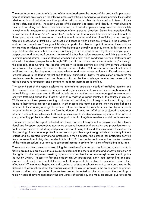The most important chapter of this part of the report addresses the impact of the practical implementation of national provisions on the effective access of trafficked persons to residence permits. It considers whether victims of trafficking are thus provided with an accessible durable solution in terms of their rights, safety and dignity. The main purpose of this chapter is to assess and identify in which situations victims of trafficking can obtain a residence permit, i.e. if trafficked persons are granted residence solely in exchange for cooperation or also on account of their personal situation. States' interpretation of the terms "personal situation "and "cooperation", i.e. how and to what extent the personal situation of trafficked persons is taken into account, as well as what is required of victims of trafficking in the investigation and prosecution of traffickers. Of great significance is which actors are involved in the assessment and decision procedures. Throughout this chapter, particular attention is paid to whether the conditions for granting residence permits to victims of trafficking can actually be met by them. In this context, an important question is whether residence is actually granted separately from legal proceedings against perpetrators and detached from them. In view of the fact that residence permits are initially granted for a limited period of time, it is also clarified whether and under which conditions victims of trafficking are offered a long-term perspective – through THB-specific permanent residence permits and/or through the possibility of converting THB-specific temporary residence permits into long-term permits within the framework of the regular aliens law in the six countries studied. With a view to the social inclusion of trafficked persons, the chapter also assesses whether and under what conditions trafficked persons are granted access to the labour market and to family reunification. Lastly, the application procedures for residence permits are examined, and bureaucratic hurdles that challenge the effective access of trafficked persons to temporary and permanent residence permits are identified.

The second part of the report explores the international protection needs of trafficked persons and their access to durable solutions. Refugees and asylum seekers in Europe are increasingly vulnerable to trafficking; some have been trafficked in their home countries, and have managed to escape, others were trafficked during their flight or when they reached a transit country or the country of asylum. While some trafficked persons exiting a situation of trafficking in a foreign country wish to go back home to their families as soon as possible, in other cases, it is just the opposite; they are afraid of being returned to their country of origin because of risks of retaliation by traffickers, rejection by family and/ or community, or because they may face the danger of being re-trafficked or subjected to torture or other ill treatment. In such cases, trafficked persons need to be able to access asylum or other forms of complementary protection, which provide opportunities for long-term residence and durable solutions.

This second part of the report is divided into three chapters. It begins with a discussion of the international and European standards to guarantee access to international protection and protection from refoulment for victims of trafficking and persons at risk of being trafficked. It first examines the criteria for the granting of international protection and various possible ways through which victims may fit these criteria and be granted international protection. It then discusses the potential for protection deriving from non-refoulment obligations under Article 3 ECHR. The chapter continues with a concise overview of the main procedural guarantees to safeguard access to asylum for victims of trafficking in Europe.

The second chapter moves on to examining the question of how current provisions on asylum and trafficking are put into practice in the six countries examined to ensure adequate and effective protection of the rights of trafficked persons seeking asylum, and to enable their access to asylum. As recently pointed out by GRETA, "[a]ccess to fair and efficient asylum procedures, early legal counselling and specialised assistance [...] is essential if victims of trafficking are to be enabled to present an asylum claim effectively".<sup>2</sup> The analysis begins with a discussion of existing mechanisms and current practices for the detection of victims throughout the various stages of the asylum process in the six countries examined. It then considers what procedural guarantees are implemented to take into account the specific protection needs of asylum applicants who are victims of trafficking. The main procedural guarantees for

 $\mathcal{D}$ CoE GRETA(2020)0620, Guidance note on the entitlement of victims of trafficking, and persons at risk of being trafficked, to international protection, para.38.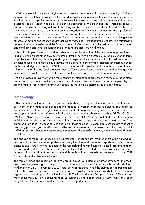trafficked persons in the various asylum systems are then summarised in an overview table, to facilitate comparison. The table indicates whether trafficking victims are recognised as a vulnerable group, and whether there is a specific mechanism for vulnerability screening. It also shows whether victims have access to special reception facilities and can be exempted from border and accelerated procedures, and whether asylum-seeking victims of trafficking can be detained. Finally, it is indicated whether they may have a support person during the asylum procedure and whether they may express a preference concerning the gender of the interviewer. The two questions – identification and procedural guarantees – are then explored in the context of Dublin procedures because of the particular challenges that emerge for asylum applicants who are victims of trafficking. Throughout this chapter, the relationship between the asylum system and the National Referral Mechanism for trafficked persons is considered. and conflicting priorities, challenges and promising practices are highlighted.

In the third chapter, the report considers whether the implementation of the international protection obligations in the six countries provides victims of trafficking with an accessible durable solution in terms of protection of their rights, safety and dignity. It explores the experiences of trafficked persons and persons at risk of being trafficked, in having their claims to international protection considered. It builds on the knowledge and practice of NGOs supporting trafficked asylum seekers in the process of determination of their international protection needs. Case-studies illustrate the issues and challenges that emerge in the granting of refugee status or complementary forms of protection to trafficked persons.

A table provides an overview of the main content of international protection in terms of refugee status and subsidiary protection in the countries studied. It refers to the duration of the residence permit granted, the right to work and to family reunification, as well as the accessibility to social welfare.

## **Methodology**

The co-authors of the report conducted an in-depth legal analysis of the international and European provisions on the rights to residence and international protection of trafficked persons. They analysed primary sources of human rights, asylum and anti-trafficking law, taking into account recommendations, opinions and reports of relevant institutions, bodies, and mechanisms – such as GRETA, OHCHR, UNHCR – NGOs and scholarly critique. The six partner NGOs carried out studies on the national legislation on residence permits and international protection, using a standardised questionnaire. They gathered more than 150 case-studies and out of these selected 42 exemplary case studies to identify promising practices, gaps and barriers to effective implementation. The research was focussed on adult trafficked persons; hence the report does not consider the specific situation, rights and special needs of children.

The analysis of the results of desk and field research – enriched with information from the national reports of GRETA, the national rapporteurs, scholarly literature and specialised reports from international agencies and NGOs - forms the basis for the research findings and evidence-based recommendations of this report. Furthermore, the research is complemented by selected case law examples concerning asylum claims of trafficked persons, obtained through national research and consultation of the ECRE Asylum Information Database (AIDA).

The main findings and recommendations were discussed, validated and further developed at a multiday focus group meeting with the participation of national and international experts and stakeholders, held online on 23-24 November 2020. A total of 40 participants joined the discussions: representatives of NGOs, lawyers, asylum experts, immigration and asylum authorities, experts from international organisations, including the Council of Europe GRETA Secretariat and European Asylum Office. A summary of the main outcomes of the focus group meeting is provided in Annex I. Furthermore, the report integrates written comments and feedback by project partners.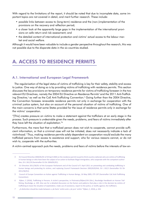With regard to the limitations of the report, it should be noted that due to incomplete data, some important topics are not covered in detail, and merit further research. These include:

- possible links between access to (long-term) residence and the (non-)implementation of the provisions on the recovery and reflection period;
- a closer look at the apparently large gaps in the implementation of the international provisions on safe return and risk assessment: and
- the detailed content of international protection and victims' actual access to the labour market and social welfare.

Although it would have been valuable to include a gender perspective throughout the research, this was not possible due to the disparate data in the six countries studied.

# **A. ACCESS TO RESIDENCE PERMITS**

## A.1. International and European Legal Framework

The regularisation of the legal status of victims of trafficking is key for their safety, stability and access to justice. One way of doing so is by providing victims of trafficking with residence permits. This section discusses the key provisions on temporary residence permits for victims of trafficking foreseen in the two relevant EU Directives, namely the 2004 EU Directive on Residence Permits<sup>3</sup> and the 2011 Anti-Trafficking Directive,<sup>4</sup> as well as the CoE Anti-Trafficking Convention.<sup>5</sup> Going further than the 2004 Directive, the Convention foresees renewable residence permits not only in exchange for cooperation with the criminal justice system, but also on account of the personal situation of victims of trafficking. One of the main concerns is that some States provided for the issue of residence permits only in exchange for the victims' cooperation.

"[This] creates pressure on victims to make a statement against the traffickers at an early stage in the process. Such pressure is undesirable given the needs, problems, and fears of victims immediately after they have left the situation of exploitation."<sup>6</sup>

Furthermore, the mere fact that a trafficked person does not wish to cooperate, cannot provide sufficient information, or that a criminal case will not be initiated, does not necessarily indicate a lack of victimhood.<sup>7</sup> Thus, making residence permits solely dependent on cooperation would exclude the many trafficked persons from access to assistance and support, who for various reasons cannot, or do not wish to, cooperate with the authorities.

A victim-centred approach puts the needs, problems and fears of victims before the interests of law en-

 $\mathbf{Q}$ EU Council Directive 2004/81/EC of 29 April 2004 on the residence permit issued to third-country nationals who are victims of trafficking in human beings or who have been the subject of an action to facilitate illegal immigration, who cooperate with the competent authorities, OJ L 261/19 (hereinafter EU Dir 2004/81/EC).

 $\Delta$ EU Directive 2011/36/EU of the European Parliament and of the Council of 5 April 2011 on preventing and combating trafficking in human beings and protecting its victims, and replacing Council Framework Decision 2002/629/JHA, OJ L 101/1 (hereinafter EU Dir  $2011/36/F11$ 

 $\overline{5}$ Council of Europe Convention on Action against Trafficking in Human Beings, 16 May 2005, ETS 197 (hereinafter CoE Anti-Trafficking Convention).

 $\overline{6}$ Rijken, C (2018), Trafficking in Persons: A victim's perspective, in Piotrowicz/Rijken/Uhl (Eds.), Routledge Handbook on Human Trafficking, Routledge, p. 249. Also see for a detailed discussion on the factors and patterns that play a role in the decision by victims of trafficking to leave the situation of exploitation, make use of assistance, report to the police, or testify against, the traffickers.

<sup>&</sup>quot;A distinction should be made between a , de facto' victim and a , de jure' victim." Rijken, C, 2018, p. 243.  $\overline{7}$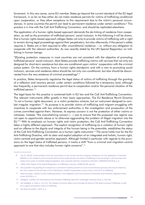forcement. In this very sense, some EU member States go beyond the current standard of the EU legal framework, in so far as they either do not make residence permits for victims of trafficking conditional upon cooperation, or they allow exceptions to this requirement due to the victim's personal circumstances. In some countries the permit can lead to permanent residence under certain conditions.<sup>8</sup> This practice is in line with the CoE Anti-Trafficking Convention, and should be replicated elsewhere.

The application of a human rights-based approach demands the de-linking of residence from cooperation, as well as the promotion of trafficked persons' social inclusion. In the following it will be shown, that a human rights-based approach obliges States not only to provide victims of trafficking with a right to remain during legal proceedings against their perpetrators, but also afterwards, if the person's safety requires it. States are in fact required to offer unconditional residence – i.e. without any obligation to cooperate with the relevant authorities. As was recently stated by the UN Special Rapporteur on trafficking in human beings:

"[Elxisting protection measures in most countries are not consistent with the objective of promoting trafficked persons' social inclusion. Most States provide trafficking victims with services that not only are designed for short-term assistance but also are conditional upon victims' cooperation with the criminal justice system. On the contrary, from a human rights standpoint, and with a view to promoting social inclusion, services and residence status should be not only non-conditional, but also should be disconnected from the very existence of criminal proceedings".9

In practice, States temporarily regularise the legal status of victims of trafficking through the granting of a reflection and recovery period, under certain conditions followed by a temporary (and, although less frequently, a permanent) residence permit due to cooperation and/or the personal situation of the trafficked person.<sup>10</sup>

The legal basis for this practice is contained both in EU law and the CoE Anti-Trafficking Convention. The relevant instruments differ greatly in their basic approaches. The EU Residence Permit Directive "is not a human rights document, or a victim protection scheme, but an instrument designed to combat irregular migration."<sup>11</sup> Its purpose is to provide victims of trafficking and migrant smuggling with incentives to cooperate with law enforcement authorities in the investigation and prosecution of the crimes committed against them. However, its express concern is not the protection of either victims or witnesses. Instead, "the overwhelming concern (...) was to ensure that the proposed visa regime was not open to opportunistic abuse or to otherwise aggravating the problem of illegal migration into the EU."<sup>12</sup> With its emphasis on human rights and victim protection, the CoE Anti-Trafficking Convention takes a highly different approach. The explicit recognition of trafficking as a violation of human rights and an offense to the dignity and integrity of the human being in the preamble, establishes the status of the CoE Anti-Trafficking Convention as a human rights instrument.<sup>13</sup> The same holds true for the EU Anti-Trafficking Directive, with its clear and explicit adoption of an integrated and holistic, human right, victim-centred and gender-sensitive approach. Although limited in particular with regards to the provisions on the legal status of trafficked persons, it marks a shift "from a criminal and migration control approach to one that also includes human rights concerns".<sup>14</sup>

<sup>8</sup> See EC (2014), Communication from the Commission to the Council and the European Parliament, On the application of Directive 2004/81 on the residence permit issued to third-country nationals who are victims of trafficking in human beings or who have been the subject of an action to facilitate illegal immigration, who cooperate with the competent authorities, COM(2014) 635 final, p. 8.

<sup>9</sup> UNGA, 2019, Report of the Special Rapporteur on trafficking in persons, A/HRC/41/46, para 61.

<sup>10</sup> Also possible is the granting of a temporary or permanent residence permit on social or humanitarian grounds, that may be related to, inter alia, respect for the principle of non-refoulement, inability to guarantee a secure return, and risk of re-trafficking.

<sup>11</sup> Rubio Grundell, L (2015), EU Anti-Trafficking Policies: from Migration and Crime Control to Prevention and Protection, Migration Policy Center 2015/09, p. 5.

<sup>12</sup> Gallagher, A (2010), The International Law of Human Trafficking, New York: Cambridge University Press, p. 102-103.

<sup>13</sup> See Gallagher, A, 2010, p. 114-115. The violation of human rights occurs through the failure of the State to prevent trafficking, as well as to support and protect victims of trafficking.

<sup>14</sup> See Rubio Grundell, L, 2015, p. 6.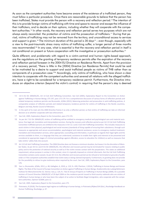As soon as the competent authorities have become aware of the existence of a trafficked person, they must follow a particular procedure. Once there are reasonable grounds to believe that the person has been trafficked, States must provide the person with a recovery and reflection period.<sup>15</sup> The intention of this is to provide foreign victims of trafficking with time and space to recover and escape the influence of their traffickers, and to decide on their options, including whether they will cooperate with the competent authorities.<sup>16</sup> In other words, the recovery and reflection period serves two purposes which are not always easily reconciled: the protection of victims and the prosecution of traffickers.<sup>17</sup> During that period, victims of trafficking may not be removed from the territory, and unconditional access to services and support is given.<sup>18</sup> The minimum duration of this period is 30 days<sup>19</sup> – even though, especially with a view to the post-traumatic stress many victims of trafficking suffer, a longer period of three months was recommended.<sup>20</sup> In any case, what is essential is that the recovery and reflection period in itself is not conditional on present or future cooperation with the investigative or prosecution authorities.<sup>21</sup>

Quite different, and problematic with regard to a victim-centred and human rights-based approach, are the regulations on the granting of temporary residence permits after the expiration of the recovery and reflection period foreseen in the 2004 EU Directive on Residence Permits. Apart from the provision of a recovery period, "there is little in the [2004] Directive [on Residence Permits] that could be said to be motivated by a desire to support and assist trafficked people as victims of THB rather than as components of a prosecution case."<sup>22</sup> Accordingly, only victims of trafficking, who have shown a clear intention to cooperate with the competent authorities and severed all relations with the alleged traffickers, have a right to be considered for a temporary residence permit. Furthermore, the Directive introduces an objective criterion (beyond the victim's control) in requiring that the person's stay is deemed

- 17 See CoE, 2005, Explanatory Report to the Convention, para 173-174.
- 18 As per Art 7 EU Dir 2004/81/EC victims of trafficking will be entitled to emergency medical and psychological care and material assistance, free legal aid, translation and interpretation services. During the recovery and reflection period as per Art 13 CoE Anti-Trafficking Convention trafficked persons are entitled to the measures in Art 12.1 and 2 CoE Anti-Trafficking Convention. This includes measures to assist victims in their physical, psychological and social recovery (standards of living capable of ensuring their subsistence, through such measures as appropriate and secure accommodation, psychological and material assistance; access to emergency medical treatment; translation and interpretation services, when appropriate; counselling and information, in particular as regards their legal rights and the services available to them, in a language that they can understand; assistance to enable their rights and interests to be presented and considered at appropriate stages of criminal proceedings against offenders; access to education for children) as well as measures that take victims' safety fully into account.
- 19 Art 13 CoE Anti-Trafficking Convention. The 2004 Directive does not foresee a minimum duration, but leaves it to the discretion of Member States. As per Art 6.1 and 4 EU Dir 2004/81/EC, the reflection and recovery period may be terminated for reasons relating to public policy and to the protection of national security as well as if the victim renews contact with the perpetrators. This states an additional requirement, whose purpose is unclear in this context, since it is typically imposed on criminal informants. But the CoE Anti-Trafficking Convention contains some caveats: As per Art 13.3, the reflection and recovery period can be refused or terminated on grounds of public order or if the competent authorities establish that victim status is being claimed improperly. Furthermore, its granting does not provide for the possibility to refuse tro give testimony when required by the court. See CoE, 2005, Explanatory Report to the Convention, para 176.
- 20 See i.a. Brunovskis, A/fafo, 2012, p. 48; Gallagher, A, 2010, p. 119, fn. 439; Planitzer, J (2014), Trafficking in Human Beings and Human Rights: The Role of the Council of Europe Convention on Action against Trafficking in Human Beings, Studienreihe des Ludwig Boltzmann Instituts für Menschenrechte 32, Vienna: nwv, p. 124, fn. 718; EC Group of Experts on Trafficking in Human Beings (2009), On a possible revision of Council Directive 2004/81/EC of 29 April 2004 on the residence permit issued to third-country nationals who are victims of trafficking in human beings or who have been the subject of an action to facilitate illegal immigration, who cooperate with the competent authorities, Opinion 4/2009, para 12.
- 21 See CoE, 2005, Explanatory Report to the Convention, para 175.
- 22 Piotrowicz, R (2018), The European legal regime on trafficking in human beings, in Piotrowicz/Rijken/Uhl (Eds.), Routledge Handbook on Human Trafficking, Routledge, p. 47.

<sup>15</sup> Art 6 EU Dir 2004/81/EC, Art 13 CoE Anti-Trafficking Convention. See CoE (2005), Explanatory Report to the Convention on Action against Trafficking in Human Beings, ETS 197, para 172-179. For a comprehensive discussion of various forms of reflection periods and related temporary residence permits see Brunoyskis, A/fafo (2012). Balancing protection and prosecution in anti-trafficking policies. A comparative analysis of reflection periods and related temporary residence permits for victims of trafficking in the Nordic countries, Belgium and Italy, Nordic Council of Ministers.

<sup>16</sup> In the spirit of its main aim the 2004 Directive frames it as only a reflection period, so that victims of trafficking can take an informed decision as to whether cooperate with law enforcement.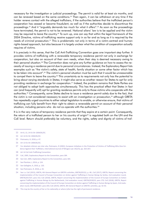necessary for the investigation or judicial proceedings. The permit is valid for at least six months, and can be renewed based on the same conditions.<sup>23</sup> Then again, it can be withdrawn at any time if the holder renews contact with the alleged traffickers, if the authorities believe that the trafficked person's cooperation has ceased or become fraudulent, as well as if the authorities decide to discontinue the proceedings.<sup>24</sup> And it "arguably demands too much for what it offers".<sup>25</sup> As soon as the proceedings have terminated, the permit is not to be renewed. National aliens' law is to be applied and the victim may be required to leave the country.<sup>26</sup> To sum up, one can say that within the legal framework of the 2004 Directive, victims of trafficking receive support only in so far and as long as it is required by the needs of criminal prosecution.<sup>27</sup> This is problematic not only in terms of a victim-centred and human rights-based approach, but also because it is largely unclear what the condition of cooperation actually requires of victims.

It is precisely in this sense, that the CoE Anti-Trafficking Convention goes one important step further. It provides victims of trafficking with a renewable temporary residence permit not only in exchange for cooperation, but also on account of their own needs, when their stay is deemed necessary owing to their personal situation.<sup>28</sup> The Convention does not give any further guidance on how to assess the necessity of issuing a residence permit due to personal circumstances. Instead, the Explanatory Report lists examples such as "the victim's safety, state of health, family situation or some other factor which has to be taken into account".<sup>29</sup> The victim's personal situation must be such that it would be unreasonable to compel them to leave the country.<sup>30</sup> This uncertainty as to requirements not only has the potential to bring about varying standards in States; it might also serve as another reason for States to opt for only providing residence in exchange for cooperation.<sup>31</sup> Indeed, the problem remains that State Parties are not obliged to adopt both approaches simultaneously. This has the practical effect that States in fact can (and frequently will) opt for granting residence permits only to those victims who cooperate with the authorities.<sup>32</sup> Consequently, some States decline to issue a residence permit solely due to the fact, that the victim is not considered necessary to assist with an investigation or prosecution,<sup>33</sup> although GRETA has repeatedly urged countries to either adopt legislation to enable, or otherwise ensure, that victims of trafficking can fully benefit from their right to obtain a renewable permit on account of their personal situation, including persons who do not co-operate with the authorities.<sup>34</sup>

It is in the very nature of temporary residence permits that they expire at a certain point. Consequently, the return of a trafficked person to her or his country of origin<sup>35</sup> is regulated both on the UN and the CoE level. Return should preferably be voluntary, and the rights, safety and dignity of victims of traf-

23 Art 8, 13, 14 EU Dir 2004/81/EC.

- 28 Art 14 CoE Anti-Trafficking Convention.
- 29 CoE, 2005, Explanatory Report to the Convention, para 184.
- 30 See CoE, 2005, Explanatory Report to the Convention, para 183.
- 31 See Planitzer, J, 2014, p. 124.
- 32 See Gallagher, A, 2010, p. 120.
- 33 See Piotrowicz, R, 2018, p. 43.

<sup>24</sup> Art 14 EU Dir 2004/81/EC.

<sup>25</sup> Piotrowicz, R, 2018, p. 47.

<sup>26</sup> Art 13 EU Dir 2004/81/EC.

<sup>27</sup> For detailed criticism see inter alia, Piotrowicz, R (2002), European Initiatives in the Protection of Victims of Trafficking Who Give Evidence Against their Traffickers, International Journal of Refugee Law 14(2/3), pp. 263-267;

<sup>34</sup> See i.a. CoE (2015), GRETA, 4th General Report on GRETA's activities, GRETA(2015)1, p. 48.; CoE (2017), GRETA, Report concerning the implementation of the Council of Europe Convention on Action against Trafficking in Human Beings by Serbia, 2nd evaluation round, GRETA(2017)37, para 152; CoE (2018), GRETA, Report concerning the implementation of the Council of Europe Convention on Action against Trafficking in Human Beings by the Netherlands, 2nd evaluation round, GRETA(2018)19, para 170; CoE (2018), GRETA, Report concerning the implementation of the Council of Europe Convention on Action against Trafficking in Human Beings by Spain, 2nd evaluation round, GRETA(2018)7, para 203; CoE (2019), GRETA, 8th General Report on GRETA's activities, pp. 42-43.

<sup>35</sup> This may be the country of her or his nationality or where (s)he has the right of permanent residence.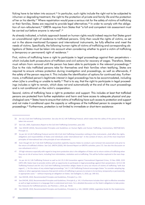ficking have to be taken into account.<sup>36</sup> In particular, such rights include the right not to be subjected to inhuman or degrading treatment, the right to the protection of private and family life and the protection of her or his identity.<sup>37</sup> Where repatriation would pose a serious risk for the safety of victims of trafficking or their families, States are required to provide legal alternatives.<sup>38</sup> In order to comply with the obligation of non-refoulement,<sup>39</sup> GRETA requires from States that "a full and competent risk assessment must be carried out before anyone is returned".<sup>40</sup>

As already indicated, a holistic approach based on human rights would indeed require that States grant an unconditional right of residence to trafficked persons. Only then would the rights of victims, as set out in the above-mentioned European and international instruments, be fully effective and meet the needs of victims. Specifically, the following human rights of victims of trafficking and corresponding obligations of States must be taken into account when considering whether to grant a victim of trafficking a (temporary or permanent) right of residence.<sup>41</sup>

First, victims of trafficking have a right to participate in leagl proceedings against their perpetrators – which includes both prosecutions of traffickers and civil actions for recovery of wages. Therefore, States must refrain from removal until the person has been able to participate in the relevant proceedings.<sup>42</sup> Due to the risks trafficked persons take for themselves and their families when testifying, States are required to ensure witness protection during investigation and proceedings, as well as afterwards, if the safety of the person requires it. This includes the identification of options for continued stay. Furthermore, a trafficked person's legitimate interest in legal proceedings has to be accommodated, including when (s)he is unwilling or unable to testify.<sup>43</sup> That is to say, that the right to participate in legal proceedings includes a right to remain, which does not end automatically at the end of the court proceedings and is not conditional on the victim's cooperation.

Second, victims of trafficking have a right to protection and support. This includes at least that trafficked persons are protected from further exploitation and harm and have access to adequate physical and psychological care.<sup>44</sup> States have to ensure that victims of trafficking have such access to protection and support and not make it conditional upon the capacity or willingness of the trafficked person to cooperate in legal proceedings.<sup>45</sup> Furthermore, protection is not limited to immediate or short-term assistance:

<sup>36</sup> Art 16.2 CoE Anti-Trafficking Convention. See also Art 8.2 UN Trafficking Protocol, which states that the safety of the person has to be taken into account

<sup>37</sup> See CoE, 2005, Explanatory Report to the CoE Anti-Trafficking Convention, para 202.

<sup>38</sup> See OHCHR (2010), Recommended Principles and Guidelines on Human Rights and Human Trafficking, Commentary, HR/PUB/10/2, Principle 11.

<sup>39</sup> As per Art 14 UN Trafficking Protocol and Art 40.4 CoE Anti-Trafficking Convention nothing in thes instruments "shall affect the rights, obligations and responsibilities of States and individuals under international law". In the context of return, one of the most important principles of international law is the principle of non-refoulement.

<sup>40</sup> Even though Art 16.7 CoE Anti-Trafficking Convention explicitly requires States to conduct a pre-removal risk assessment only prior to the return of trafficked children. See CoE, GRETA (2020), 9th General Report on GRETA's activities, para 172. See also the discussion on non-refoulment in B.1.2

<sup>41</sup> Of high relevance especially with regard to long-term protection also is the obligation of States not to return victims of trafficking when they are at risk of serious harm, including from intimidation, retaliation and re-trafficking. This will be further explored in the next chapters

<sup>42</sup> As per Art 6.2 UN Trafficking Protocol as well as Art 25.3 UN Convention against Transnational Organized Crime, 15 Nov 2000, 2225 UNTS 209, States have to provide victims with an opportunity to participate in legal proceedings against their perpetrators. Art 8.2 UN Trafficking Protocol and Art 16.2 CoE Anti-Trafficking Convention obliges States to carry out returns of victims of trafficking "with due regard (...) for the status of any related legal proceedings." Art 7.1 UN Trafficking Protocol encourages States "to consider adopting legislative or other appropriate measures that permit victims of trafficking in persons to remain in its territory, temporarily or permanently, in appropriate cases." - without imposing an obligation on States. See Gallagher, A, 2010, pp. 349-351.

<sup>43</sup> See OHCHR, 2010, Recommended Principles and Guidelines, Principle 9, p. 153.

<sup>44</sup> See OHCHR, 2010, Recommended Principles and Guidelines, Principle 8, p. 141. It furthermore includes their right to effective remedies as well as legal assistance in a language that is understood and more. For a detailed discussion on the State's obligations to take protective measures for trafficked persons, see Planitzer, J, 2014, pp. 78-83.

<sup>45</sup> See OHCHR, 2010, Recommended Principles and Guidelines, Principle 8, p. 141; UNODC (2004), Legislative Guide for the Implementa-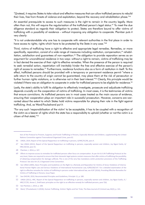"[i]nstead, it requires States to take robust and effective measures that can allow trafficked persons to rebuild their lives, free from threats of violence and exploitation, beyond the recovery and rehabilitation phase."<sup>46</sup>

An essential prerequisite to access to such measures is the right to remain in the country legally. More often than not, this will require the regularisation of the trafficked person's legal status.<sup>47</sup> To meet the due diligence standard as regards their obligation to protect, States are therefore bound to offer victims of trafficking with a possibility of residence – without imposing any obligation to cooperate. Planitzer puts it very clearly:

"It is not understandable why one has to cooperate with relevant authorities in the first place in order to have access to rights; rights which have to be protected by the State in any case."48

Third, victims of trafficking have a right to effective and appropriate legal remedies. Remedies, or more specifically, reparation, consist of a wide range of measures including restitution, compensation,<sup>49</sup> rehabilitation, satisfaction and guarantees of non-repetition.<sup>50</sup> The obligation to provide reparation serves as an argument for unconditional residence in two ways: without a right to remain, victims of trafficking may be in fact denied the exercise of their right to effective remedies. When the presence of the person is required to seek remedial action, repatriation will inevitably hinder the free and effective exercise of the person's right of access to remedies.<sup>51</sup> Furthermore, residence functions also as a form of restitution in itself. To this effect, trafficked persons should be provided with a temporary or permanent residence permit "where a safe return to the country of origin cannot be guaranteed, may place them at the risk of persecution or further human rights violations, or is otherwise not in their best interest."<sup>52</sup> Clearly, this principle would be violated if there was an obligation to cooperate in order for trafficked persons to be eligible for residence.<sup>53</sup>

Lastly, the state's ability to fulfil its obligation to effectively investigate, prosecute and adjudicate trafficking depends crucially on the cooperation of victims of trafficking. In most cases, it is the testimonies of victims that ensure convictions. As trafficked persons are in most cases treated as the main source of evidence, ensuring their cooperation plays an important role in successful prosecution. However, concerns are warranted about the extent to which States hold victims responsible for playing their role in the fight against trafficking. And, as Ward/Fouladvand put it:

"For any such 'responsibilisation of the victim' to be acceptable, it has to be coupled with a recognition of the victim as a bearer of rights which the state has a responsibility to uphold (whether or not the victim is a citizen of that state)."<sup>54</sup>

tion of the Protocol to Prevent, Suppress and Punish Trafficking in Persons, Especially Women and Children, supplementing the United Nations Convention against Transnational Organized Crime, para 62.

<sup>46</sup> UNGA, 2019, Report of the Special Rapporteur on trafficking in persons, A/HRC/41/46, para 4.

<sup>47</sup> See UNGA (2012), Report of the Special Rapporteur on trafficking in persons, especially women and children, Joy Ngozi Ezeilo, A/ HRC/20/18, para 55.

<sup>48</sup> Planitzer, J, 2014, p. 107.

<sup>49</sup> Efforts to improve access to remedies for trafficked persons often focus on compensation. As per Art 6.6 UN Trafficking Protocol at the very least, States are required to ensure that their domestic legal systems contain measures that offer victims of trafficking the possibility of obtaining compensation for damage suffered, This is one of the very few mandatory victim protection provisions of the Trafficking Protocol. See also Art 25.2 Organized Crime Convention.

<sup>50</sup> See UNGA (2005), Basic Principles and Guidelines on the Right to a Remedy and Reparation for Victims of Gross Violations of International Human Rights Law and Serious Violations of International Humanitarian Law, A/RES/60/147. For a detailed examination of the right to effective remedies for victims of trafficking in persons under international law, see ICAT (2016), Providing Effective Remedies for Victims of Trafficking in Persons, Issue Paper.

<sup>51</sup> See OHCHR, 2010. Recommended Principles and Guidelines, Principle 11, p. 180.

<sup>52</sup> UNGA (2011), HRC, Report of the Special Rapporteur on trafficking in persons, especially women and children, Joy Ngozi Ezeilo, A / HRC/17/35, Annex 1, Draft basic principles on the right to an effective remedy for trafficked persons, para 7(b).

<sup>53</sup> See Planitzer, J, 2014, p. 108.

<sup>54</sup> Ward, T/Fouladvand, S (2018), Human Trafficking, Victims' Rights and Fair Trials, The New Journal of Criminal Law, 82(2), p. 141.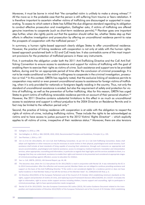Moreover, it must be borne in mind that "the compelled victim is unlikely to make a strong witness".<sup>55</sup> All the more so in the probable case that the person is still suffering from trauma or fears retaliation. It is therefore important to ascertain whether victims of trafficking are discourgaed or supported in cooperating. To assess to which extent a State has fulfilled the due diligence standard regarding its obligation to conduct effective prosecution and investigation, Gallagher asks, if victims of trafficking are offered genuine incentives to cooperate (such as short-term residence permits).<sup>56</sup> Planitzer goes one important step further, when she rightly points out that the question should rather be, whether States step up their efforts in effective investigation and prosecution by offering an unconditional residence permit to raise the prospects of cooperation with the trafficked person.<sup>57</sup>

In summary, a human rights-based approach clearly obliges States to offer unconditional residence. However, the practice of linking residence with cooperation is not only at odds with the human rightsbased approach proclaimed both in EU and CoE treaty law. It also contradicts some of the most important provisions for the protection of trafficked persons in these very instruments.

First, it contradicts the obligation under both the 2011 Anti-Trafficking Directive and the CoE Anti-Trafficking Convention to ensure access to assistance and support for victims of trafficking with the goal of enabling them to exercise their rights as victims of crime. Such assistance and support are to be provided before, during and for an appropriate period of time after the conclusion of criminal proceedings. It is not to be made conditional on the victim's willingness to cooperate in the criminal investigation, prosecution or trial.<sup>58</sup> In this context, GRETA has regularly noted, that the exclusive linking of residence permits to cooperation may restrict or even prevent unconditional access to assistance for foreign victims of trafficking, when it is only provided for nationals or foreigners legally residing in the country. Thus, not only the standard of unconditional assistance is eroded, but also the requirement of safety and protection for victims of trafficking, as well as the prevention of further trafficking. Also for this reason, GRETA has urged States to grant victims of trafficking renewable residence permits on account of their personal situation.<sup>59</sup> However, the 2011 Directive contains substantial limitations to this effect in as much as unconditional access to assistance and support is without prejudice to the 2004 Directive on Residence Permits and in fact may be limited to the reflection period only.<sup>60</sup>

Second, the practice of linking residence with cooperation is at odds with the obligation to respect the rights of victims of crime, including trafficking victims. These include the rights to be acknowledged as victims and to have access to justice pursuant to the 2012 Victims' Rights Directive<sup>61</sup> – which explicitly applies to all victims of crime, irrespective of their residence status.<sup>62</sup> Moreover, there are also tensions

<sup>55</sup> Gallagher, A, 2010, p. 298.

<sup>56</sup> See Gallagher, A. 2010, p. 384; OHCHR, 2010, 2010, Recommended Principles and Guidelines, Principle 13, p. 195.

<sup>57</sup> See Planitzer, J, 2014, p. 107.

<sup>58</sup> Art 11.3 EU Dir 2011/36/EU, Art 12.6 CoE Anti-Trafficking Convention. As per Art 12.1 CoE Anti-Trafficking Convention, States shall adopt such legislative or other measures as may be necessary to assist victims in their physical, psychological and social recovery. Such assistance shall include at least standards of living capable of ensuring their subsistence, through such measures as: appropriate and secure accommodation, psychological and material assistance; access to emergency medical treatment; translation and interpretation services, when appropriate; counselling and information, in particular as regards their legal rights and the services available to them, in a language that they can understand; assistance to enable their rights and interests to be presented and considered at appropriate stages of criminal proceedings against offenders; access to education for children.

<sup>59</sup> See i.a. CoE, GRETA, (2015)1, 4th General Report, pp. 44, 48.

<sup>60</sup> This becomes clear, when Art 11.3 last phrase EU Dir 2011/36/EU is read in conjunction with Recital 18. It was reiterated by the EC in its 2014 Communication: After the reflection and recovery period, Member States are not obliged to continue providing assistance and support on the basis of the Anti-Trafficking Directive "if the victim is not considered eligible for a residence permit or does not have lawful residence in that Member State, or has left the territory of the Member State". EC, COM(2014) 635 final, p. 6.

<sup>61</sup> EU Directive 2012/29/EU of the European Parliament and of the Council of 25 October 2012 establishing minimum standards on the rights, support and protection of victims of crime, and replacing Council Framework Decision 2001/220/JHA, OJ L 315/57, It includes the right to information, right to access victim support services including shelters, trauma support and counselling, right to participate in criminal proceedings, right to have special protection needs recognised.

<sup>62</sup> Recital 10 of Dir 2012/29/EU. See also European Commission DG Justice (2013), DG Justice Guidance Document related to the transposition and implementation of Directive 2012/29/EU of the European Parliament and of the Council of 25 October 2012 establishing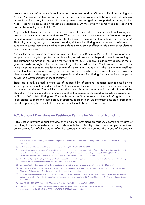between a system of residence in exchange for cooperation and the Charter of Fundamental Rights.<sup>63</sup> Article 47 provides it is laid down that the right of victims of trafficking to be provided with effective access to justice – and, to this end, to be empowered, encouraged and supported according to their needs – cannot be premised on the victim's cooperation. On the contrary, it constitutes a corresponding unconditional obligation of States.<sup>64</sup>

A system that allows residence in exchange for cooperation considerably interferes with victims' rights to have access to support services and justice. When access to residence is made conditional on cooperation, so is access to assistance and support for third-country nationals without a legal right to remain.<sup>65</sup> That said, in reality, the right of irregularly residing victims of trafficking to have access to assistance and support and justice "remains only theoretical as long as they are not offered a safe option of regularising their residence status."<sup>66</sup>

Against this backdrop it is necessary "to revise the Directive on Residence Permits (...) to ensure access to temporary and long-term protection residence is granted outside and beyond criminal proceedings".<sup>67</sup> The European Commission has taken the view that the 2004 Directive insufficiently addresses the legitimate needs and rights of victims of trafficking.<sup>68</sup> It is hoped that the EC will revise and expand the Directive on Residence Permits for the benefit of victims, and revise it.<sup>69</sup> As the Commission itself has stated, that there seems to be emerging consensus on the necessity to think beyond the law enforcement objective, and provide long-term residence permits for victims of trafficking "as an incentive to cooperate as well as a way to strengthen legal certainty."70

States are already obliged to make use of the possibility of granting residence permits based on the victims' personal situation under the CoE Anti-Trafficking Convention. This is not only necessary in view of the needs of victims. The delinking of residence permits from cooperation is indeed a human rights obligation. In doing so, States are merely adopting the human rights-based approach proclaimed both in EU and CoE anti-trafficking law. Only in this way can States ensure that the victims' rights of access to assistance, support and justice are fully effective. In order to ensure the fullest possible protection for trafficked persons, the refusal of a residence permit should be subject to appeal.

#### A.2. National Provisions on Residence Permits for Victims of Trafficking

This section provides a brief overview of the national provisions on residence permits for victims of trafficking in the six countries examined. It deals with the availability of temporary and permanent residence permits for trafficking victims after the recovery and reflection period. The impact of the practical

minimum standards on the rights, support and protection of victims of crime, and replacing Council Framework Decision 2001/220/  $IHA$ , n.  $R$ .

<sup>63</sup> Art 47 Charter of Fundamental Rights of the European Union, 26 10 2012, OJ L C 326/391.

<sup>64</sup> FRA pointed out, that "because of this conflict, it could be maintained that the entering into force of the Charter invalidated the Residence Permit Directive. In the interest of the rule of law and legal clarity, this issue is waiting to be settled." FRA, (2015), Severe labour exploitation: workers moving within or into the European Union, States' obligations and victims' rights, p. 19.

<sup>65</sup> See Bosma/Rijken (2016), Key Challenges in the Combat of Human Trafficking, Evaluating the EU Trafficking Strategy and EU Trafficking Directive, New Journal of European Criminal Law, Vol. 7, Issue 3, p. 325.

<sup>66</sup> As was noted by FRA with respect to the access to justice of victims of severe labour exploitation. See FRA, 2015, p. 19.

<sup>67</sup> OHCHR/UNHCR/UNICEF/UNODC/UN Women/ILO (2011), Prevent Combat Protect, Human Trafficking, Joint UN Commentary on the EU Directive - A Human Rights-Based Approach, p. 24. See also FRA, 2015, p. 20.

<sup>68</sup> Because "the requirement to place human rights at the centre of anti-trafficking measures necessitates superior protection measures for victims, irrespective of whether they participate in relevant national proceedings." EC Group of Experts on Trafficking in Human Beings, 2009, para 3.

<sup>69</sup> See EC, COM(2014) 635 final, p. 11; EC Group of Experts on Trafficking in Human Beings, 2009.

<sup>70</sup> See the Commission's report on the December 2016 meeting of the EU network of NREMs, EC (2018), Commission Staff Working Document, Accompanying COM(2018) 777 final, SWD(2018) 473 final, Annex I, p. 86.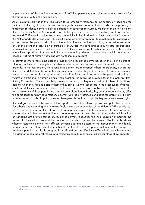implementation of the provisions on access of trafficked persons to the residence permits provided for therein is dealt with in the next section.<sup>71</sup>

All six countries provide in their legislation for a temporary residence permit specifically designed for victims of trafficking. In principle, we can distinguish between countries that provide for the granting of temporary residence permits solely in exchange for cooperation (Austria, Moldova) or a priori on both (the Netherlands, Serbia, Spain, and France but only in cases of sexual exploitation). In all six countries examined, THB-specific residence permits are initially limited in duration. After their expiry, Spain and the Netherlands also provide for THB-specific long-term residence permits in exchange for cooperation or because of the personal situation of the victims. France provides for a long-term residence permit only in the event of a conviction of traffickers. In Austria, Moldova and Serbia, no THB-specific longterm residence permit exists. Instead, victims of trafficking can apply for other permits under the regular aliens laws - provided that they fulfil the very demanding criteria. However, the special situation and needs of victims of human trafficking are not taken into account.

In countries where there is no explicit provision for a residence permit based on the victim's personal situation, victims may be eligible for other residence permits, for example on humanitarian or social grounds. In the next section, these residence options are mentioned, where appropriate, but are not discussed in detail; first, because their examination would go beyond the scope of this paper, but also because they can hardly be regarded as a substitute for taking into account the personal situation of victims of trafficking in human beings when granting residence, as provided for in the CoE Anti-Trafficking Convention. Their accessibility seems to be poor, as they are usually not offered to trafficked persons when they have to decide whether they can or want to cooperate in the prosecution of traffickers. Instead, they seem to serve only as a last resort for those who are unable or unwilling to cooperate. And since many of these permits are granted on a discretionary basis, they cannot, even in theory, offer the same legal certainty as a residence permit with legally defined conditions for granting it. Finally, numbers of approvals of applications for these permits are low and partly they come with lesser rights.

It would go far beyond the scope of this report to assess the relevant provisions applicable in detail. For a basic understanding, the following Table gives a quick overview of the different THB-specific residence permit systems in place. It does not claim to be complete. Rather, it attempts to summarise and contrast the main features of the different national systems. It covers the conditions under which victims of trafficking are granted temporary residence permits. It specifies the initial duration of permits, the reasons for their withdrawal and the conditions under which they can be renewed. The Table also shows whether residence permits for trafficked persons guarantee access to the labour market and family reunification, and, it is indicated whether the national residence permit systems contain long-term residence permits specifically designed for trafficked persons. Finally, the Table indicates whether there is a right of appeal against refusal of a residence permit. In principle, all six countries allow appeals.

<sup>71</sup> In the interest of readability, the references to the individual national laws and regulations are listed in their detailed discussion in the following section.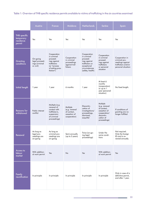Table 1: Overview of THB specific residence permits available to victims of trafficking in the six countries examined

|                                                         | Austria                                                   | <b>France</b>                                                                                                           | Moldova                                                                  | <b>Netherlands</b>                                                                                                           | Serbia                                                                                                              | Spain                                                                                           |
|---------------------------------------------------------|-----------------------------------------------------------|-------------------------------------------------------------------------------------------------------------------------|--------------------------------------------------------------------------|------------------------------------------------------------------------------------------------------------------------------|---------------------------------------------------------------------------------------------------------------------|-------------------------------------------------------------------------------------------------|
| <b>THB</b> specific<br>temporary<br>residence<br>permit | Yes                                                       | Yes                                                                                                                     | Yes                                                                      | Yes                                                                                                                          | Yes                                                                                                                 | Yes                                                                                             |
| <b>Granting</b><br>conditions                           | On-going<br>legal proceed-<br>ings (criminal<br>or civil) | Cooperation<br>in criminal<br>proceed-<br>ings against<br>traffickers<br>(or "process<br>of exiting pros-<br>titution") | Cooperation<br>in criminal<br>proceedings<br>against traf-<br>fickers    | Cooperation<br>in criminal<br>proceed-<br>ings against<br>traffickers or<br>exceptional<br>circumstances<br>(safety, health) | Cooperation<br>in criminal<br>proceed-<br>ings against<br>traffickers<br>or personal<br>situation                   | Cooperation in<br>criminal pro-<br>ceedings against<br>traffickers and/or<br>personal situation |
| Initial length                                          | 1 year                                                    | 1 year                                                                                                                  | 6 months                                                                 | 1 year                                                                                                                       | At least 6<br>months<br>(cooperation)<br>or up to 1<br>year (personal<br>situation)                                 | No fixed length.                                                                                |
| <b>Reasons</b> for<br>withdrawal                        | Public interest<br>conflict                               | Multiple (e.g.<br>renewal of<br>contact with<br>trafficker/s,<br>suspension<br>of criminal<br>proceedings)              | Multiple<br>(e.g. renewal<br>of contact,<br>cessation of<br>cooperation) | Discontin-<br>uation of<br>investigations/<br>proceedings,<br>dismissal,<br>acquittal                                        | Multiple<br>(e.g. renewal<br>of contact,<br>cessation of<br>cooperation/<br>discontin-<br>uation of<br>proceedings) | If conditions of<br>granting are no<br>longer fulfilled                                         |
| Renewal                                                 | As long as<br>legal pro-<br>ceedings are<br>on-going      | As long as<br>criminal pro-<br>ceedings are<br>on-going                                                                 | Semi-annually<br>(up to 5 years)                                         | Twice (on-go-<br>ing legal<br>proceedings)                                                                                   | Under the<br>same condi-<br>tions                                                                                   | Not required.<br>Only the foreign<br>ID card is re-<br>newed annually.                          |
| Access to<br>labour<br>market                           | With addition-<br>al work permit                          | Yes                                                                                                                     | No                                                                       | Yes                                                                                                                          | With addition-<br>al work permit                                                                                    | Yes                                                                                             |
| Family<br>reunification                                 | In principle                                              | In principle                                                                                                            | In principle                                                             | In principle                                                                                                                 | In principle                                                                                                        | Only in case of a<br>definitive permit,<br>and after 1 year.                                    |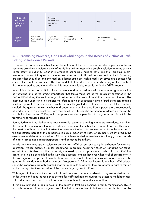| THB specific<br>permanent<br>residence<br>permit | <b>No</b>                              | Yes (only in<br>the event of a<br>final convic-<br>tion) | No                                     | Yes | <b>No</b>                       | Yes |
|--------------------------------------------------|----------------------------------------|----------------------------------------------------------|----------------------------------------|-----|---------------------------------|-----|
| <b>Right to</b><br>appeal                        | Yes, to the<br>Administrative<br>Court | Yes, to the<br>Administrative<br>Court                   | Yes, to the<br>Administrative<br>Court | Yes | Yes, to Ministry<br>of Interior | Yes |

# A.3. Promising Practices, Gaps and Challenges in the Access of Victims of Traf**ficking to Residence Permits**

This section considers whether the implementation of the provisions on residence permits in the six countries examined provides victims of trafficking with an accessible durable solution in terms of their rights, safety and dignity. Gaps in international standards, national laws and their practical implementation that call into question the effective protection of trafficked persons are identified. Promising practices that should be implemented on a larger scale are highlighted. Key issues are discussed for each of the countries examined. The level of detail of the discussion depends mainly on the results of the national studies and the additional information available, in particular in the GRETA reports.

As explained in in chapter B.1., given the needs and in accordance with the human rights of victims of trafficking, it is of the utmost importance that States make use of the possibility contained in the CoE Anti-Trafficking Convention to grant residence on the basis of the victim's personal situation. The main question underlying this chapter therefore is in which situations victims of trafficking can obtain a residence permit. Since residence permits are initially granted for a limited period in all the countries studied, the question arises whether and under what conditions trafficked persons are subsequently offered a long-term perspective. There may be either THB-specific permanent residence permits or the possibility of converting THB-specific temporary residence permits into long-term permits within the framework of regular aliens law.

Spain, Serbia and the Netherlands have the explicit option of granting a temporary residence permit on the basis of the personal situation of victims, regardless of whether they cooperate or not. This raises the question of how and to what extent the personal situation is taken into account – in the laws and in the application thereof by the authorities. It is also important to know which actors are involved in the assessment and decision procedures. Of further interest is whether residence is actually granted outside of legal proceedings against perpetrators and detached from them.

Austria and Moldova grant residence permits for trafficked persons solely in exchange for their cooperation. France adopts a similar conditional approach, except for cases of trafficking for sexual exploitation. It is clear that the human rights-based approach proclaimed both in EU and CoE law cannot in principle be fulfilled in this way. The question remains, however, what level of participation in the investigation and prosecution of traffickers is required of trafficked persons. Above all, however, the question is how do the authorities interpret "cooperation". Of further interest is whether trafficked persons who cooperate are only granted short-term permits or whether they are offered a right to remain in the country after the conclusion of the proceedings against traffickers.

With regard to the social inclusion of trafficked persons, special consideration is given to whether and under what conditions the residence permits for trafficked persons guarantee access to the labour market. Further references are made to access housing, healthcare and social welfare.

It was also intended to look in detail at the access of trafficked persons to family reunification. This is not only important from a long-term social inclusion perspective. It obviously has implications for the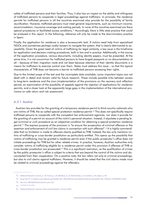safety of trafficked persons and their families. Thus, it also has an impact on the ability and willingness of trafficked persons to cooperate in legal proceedings against traffickers. In principle, the residence permits for trafficked persons in all the countries examined also provide for the possibility of family reunification. However, trafficked persons must meet general requirements, such as minimum income, accommodation, insurance coverage and waiting periods. In none of the countries examined are there special procedures or facilitated access conditions.<sup>72</sup> Accordingly, there is little state practice that could be analysed in this report. In the following, reference will only be made to the discriminatory practice in Spain.

Finally, the application for residence is also a bureaucratic task. If victims need help from specialised NGOs and (sometimes perhaps costly) lawyers to navigate the system, that is clearly detrimental to accessibility. Given the great need of victims of trafficking for legal certainty, a key issue is the timeframe for application and decision-making procedures, both in law and in practice. Additionally, in the course of the application procedure, various documents, including identity papers, must be presented. At the same time, it is not uncommon for trafficked persons to have forged passports or no documentation at all – because of their migration route and not least because retention of their identity documents is a means for traffickers to exercise control over them. States must address this issue – so that this typical characteristic of THB does not become a barrier to trafficked persons accessing their rights.

Due to the limited scope of the text and the incomplete data available, some important topics are not dealt with in detail and remain valid for future research. These include possible links between access to long-term residence and the (non-)implementation of the provisions on the recovery and reflection period, an examination of the possibility of appeals against the rejection of applications for residence permits, and a closer look at the apparently large gaps in the implementation of the international provisions on safe return and risk assessment.

#### A.3.1. Austria

Austrian law provides for the granting of a temporary residence permit to third-country nationals who are victims of THB, the so-called special protection residence permit.<sup>73</sup> This does not specifically require trafficked persons to cooperate with the competent law enforcement agencies, nor does it provide for the granting of a permit on account of the victim's personal situation. Instead, it stipulates a pending legal (criminal or civil) procedure as an (objective) condition for obtaining a special protection residence permit.<sup>74</sup> The express purpose of the provision is "to ensure the prosecution of criminal offences or the assertion and enforcement of civil law claims in connection with such offences".<sup>75</sup> It is highly commendable that no limitation is made to offences clearly qualified as THB. Instead, the law only mentions victims of trafficking or cross-border prostitution as particularly entitled. This opens up the possibility that victims of trafficking may be granted a residence permit even if the public prosecutor's office does not initiate proceedings for THB but for other related crimes. In practice, however, Austrian authorities only consider victims of trafficking eligible for a residence permit under this provision if offences of THB or cross-border prostitution are prosecuted.<sup>76</sup> This is a significant restriction, as the qualification of crimes by the public prosecutor's office is subject to criteria that are beyond the control of the victims and disconnected from their cooperation. On a positive note, the law refers not only to criminal proceedings, but also to civil claims against traffickers. However, it should be noted that the civil claims made must be related to criminal proceedings against the offenders.

<sup>72</sup> National Research, Austria, p. 14; France, p. 25; Moldova, p. 22; Netherlands, p. 22; Serbia, p. 34; Spain, p. 40.

<sup>73</sup> As per Art 57.1.2 Asylum Law, Federal Law Gazette I No. 100/2005 last amended by Federal Law Gazette I No. 70/2015, ELI NOR40171184.

 $74$ See CoE, GRETA(2015)19 Austria, para 132.

Translation by the author  $75$ 

National Research, Austria, email correspondence, 18 June 2020 76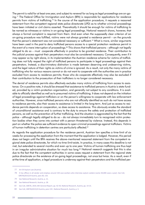The permit is valid for at least one year, and subject to renewal for as long as legal proceedings are on-going.<sup>77</sup> The Federal Office for Immigration and Asylum (BFA) is responsible for applications for residence permits from victims of trafficking.<sup>78</sup> In the course of the application procedure, it requests a reasoned statement from the competent regional state police directorate (LPD) as to whether criminal proceedings have been initiated or civil claims asserted. Theoretically it should be enough for victims of trafficking to be named as witnesses or victims in on-going legal proceedings. National research shows, however, that always a formal complaint is required from them. And even when the supposedly clear criterion of an on-going procedure was fulfilled, victims were not always granted a residence permit – on the grounds that the person's statement was not considered necessary or sufficient.<sup>79</sup> What is more, similar arguments have been used in the past to deny trafficked persons access to a special protection residence permit in the event of a mere interruption of proceedings.<sup>80</sup> This shows that trafficked persons – although not legally obliged to do so – must cooperate effectively in practice to be granted residence. Their contribution to the judicial process against their perpetrators must also be considered necessary. Consequently, even if it may appear so by right alone, in its implementation the Austrian residence scheme for victims of trafficking does not fully respect the right of trafficked persons to participate in legal proceedings against their perpetrators. Instead, a discriminatory distinction is made between deserving and undeserving victims, and the legal nature of their rights as victims of crime is ignored. As a result, not only the many victims of trafficking who for various reasons cannot or do not want to cooperate with the authorities are in practice excluded from access to residence permits; those who do cooperate effectively may also be excluded if their contribution to the prosecution of their traffickers is no longer considered necessary.

The denial of residence permits also effectively excludes many victims of trafficking from access to assistance. On a positive note, it should be stressed that assistance to trafficked persons in Austria is state-funded, provided by a victim-protection organisation, and generally not subject to any conditions. It is available to officially identified as well as to presumed victims of trafficking. It does not depend on the initiation of legal proceedings against traffickers or on the person's willingness to cooperate with law enforcement authorities. However, since trafficked persons who are not officially identified as such do not have access to residence permits, also their access to assistance is limited in the long-term. And just as access to residence permits depends on cooperation, so does access to assistance. This obviously erodes the standard of unconditional assistance and is contrary to the duty to ensure the safety and protection of trafficked persons, as well as the prevention of further trafficking. And the situation is aggravated by the fact that the police – although legally obliged to do so – do not always immediately turn to recognised victim protection bodies when they come into contact with a person threatened by violence. Instead, this depends in part on whether the police see sufficient evidence to open criminal proceedinas against traffickers. Victims of human trafficking in detention centres are particularly affected.<sup>81</sup>

As regards the application procedure for the residence permit, Austrian law specifies a time-limit of six weeks for processing the application from the moment that the application is lodged. However, this period does not begin until the BFA receives the above-mentioned reasoned statement from the competent regional state police directorate, for which no time-limit exists. In practice, in many cases this deadline is not met, but extended to several months and even up to one year. Victims of human trafficking are thus kept in an irregular administrative situation for much too long.<sup>82</sup> National research suggests that this is also due to the fact that the competent authorities in some cases request a statement from the regional state police directorate on the existence of on-going legal proceedings, not once but twice. As a result, even if at the time of application, a legal procedure is underway against their perpetrators and the trafficked per-

<sup>77</sup> Art 59 Asylum Law (Austria).

<sup>78</sup> It has offices in all Länder and employs around 150 case workers who interview asylum seekers (some 30,000 cases a year). See CoE. GRETA(2015)19 Austria, para 30, 133.

<sup>79</sup> See National Research, Austria, p. 21.

<sup>80</sup> See National Research, Austria, p. 28.

<sup>81</sup> See CoE, GRETA, 2019, 8th General Report, pp. 42-43; National Research, Austria, pp. 14-15.

<sup>82</sup> See CoE, GRETA(2015)19 Austria, para 133 ; National Research, Austria, p. 3.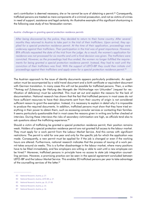son's contribution is deemed necessary, she or he cannot be sure of obtaining a permit.<sup>83</sup> Consequently, trafficked persons are treated as mere components of a criminal prosecution, and not as victims of crimes in need of support, assistance and legal certainty. An illustrative example of this significant shortcoming is the following case study of two Venezuelan women.

#### Austria: challenges in granting special protection residence permits

After being discovered by the police, they decided to return to their home country. After several months they returned to Austria to take part in the trial of their traffickers. Upon arrival, they applied for a special protection residence permit. At the time of their application, proceedings were underway against their traffickers. Their participation in the trial was of great importance. However, BFA officials requested the date of the trial from the judge. As a result, the women's application for residence was not processed for six months and until a final decision was given. The traffickers were convicted. However, as the proceedings had thus ended, the women no longer fulfilled the requirements for being granted a special protection residence permit. Instead, they had to wait until the conviction of their traffickers was final. With the support of LEFÖ-IBF they could then initiate civil proceedings against their traffickers and apply anew for a special protection residence permit.<sup>84</sup>

The Austrian approach to the issue of identity documents appears particularly problematic. An application must be accompanied by a valid travel document and a birth certificate or equivalent document with German translation. In many cases this will not be possible for trafficked persons. Then, a written ""Antrag auf Zulassung der Heilung des Mangels der Nichtvorlage von Urkunden" (request for rectification of deficiency) must be submitted. This must set out and explain the reasons for the lack of documentation. National research has shown that the fact that trafficked persons in most cases do not have sufficient resources to have their documents sent from their country of origin is not considered sufficient reason to grant the exemption. Instead, it is necessary to explain in detail why it is impossible to produce the required documents. In addition, trafficked persons must show that they have tried everything in their power to obtain them, such as accessing consular services or contacting their families. It seems particularly questionable that in most cases the reasons given in writing are further checked at interview. During these interviews the risks of secondary victimisation are high, as officials tend also to ask questions about the trafficking experience.<sup>85</sup>

Should a victim of trafficking be granted a special protection residence permit, their position remains weak. Holders of a special protection residence permit are not granted full access to the labour market. They must apply for a work permit from the Labour Market Service. And this comes with significant restrictions: The permit is valid for one year and only for the specific job for which the application was made. Consequently, a new permit must be applied for if the job is changed or even if the working hours are altered. Furthermore, national research indicates that the process of issuing of a work permit takes around six weeks. This is a further disadvantage in the labour market, where many positions have to be filled immediately, and few employers are willing or able to wait until a new employee can be hired.<sup>86</sup> Moreover, trafficked persons in principle have no access to state job integration counselling services. However, a promising practice can be seen in the special agreement concluded between LEFÖ-IBF and the Labour Market Service. This enables 20 trafficked persons per year to take advantage of the counselling services of the latter.<sup>87</sup>

<sup>83</sup> National Research, Austria, p. 27.

<sup>84</sup> National Research, Austria, LEFÖ-IBF, p. 27.

<sup>85</sup> National Research, Austria, pp. 25, 27-28.

National Research, Austria, p. 23. 86

National Research, Austria, p. 16. 87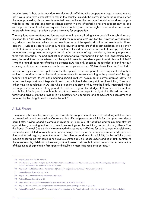Another issue is that, under Austrian law, victims of trafficking who cooperate in legal proceedings do not have a long-term perspective to stay in the country. Instead, the permit is not to be renewed when the legal proceedings have been terminated, irrespective of the outcome.<sup>88</sup> Austrian law does not provide for a THB-specific long-term residence permit. Victims of trafficking receive support only as long as the prosecution of traffickers requires. This is contrary to a human rights-based and victim-centred approach. Nor does it provide a strong incentive for cooperation.

The only long-term residence option granted to victims of trafficking is the possibility to submit an application for a "Rot-Weiß-Rot Plus Card" under the regular aliens' law. For this, however, very demanding criteria must be met, which do not take into account the special situation and needs of trafficked persons – such as a secure livelihood, health insurance cover, proof of accommodation and a certain level of German language skills.<sup>89</sup> The very few trafficked persons who are able to comply with these requirements are granted a one-year permit. After two years of legal residence, they may apply for a three-year extension. The next application is then for a five-year permit. For the initial application, however, the conditions for an extension of the special protection residence permit must also be fulfilled.<sup>90</sup> Thus, the right of residence of trafficked persons in Austria only becomes independent of pending court cases against their perpetrators when the second application for a "Rot-Weiß-Rot Plus Card" is filed.<sup>91</sup>

In case of rejection of an application for the special protection permit, the competent authority is obliged to consider a humanitarian right to residence for reasons relating to the protection of the right to family and private life within the meaning of Art 8 ECHR.<sup>92</sup> The number of permits granted is low. This is because the provision is interpreted in such a way that excludes many victims of trafficking. They must either have close relatives in Austria who are entitled to stay, or they must be highly integrated, which presupposes in particular a long period of residence, a good knowledge of German and the realistic possibility of finding work.<sup>93</sup> Although this at least seems to respect the right of trafficked persons to family and private life, the provision is no substitute for a complete and competent risk assessment as required by the obligation of non-refoulement.<sup>94</sup>

#### A.3.2. France

In general, the French system is geared towards the cooperation of victims of trafficking with the criminal investigation and prosecution. Consequently, trafficked persons are eligible for a temporary residence permit after having lodged a complaint accusing an individual of trafficking and/or pimping offences against them, or having testified in criminal proceedings for the trafficking and/or pimping offence.<sup>95</sup> As the French Criminal Code is highly fragmented with regard to trafficking for various types of exploitation, some offences related to trafficking in human beings, such as forced labour, inhumane working conditions and forced begging are not included in the offences considered for eligibility for the trafficking permit. It is encouraging that some administrative centres apply a broader understanding of THB, contrary to the too-narrow legal definition. However, national research shows that persons who have become victims of these types of exploitation face greater difficulties in accessing residence permits.<sup>96</sup>

90 As per Art 41a.3 Settlement and Residence Act (Austria) in conjunction with Art 59.4 Asylum Law (Austria).

<sup>88</sup> As per Art 59 Asylum Law (Austria).

<sup>89</sup> Translates as "red-white-red plus card". Art 41a Settlement and Residence Act, Federal Law Gazette I No. 100/2005 last amended by Federal Law Gazette I No. 56/2018, ELI NOR40206175.

<sup>91</sup> National Research, Austria, pp. 25-26.

<sup>92</sup> As per Art 11.3 Settlement and Residence Act (Austria).

<sup>93</sup> National Research, Austria, p. 26.

<sup>94</sup> See the discussion on non-refoulment in the next chapters, particularly under B.1.2.

<sup>95</sup> As per Art L316.1 Code Governing the Entry and Stay of Foreigners and Right of Asylum (CESEDA).

National Research, France, p. 29. For an overview of the evolution of the French substantive criminal law on trafficking in human beings, 96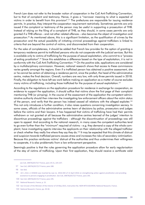French Law does not refer to the broader notion of cooperation in the CoE Anti-Trafficking Convention, but to that of complaint and testimony. Hence, it gives a "narrower meaning to what is expected of victims in order to benefit from this provision".<sup>97</sup> The prefectures are responsible for issuing residence permits. In practice, they interpret the cooperation requirement restrictively. Sometimes permits are only issued if the complaint or testimony of the person may be useful in supporting a prosecution of THB. Instead of relying on the filing of a complaint of THB, as they should, in some cases permits are only granted if a THB offence – and not other related offences – also becomes the object of investigation and prosecution.<sup>98</sup> As mentioned above, this is a significant limitation, as the qualification of crimes by the prosecution and the actual possibility of initiating criminal proceedings against traffickers is linked to criteria that are beyond the control of victims, and disconnected from their cooperation.

For the sake of completeness, it should be added that French law provides for the option of granting a temporary residence permit to trafficked persons who do not cooperate with the judicial services. But this is available only to victims of trafficking for the purpose of sexual exploitation, who commit to a "process" of exiting prostitution".<sup>99</sup> Since this establishes a difference based on the type of exploitation, it is not in conformity with the CoE Anti-Trafficking Convention.<sup>100</sup> On the positive side, applications are considered by a multidisciplinary commission. However, national research shows that access to these commissions varies greatly amongst the regions. Even if a trafficked person has obtained a positive assessment, she or he cannot be certain of obtaining a residence permit, since the prefect, the head of the administrative centre, makes the final decision. Overall, numbers are very low, with only three permits issued in 2018. Finally, the obligation to have left sex work before making an application as a matter of course excludes many victims of trafficking, including those trafficked for the purpose of sexual exploitation.<sup>101</sup>

According to the regulations on the application procedure for residence in exchange for cooperation, as evidence to support the application, it should suffice that victims show the first page of their complaint mentioning THB (or pimping). In the course of the assessment of the application the competent administrative authority should then interview the investigating law enforcement officers about the victim status of the person, and verify that the person has indeed ceased all relations with the alleged exploiter.<sup>102</sup> This not only introduces a further condition, it also raises questions concerning investigation secrecy. In some cases, officials of the administrative centres learn of decisions by police, prosecutors and judges before the victims and their lawyers. It has happened that victims of trafficking have had their permits withdrawn or not granted at all because the administrative centres learned of the judges' intention to discontinue proceedings against the traffickers - although the discontinuation of proceedings was still open to appeal. And according to the national research, in many cases the competent authorities tend to go even further than the "minimum" required of victims - e.g. they demand a copy of the whole complaint, have investigating agents interview the applicants on their relationship with the alleged trafficker or check whether they really live where they say they do.<sup>103</sup> It may be expected that this climate of distrust and suspicion towards trafficked persons causes stress and increases the risks of secondary victimisation. Because this practice reinforces victims' distrust of the authorities and thus undermines their willingness to cooperate, it is also problematic from a law enforcement perspective.

Seemingly positive is that the rules governing the application procedure allow for early regularisation of the stay of victims of trafficking. Upon their first application, they should receive a certificate valid

102 See Circular of the Minister of the Interior of 19 May 2015, Instruction No. NOR INTV1501995N; National Research, France.

see CoE, GRETA(2017)17 France, para 19-21, 225-237.

<sup>97</sup> See CoE, GRETA(2017)17 France, para 188.

<sup>98</sup> See ibid.

<sup>99</sup> Art L.316.1.1 CESEDA was inserted by Law no. 2016-444 of 13 April 2016 on strengthening action against prostitution and providing assistance to persons engaging in prostitution. See CoE, GRETA(2017)17 France, para 195.

<sup>100</sup> See CoE, GRETA(2017)17 France, para 195.

<sup>101</sup> National Research, France, p. 15.

<sup>103</sup> National Research, France, pp. 29-30.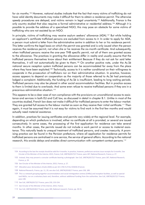for six months.<sup>104</sup> However, national studies indicate that the fact that many victims of trafficking do not have valid identity documents may make it difficult for them to obtain a residence permit. The otherwise speedy procedures are delayed, and victims remain in legal uncertainty.<sup>105</sup> Additionally, France is the only country studied that also requires a formal administrative or residential address.<sup>106</sup> Although it is possible to provide the address of a specialised NGO, this may pose an obstacle for some victims of trafficking who are not assisted by an NGO.

In principle, victims of trafficking may receive asylum seekers' allowance (ADA).<sup>107</sup> But while holding an applicant's certificate trafficked persons are excluded from access to it. In order to apply for ADA, a person must submit a letter from the administrative centre in addition to her or his residence permit. This letter confirms the legal basis on which the permit was granted and is only issued when the person receives the residence permit, not when she or he receives the six-month certificate. And subsequently, when trafficked persons receive the one-year THB specific permit, not all of them are granted access to the allowance. The practices in granting the allowance differ in reality and usually assume that the trafficked persons themselves know about their entitlement. Because if they do not ask for said letter themselves, it will not automatically be given to them.<sup>108</sup> On another positive note, under the Ac.Sé national secure reception system trafficked persons can be accommodated far away from the place where they have been exploited.<sup>109</sup> Technically, access to it is neither conditional on their willingness to cooperate in the prosecution of traffickers nor on their administrative situation. In practice, however, access appears to depend on cooperation as the majority of those referred to Ac. Sé had previously lodged a complaint. Additionally, the funding of Ac.Sé is insufficient, leading to long waiting periods. Trafficked persons may also be placed in other social accommodation facilities. But in practice access to them is limited due to overloads. And some even refuse to receive trafficked persons if they are in a precarious administrative situation.<sup>110</sup>

This appears to be a clear case of non-compliance with the provisions on unconditional access to assistance and services in both EU and CoE law, as discussed in detail in chapter B.1. Unlike in most of the countries studied, French law does not make it difficult for trafficked persons to enter the labour market. They are granted full access to the labour market as soon as they receive their initial certificate.<sup>111</sup> Then again, it must be assumed that it is not easy for victims to find work in the first few months and would actually need material assistance.

In addition, practices for issuing certificates and permits vary widely at the regional level. For example, depending on which prefecture is involved, either no certificate at all is provided, or several are issued consecutively. In some cases, the processing of the first application for residence can take several months. In other cases, the permits issued do not include a work permit or access to material assistance. This naturally leads to unequal treatment of trafficked persons, and creates insecurity. A promising practice can be found in the Parisian prefecture, where all application for residence permits for trafficked persons are centralised in one service, the service of general affairs. According to the national research, this avoids delays and enables direct communication with competent contact persons.<sup>112</sup>

<sup>104</sup> According to the law the receipt should be valid for 4 months. In practice, however, prefecture services issue receipts for 6 months. See Circular of the Minister of the Interior, 2015, France; CoE, GRETA(2017)17 France, para 187; National Research, France, p. 27.

<sup>105</sup> Instead, they may present a consular certificate bearing a photograph. See CoE, GRETA(2017)17 France, para 187; National Research, France, p. 29.

<sup>106</sup> See Circular of the Minister of the Interior, 2015, France, p. 27.

<sup>107</sup> Allocation pour demandeurs d'asile (ADA) as per Art L744.9 of the CESEDA (France).

<sup>108</sup> National Research, France, pp. 11, 29, see also CoE, GRETA(2018)17 France, para 158, 189.

<sup>109</sup> This is a network grouping together accommodation and social reintegration centres (CHRSs) and reception facilities, as well as specialised NGOs, run on a voluntary basis and, therefore, without additional funding from the authorities. See CoE, GRETA(2017)17 France, para 148

<sup>110</sup> See CoE, GRETA(2017)17 France, para 150, 153-154.

<sup>111</sup> See Circular of the Minister of the Interior, 2015, France.

<sup>112</sup> See CoE, GRETA(2018)17 France, para 189, National research, France, pp. 30-31.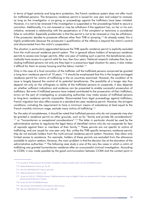In terms of legal certainty and long-term protection, the French residence system does not offer much for trafficked persons. The temporary residence permit is issued for one year and subject to renewal, as long as the investigation is on-going or proceedings against the traffickers have been initiated. However, it is not to be renewed if the investigation is suspended or the proceedings failed to secure a conviction. Additionally, it is not renewed or may be withdrawn if the applicant has, on her or his own initiative, renewed a relationship with the perpetrators or if the complaint or testimony is considered false or untruthful. Especially problematic is that the permit is not to be renewed or may be withdrawn, if the prosecutor decides to prosecute offences other than THB or pimping.<sup>113</sup> As already noted, this is highly problematic because the prosecutor's qualification of the offence is beyond the victim's control and disconnected from the victim's cooperation.

The situation is particularly aggravated because the THB-specific residence permit is explicitly excluded from the multi-annual residence permit system. This in general allows holders of temporary residence permits to access ever-longer permits. After one year of holding such a permit, the beneficiaries automatically have access to a permit valid for two, then four years. National research indicates that, by excluding trafficked persons not only are they kept in a precarious legal situation for years, it also makes it difficult for them to access housing and the labour market.<sup>114</sup>

Only in the case of a final conviction of the trafficker will the trafficked persons concerned be granted a long-term residence permit of 10 years.<sup>115</sup> It should be emphasised that this is the longest envisaged residence permit for victims of trafficking in the six countries examined. However, the condition of its issue is largely beyond the control of its potential beneficiaries. The possibility of a longer stay thus depend not only on the willingness or ability of the trafficked persons to cooperate; it also depends on whether sufficient indications and evidence can be presented to enable successful prosecution of traffickers. But even if trafficked persons have indeed contributed to the prosecution of their traffickers, errors on the part of investigating or prosecuting authorities may make access of trafficked persons to long-term residence permits impossible. Disconnected from legal proceedings against traffickers, French migration law also offers access to a standard ten-year residence permit. However, the stringent conditions, including the requirement to have a minimum means of subsistence at least equal to the French monthly minimum wage, exclude many victims of trafficking.<sup>116</sup>

For the sake of completeness, it should be noted that trafficked persons who do not cooperate may also be granted a residence permit on other grounds, such as for "family and private life considerations" <sup>117</sup> or "humanitarian or exceptional considerations".<sup>118</sup> The latter in particular should be used by the administrative centres to regularise the legal status of identified victims who do not cooperate for fear of reprisals against them or members of their family.<sup>119</sup> These permits are not specific to victims of trafficking, and are issued for one year only. But, unlike the THB-specific temporary residence permit, they do not exclude holders from the multi-annual residence permit system. However, they allow only limited access to assistance. For example, holders of these permits are excluded from the allowance available to asylum seekers. However, the main problem is that the decision lies at the discretion of the administrative authorities.<sup>120</sup> The following case study is one of the very few cases in which a victim of trafficking was granted humanitarian residence after an unsuccessful criminal investigation. According to CCEM, it was made possible by the good communication between CCEM and the contact point in

<sup>113</sup> As well as "if the presence of its holder constitutes a threat to public order." Art 316.4 CESEDA (France).

<sup>114</sup> National Research, France, pp. 16, 29.

<sup>115</sup> See CoE, GRETA(2017)17 France, para 187.

<sup>116</sup> National Research, France, p. 28.

<sup>117</sup> As per Art 313.11.7 CESEDA (France). Trafficked persons may be eligible if they can provide proof of stable, strong and longstanding personal and family ties in France.

<sup>118</sup> As per Art 313.14 CESEDA (France).

<sup>119</sup> See Circular of the Minister of the Interior, 2015, France.

<sup>120</sup> See CoE, GRETA(2017)17 France, para 192-194.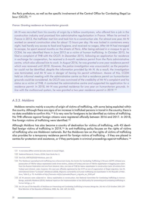the Paris prefecture, as well as the specific involvement of the Central Office for Combating Illegal Labour (OCLTI).<sup>121</sup>

#### France: Granting residence on humanitarian grounds

Mr N was recruited from his country of origin by a fellow countryman, who offered him a job in the construction industry and promised him administrative regularisation in France. When he arrived in France in 2013, the trafficker met him and took him to a construction site. For almost one year, Mr N worked on several construction sites for about 15 hours per day. He was locked in containers every night, had hardly any access to food and hygiene, and received no wages. After Mr N had managed to escape, he spent several months on the streets of Paris. After being advised in a mosque to go to CCEM, he was identified there in June 2015 as a victim of human trafficking. In October 2015, he filed a complaint of THB with the OCLTI. In December 2015, following an application for residence in exchange for cooperation, he received a 6-month residence permit from the Paris administrative centre, which also allowed him to work. In August 2016, he was granted a one-year residence permit which was renewed until 2018. However, the police investigation was unsuccessful, as the perpetrator could not be identified, despite the information provided by Mr N. As a result, the investigation was terminated, and Mr N was in danger of having his permit withdrawn. Aware of this, CCEM held an informal meeting with the administrative centre so that a residence permit on humanitarian grounds could be considered. As OCLTI was convinced of the credibility of Mr N's complaint and his status as a victim of THB, it contacted the administrative centre and supported his application for a residence permit. In 2018, Mr N was granted residence for one year on humanitarian grounds. In line with the multiannual system, he was granted a two-year residence permit in 2019.<sup>122</sup>

#### A.3.3. Moldova

Moldova remains mainly a country of origin of victims of trafficking, with some being exploited within the country. Although there are signs of an increase in trafficked persons in transit in the country, there is no data available to confirm this.<sup>123</sup> It is very rare for foreigners to be identified as victims of trafficking. No THB offences against foreign citizens were registered officially between 2016 and 2017. In 2018, five foreign victims of trafficking were identified.<sup>124</sup>

Although Moldova has also become a country of destination for victims of trafficking, with 45 identified foreign victims of trafficking in 2019,<sup>125</sup> its anti-trafficking policy focuses on the rights of victims of trafficking who are Moldovan nationals. But the Moldovan law on the rights of victims of trafficking also provides for a temporary residence permit for foreign victims of trafficking – if they are placed in centres for protection and assistance, or if they participate in criminal proceedings against traffickers.<sup>126</sup>

<sup>121</sup> It translates Office central de lutte contre le travail illégal.

<sup>122</sup> National Research, France, CCEM, Case Study No. 2.

<sup>123</sup> See CoE, GRETA(2016)9 Moldova, para 13.

<sup>124</sup> The Moldovan specialised anti-trafficking law enforcement body, the Centre for Combating Trafficking in Persons (CCTP) initiated one prosecution of THB for labour exploitation (with three victims, citizens of Turkey) and two of THB for exploitation in begging (one victim from the Russian Federation and one from Ukraine). Also, one case of THB for labour exploitation in construction (with 10 victims from Turkey) was initiated. Later, however, this case was officially registered by the CCTP as one of organisation of illegal migration. See PA International Centre "La Strada" (Moldova) (2020), Migrants vulnerability to human trafficking and exploitation in the Republic of Moldova, Table 9, p. 70. Available at http://lastrada.md/pic/uploaded/Raport\_migratie\_en\_2020.pdf

<sup>125</sup> All 45 persons were subjected to labour exploitation in construction. See National Committee for Combating Trafficking in Human Beings, antitrafic Moldova (2019), National report on the implementation of the 2019 policy for preventing and combating trafficking in human beings, p. 11.

<sup>126</sup> Art 24 Law of the Republic of Moldova on Preventing and Combating Trafficking in Human Beings No. 241-XVI of 20 October 2005 (Official Monitor of the Republic of Moldova, 2005, No. 164 -167, Art 812).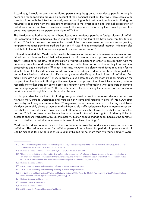Accordingly, it would appear that trafficked persons may be granted a residence permit not only in exchange for cooperation but also on account of their personal situation. However, there seems to be a contradiction with the later law on foreigners. According to that instrument, victims of trafficking are required to cooperate with the competent authorities in the investigation and criminal prosecution of traffickers in order to obtain a residence permit. This requires a decision by the criminal prosecution authorities recognising the person as a victim of THB.127

The Moldovan authorities have not hitherto issued any residence permits to foreign victims of trafficking. According to the authorities, this is mainly due to the fact that there have been very few foreign victims.<sup>128</sup> But this must also be seen in the context of the absence of rules and procedures for granting temporary residence permits to trafficked persons.<sup>129</sup> According to the national research, this might also contribute to the fact that no residence permit has been issued so far.<sup>130</sup>

It should be added that Moldovan law explicitly provides for protection and access to services for trafficked persons, irrespective of their willingness to participate in criminal proceedings gaginst traffickers.<sup>131</sup> According to the law, the identification of trafficked persons in order to provide them with the necessary protection and assistance shall be carried out both as part of, and separately from, criminal proceedings against traffickers.<sup>132</sup> What is missing, however, is a clearly established regulation for the identification of trafficked persons outside criminal proceedings. Furthermore, the existing quidelines on the identification of victims of trafficking only aim at identifying national victims of trafficking. Foreign victims are not included.<sup>133</sup> Thus, in practice, also access to services most probably hinges on the cooperation of victims of trafficking in the investigation and prosecution of traffickers. Indeed, national research shows that state-run service providers favour victims of trafficking who cooperate in criminal proceedings against traffickers.<sup>134</sup> This has the effect of undermining the standard of unconditional assistance, even though it is actually required by law.

In principle, identified victims of trafficking are guaranteed access to specialised shelters. In practice, however, the Centre for Assistance and Protection of Victims and Potential Victims of THB (CAP) often does not grant foreigners access to them.<sup>135</sup> In general, the services for victims of trafficking available in Moldova are mainly aimed at women and children. Male trafficked persons have no access to specialised shelters. Thus, identified male victims of trafficking are usually referred to the shelter for homeless persons. This is particularly problematic because the realisation of other rights is (in)directly linked to access to shelters. Fortunately, this discriminatory situation should change soon, because the construction of a shelter for trafficked men was underway at the time of writing.<sup>136</sup>

Moldovan law does not offer much in terms of long-term protection and social inclusion of victims of trafficking. The residence permit for trafficked persons is to be issued for periods of up to six months. It is to be extended for new periods of up to six months, but for not more than five years in total.<sup>137</sup> More-

- 131 Art 20 Law on Preventing and Combating Trafficking in Human Beings (Moldova).
- 132 Art 16 Law on Preventing and Combating Trafficking in Human Beings (Moldova).

<sup>127</sup> Art 42 Law of the Republic of Moldova on the Regime of Foreigners in the Republic of Moldova No. 200 of 16 July 2010 (Official Monitor of the Republic of Moldova, 2010, No. 179 -181, Art 610).

<sup>128</sup> National Research, Moldova, p. 5. See also CoE, GRETA(2016)9 Moldova, para 133.

<sup>129</sup> This is due to the fact that provisions of the Law on Preventing and Combating Trafficking in Human Beings and the Law on the Regime of Foreigners have not been harmonised with the Law of the Republic of Moldova on Identity Documents in the National Passport System No. 273-XIII of 09 September 1994 (Official Monitor of the Republic of Moldova, 1995, No. 9, Art 89).

<sup>130</sup> National Research, Moldova, p. 6.

<sup>133</sup> See Guidelines on Identification of Victims and Potential Victims of THB, Order No. 33 of 20 February 2012 of the Ministry of Labour. Social Protection and Family; National Research, Moldova, p. 15.

<sup>134</sup> National Research, Moldova, p. 15.

<sup>135</sup> National Research, Moldova, p. 11.

<sup>136</sup> National Research, Moldova, p. 11.

<sup>137</sup> Art 32 Law on the Regime of Foreigners (Moldova).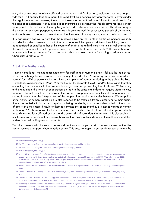over, the permit does not allow trafficked persons to work.<sup>138</sup> Furthermore, Moldovan law does not provide for a THB-specific long-term permit. Instead, trafficked persons may apply for other permits under the regular aliens law. However, these do not take into account their special situation and needs. For the sake of completeness, it should be added that trafficked persons who, for objective reasons, cannot be required to leave the country, may be granted a discretionary residence permit. This does not give the holder a long-term perspective either, as it is only granted for consecutive periods of six months, and is withdrawn as soon as it is established that the circumstances justifying its issue no longer exist.<sup>139</sup>

It is particularly positive to note that the Moldovan Law on the rights of trafficked persons explicitly provides for a risk assessment prior to the return of a trafficked person. Victims of trafficking are not to be repatriated or expelled to her or his country of origin or to a third state if there is a real chance that this would endanger her or his personal safety or the safety of her or his family.<sup>140</sup> However, there are no clearly defined procedures for carrying out such a risk assessment or for issuing a residence permit where such a risk exists.<sup>141</sup>

#### A.3.4. The Netherlands

In the Netherlands, the Residence Regulation for Trafficking in Human Beings<sup>142</sup> follows the logic of residence in exchange for cooperation. Consequently, it provides for a "temporary humanitarian residence permit" for trafficked persons who have filed a complaint of human trafficking to the police, the Royal Netherlands Marechaussee (KMar),<sup>143</sup> or the Labour Inspectorate (SZW)<sup>144</sup> and/or have stated that they are willing to cooperate with the police in tracking down and prosecuting their traffickers.<sup>145</sup> According to the Regulation, the notion of cooperation is broad in the sense that it does not require victims always to lodge a formal complaint, but allows other forms of cooperation to be sufficient. National research shows, however, that the interpretation of the cooperation requirement varies between different police units. Victims of human trafficking are also reported to be treated differently according to their origin. Some are treated with increased suspicion of being unreliable, and more is demanded of them than of others. It is thus more difficult for them to convince the police that they are indeed victims of human trafficking.<sup>146</sup> As shown above for the situation in France, such a climate of distrust and suspicion is likely to be distressing for trafficked persons, and creates risks of secondary victimisation. It is also problematic from a law enforcement perspective because it increases victims' distrust of the authorities and thus undermines their willingness to cooperate.

Trafficked persons who for various reasons do not wish to cooperate with law enforcement authorities cannot receive a temporary humanitarian permit. This does not apply to persons in respect of whom the

<sup>138</sup> National Research, Moldova, p. 22.

<sup>139</sup> Art 68-69 Law on the Regime of Foreigners (Moldova); National Research, Moldova, p. 24.

<sup>140</sup> Art 24 Law on Preventing and Combating Trafficking in Human Beings (Moldova).

<sup>141</sup> National Research, Moldova, p. 6.

<sup>142</sup> The Residence Regulation for Trafficking in Human Beings governs the reflection period, residence permit and access to assistance for foreign victims of trafficking without legal residence in the Netherlands. It is part of the Aliens Law of 2000 (Vreemdelingenwet 2000), in force from 1 Jan 2020 until 13 May 2020. The rules governing its practical application can be found in the Aliens Circular of 2000 (Vreemdelingen circulaire 2000 (B), in force from 1 April 2020.

<sup>143</sup> KMar is one of the four branches of the Netherlands Armed Forces. It is a gendarmerie force performing military and civilian police duties.

<sup>144</sup> See Inspectorate SZW, Ministry of Social Affairs and Employment, What Does the Inspectorate SZW do?, Publication No. 100E, July 2019, p. 3.

<sup>145</sup> Chapter B-8 Sec 3-2 Aliens Circular 2000 (B) (The Netherlands). See also Immigration and Naturalisation Service (2020). Domestic violence, honour-related violence, human trafficking, abandonment and your residence permit, Publication No. 3092, p. 4.

<sup>146</sup> According to national research, this concerns above all persons from Nigeria and Uganda because there has been an increase in the number of homosexual persons from these countries who report that they have been trafficked for the purpose of sexual exploitation. National research, Netherlands, p. 27.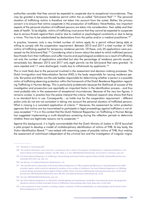authorities consider that they cannot be expected to cooperate due to exceptional circumstances. They may be granted a temporary residence permit within the so-called "Schrijnend Pad".<sup>147</sup> The personal situation of trafficking victims is therefore not taken into account from the outset. Rather, the primary concern is to ensure that victims cooperate in the prosecution of traffickers. Nevertheless, two important aspects of the personal situation of trafficked persons are taken into consideration: their safety and their state of health. To be eligible, victims of trafficking must prove that they cannot be expected to cooperate due to serious threats against them and/or due to medical or psychological constraints or due to being a minor. This has to be substantiated by declarations from the police and/or a medical practitioner.<sup>148</sup>

In practice, however, only a very limited number of victims apply for a permit without being able or willing to comply with the cooperation requirement. Between 2013 and 2017 a total number of 1046 victims of trafficking applied for temporary residence permits. Of these, only 35 applications were processed via the Schrijnend Pad.<sup>149</sup> Considering what is known about the extent to which trafficked persons face threats from their traffickers and suffer trauma and psychological problems as a result of trafficking, not only the number of applications submitted but also the percentage of residence permits issued is remarkably low. Between 2013 and 2017 only eight permits via the Schrijnend Pad were granted, 16 were rejected and 11 were discharged, mostly due to withdrawals by applicants.<sup>150</sup>

This is most likely due to the personnel involved in the assessment and decision-making processes. The Dutch Immigration and Naturalisation Service (IND) is the body responsible for issuing residence permits. But police and KMar are the sole bodies responsible for determining whether a person is a possible victim of trafficking deserving protection within the framework of the Dutch Residence Regulation regarding Trafficking in Human Beings. This is particularly problematic because the likelihood of success of the investigation and prosecution are reportedly an important factor in the identification process – and thus most probably also in the assessment of exceptional circumstances. Because of the very low figures, it remains unclear in practice how the police interpret the criteria. National research also shows that there is no standard form in use. Consequently - as holds true for the cooperation requirement - different police units do not are not consistent in taking into account the personal situation of trafficked persons. What is missing is a consistent application of criteria.<sup>151</sup> Moreover, the assessment by victim protection agencies that victims are too traumatised to participate in legal proceedings against traffickers is not always accepted.<sup>152</sup> It is in this context that the Dutch National Rapporteur on Trafficking in Human Beings has suggested implementing a multi-disciplinary screening during the reflection periods to determine whether there are legitimate reasons not to cooperate.<sup>153</sup>

Against this background, it is highly commendable that the Dutch Ministry of Justice in 2018 launched a pilot project to develop a model of multidisciplinary identification of victims of THB. Its key body, the Victim Identification Board,<sup>154</sup> was tasked with examining cases of possible victims of THB, thus making the assessment of victimhood independent of the criminal law and the investigation of irregular migra-

<sup>147</sup> Translates as "harrowing path".

<sup>148</sup> The medical information must come from a practitioner who is listed in the Register of Professionals in Individual Healthcare or the Dutch Institute of Psychologists' Register. See IND, 2020, p. 5; CoE, GRETA(2018)19 Netherlands, Government's comments, para 121.

<sup>149</sup> See Dutch National Rapporteur on Trafficking in Human Beings and Sexual Violence against Children (2018), Slachteroffermonitor mensenhandel 2013-2017, pp. 104, 111.

<sup>150</sup> See ibid, pp. 111; National Research, Netherlands, p. 23.

<sup>151</sup> This coincides with an observation of the Dutch National Rapporteur on THB as regards big differences in reporting between the different police regions, which cannot be explained by variations in the number of inhabitants. See Dutch National Rapporteur on Trafficking in Human Beings and Sexual Violence against Children (2018), Victims of human trafficking still underreported, News item, 18 Oct 2018. See also CoE, GRETA(2018)19 Netherlands, para 108-109, 118; National Research, Netherlands, pp. 25-26.

<sup>152</sup> See CoE, GRETA(2018)19 Netherlands, para 121.

<sup>153</sup> See Dutch National Rapporteur on THB (2015), Verblijfsregeling voor kwetsbaarste slachtoffers mensenhandel slechts weinig gebruikt (Residence Scheme for Most Vunerable Victims of Trafficking in Human Beings Little Used), News Item, 15 Oct 2015.

<sup>154</sup> It was composed of seven members, including a lawyer, a professor of THB and Globalisation, an anthropologist and the former Dutch National Rapporteur on THB.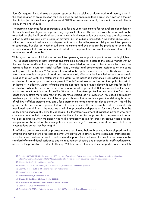tion. On request, it could issue an expert report on the plausibility of victimhood, and thereby assist in the consideration of an application for a residence permit on humanitarian grounds. However, although the pilot project was evaluated positively and GRETA expressy welcomed it, it was not continued after its expiry at the end of 2018.<sup>155</sup>

The permit in exchange for cooperation is valid for one year. Applications for renewal are dependent on the initiation of investigations or proceedings against traffickers. The permit's validity period will not be extended, or else it will be withdrawn, when the criminal investigation or proceedings are discontinued (either by definitive ruling by a judge or dismissal by the public prosecutor).<sup>156</sup> As stated above, possibilities for continued residence thus depend not only on the willingness or ability of trafficked persons to cooperate, but also on whether sufficient indications and evidence can be provided to enable the prosecution to initiate proceedings against traffickers. The permit due to exceptional circumstances lasts for one year and cannot be.<sup>157</sup>

With reagrd to the social inclusion of trafficked persons, some positive practices can be highlighted. The residence permits on both grounds give trafficked persons full access to the labour market without the need for an additional work permit. Holders are entitled to accommodation in a shelter. They have access to health insurance, social welfare, legal, medical and psychological assistance on the same footing as Dutch nationals.<sup>158</sup> And also with regard to the application procedure, the Dutch system contains some notable examples of good practice. Above all, efforts can be identified to keep bureaucratic hurdles at a low level. The statement of the victim to the police is automatically considered to be an application for a temporary residence permit. The IND must take a decision on the application within 24 hours.<sup>159</sup> In addition, victims of trafficking are not required to provide identity documents for the first application. When the permit is renewed, a passport must be presented. But indications that the victim has taken steps to obtain one also suffice.<sup>160</sup>In terms of long-term protection prospects, the Dutch residence system offers more than most of the countries studied, as it provides for THB-specific permanent residence permits. After the expiry of the temporary humanitarian residence permit and during its period of validity, trafficked persons may apply for a permanent humanitarian residence permit.<sup>161</sup> This will be granted if the perpetrator is prosecuted for THB and convicted. This is despite the fact that – as already mentioned several times – the outcome of criminal proceedings depends on far more factors than the ability and willingness of victims to cooperate. It is therefore welcome that trafficked persons who have cooperated are not held in legal uncertainty for the entire duration of prosecutions. A permanent permit will also be granted when the person has held a temporary permit for three consecutive years or more, irrespective of the result of the investigations or proceedings.<sup>162</sup> However, it must be noted that many investigations do not last that long.<sup>163</sup>

If traffickers are not convicted or proceedings are terminated before three years have elapsed, victims of trafficking may have their residence permit withdrawn. As in other countries examined, trafficked persons then may also lose access to assistance and support. As noted several times, this is contrary to the standard of unconditional assistance and the requirement of safety and protection for trafficked persons, as well as the prevention of further trafficking.<sup>164</sup> But, unlike in other countries, support is not immediately

<sup>155</sup> See CoE, GRETA(2018)19 Netherlands, para 108-109. For information (in Dutch) on the pilot and the lobbying for its continuation see https://www.comensha.nl/actualiteiten/item/evaluatie-pilot-multidisciplinaire-advisering-slachtofferschap-mensenhandel/.

<sup>156</sup> Chapter B-8 Sec 3.2 Aliens Circular 2000 (B).

<sup>157</sup> See IND, 2020, p. 5; CoE, GRETA(2018)19 Netherlands, Government's comments, para 121.

<sup>158</sup> See OHCHR et al, 2011, p. 43; National Research, Netherlands, p. 24.

<sup>159</sup> See OHCHR et al, 2011, p. 43.

<sup>160</sup> National Research, Netherlands, p. 24.

<sup>161</sup> Chapter B-9 Sec 10 and 12 Aliens Circular 2000 (B).

<sup>162</sup> They may be still on-going or may have resulted in an acquittal.

<sup>163</sup> See GRETA(2018)19 Netherlands, para 166.

<sup>164</sup> See CoE, GRETA(2018)19 Netherlands, para 121; CoE, GRETA, 2019, 8th General Report, para 106.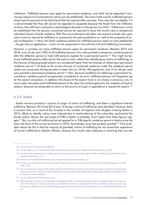withdrawn. Trafficked persons may apply for permanent residence, and shall not be deported if convincing reasons of a humanitarian nature can be established. The same holds true for trafficked persons whose permit pursuant to the Schrijnend Pad has expired after one year. They may also be eligible, if it is demonstrated that they still cannot be expected to cooperate because the threat from the traffickers remains, they still have a physical or psychological disorder, or the person is a child.<sup>165</sup> Otherwise, it must be established that the persons concerned cannot be required to leave the country due to exceptional individual reasons directly related to THB. The circumstances to be taken into account include risks upon return (such as reprisal by traffickers or prosecution for past prostitution) as, well as the prospects of social reintegration.<sup>166</sup> Here, the Dutch residence scheme for trafficked persons seems to have established - though only on application - a form of risk assessment in line with the CoE Anti-Trafficking Convention.

However, in practice not many trafficked persons apply for permanent residence. Between 2014 and 2018, only 34 per cent (185) of all trafficked persons who were granted a temporary residence permit after the reflection period (in total 548 persons) applied for a permanent permit.<sup>167</sup> This might be because trafficked persons often opt for the asylum track, rather than identifying as victims of trafficking, as the chances of being granted asylum are considered higher than the chances of obtaining a permanent residence permit.<sup>168</sup> At least as far as the chances of continued residence under the residence permit system are concerned, the figures seem to bear this out. Of the 185 applicants, only 74 (or 40 per cent) were granted a permanent residence permit.<sup>169</sup> Also, because conditions for obtaining a permanent humanitarian residence permit are generally considered to be strict, trafficked persons will frequently opt for the asylum procedure. In addition, the choice of the asylum track is not always a conscious one. In some cases, the police send trafficked persons to Ter Apel, the central agency for the reception of asylum seekers, because not being able to return to the country of origin is regarded as a request for asylum.<sup>170</sup>

#### A.3.5. Serbia

Serbia remains primarily a country of origin of victims of trafficking, and there is significant internal trafficking. Between 2013 and 2016 only 13 foreign victims of trafficking were identified. However, there is concern that, as a result of the increase in the number of migrants and refugees crossing Serbia in 2015, efforts to identify victims were reduced due to overburdening of the authorities, particularly the border police. Hence, the real scope of THB in Serbia is probably much higher than these figures suggest.<sup>171</sup> But, no victim of trafficking has yet applied for a THB-specific residence permit in Serbia since the entry into force of the current provisions in 2018. Accordingly, none has yet been granted.<sup>172</sup> One probable reason for this is that the majority of (possible) victims of trafficking do not reveal their experience of human trafficking to Serbian officials, because this would mean delaying or reversing their journey

<sup>165</sup> Chapter B-9 Sec 12 Aliens Circular 2000 (B).

<sup>166</sup> See IND, 2020, pp. 4-5; CoE, GRETA(2018)19 Netherlands, para 164-166, CoE, GRETA(2014)10 Netherlands, para 190.

<sup>167</sup> See Dutch National Rapporteur on Trafficking in Human Beings and Sexual Violence against Children (2019), Slachteroffermonitor mensenhandel 2014-2018, p. 126.

<sup>168</sup> See CoE, GRETA(2018)19 Netherlands, para 167; National Research, Netherlands, p. 23.

<sup>169</sup> In total, it was 1,648 victims who made use of the residence scheme in the period 2014-2018. See Dutch National Rapporteur on THB, 2019, p. 126.

<sup>170</sup> For a comprehensive analysis of why victims of human trafficking are making use of the asylum procedure in spite of a dedicated regulation being available to them, see Dutch Research and Documentation Centre (2020), The road(s) to legal residence in the Netherlands for victims of human trafficking.

<sup>171</sup> See CoE, GRETA(2017)37 Serbia, para 12-14.

<sup>172</sup> National Research, Serbia, p. 35, referring to the Migration Profile of the Republic of Serbia, which is adopted annually by the Government of the Republic of Serbia. In its latest report, GRETA points out that, according to the Serbian authorities, under the former Law on Foreigners, eight foreign victims of trafficking were granted residence between 2013 and 2016. See CoE, GRETA(2017)37 Serbia, para 145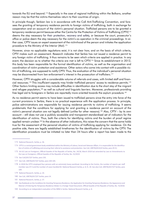towards the EU and beyond.<sup>173</sup> Especially in the case of regional trafficking within the Balkans, another reason may be that the victims themselves return to their countries of origin.

In principle though, Serbian law is in accordance with the CoE Anti-Trafficking Convention, and foresees the granting of temporary residence permits to foreign victims of trafficking, both in exchange for cooperation and on account of the victim's personal situation. Trafficked persons are to be granted a temporary residence permit because either the Centre for the Protection of Victims of Trafficking (CPTV)<sup>174</sup> deems the stay necessary for their protection, recovery and safety, or because the court, prosecutor's office or police deem the stay necessary for the victim's co-operation in the criminal proceedings. In either case, CPTV issues an expert assessment of the victimhood of the person and initiates the application procedure to the Ministry of the Interior (MoI).<sup>175</sup>

However, since no applicable regulations exist, it is not clear how, and on the basis of which criteria, CPTV makes such an assessment. Research indicates that Serbia has not issued a residence permit to any foreian victim of trafficking. It thus remains to be seen which criteria are applied in practice. In any event, the decision as to whether the criteria are met is left to CPTV.<sup>176</sup> Since its establishment in 2012, this body has been responsible for the formal identification of victims, as well as the organisation and coordination of victim protection and assistance. Other actors who come into contact with a possible victim of trafficking, are supposed to notify CPTV. Thus, the evaluation of the individual's personal situation may be disconnected from law enforcement's interest in the prosecution of traffickers.<sup>177</sup>

However, CPTV struggles with a considerable volume of referrals and cases, with limited staff and financial resources.<sup>178</sup> This insufficient capacity may hinder trafficked persons' access to residence permits.<sup>179</sup> Other factors limiting access may include difficulties in identification due to the short stay of the migrant and refugee population,<sup>180</sup> as well as cultural and linguistic barriers. Moreover, professionals providing free legal aid to foreigners in Serbia are reportedly more oriented towards the asylum procedure.<sup>181</sup>

As no residence permit seems to have been issued to trafficked persons since the entry into force of the current provisions in Serbia, there is no practical experience with the application process. In principle, police administrations are responsible for issuing residence permits to victims of trafficking. It seems problematic that the conditions for applying for and granting a residence permit on account of the victim's personal situation are not legally defined (unlike for other reasons).<sup>182</sup> Also, CPTV – by its own account – still does not use a publicly accessible and transparent standardised set of indicators for the identification of victims. Thus, both the criteria for identifying victims and the burden of proof regime applied remain unclear.<sup>183</sup> In the absence of other indications, this raises the concern that the same holds true for the assessment of the personal situation of victims of trafficking applying for residence. On the positive side, there are legally established timeframes for the identification of victims by the CPTV. The identification procedure must be initiated no later than 24 hours after a report has been made to the

<sup>173</sup> National Research, Serbia, p. 36.

<sup>174</sup> CPTV is a central government body established within the Ministry of Labour, Social and Veterans Affairs. It is responsible for the identification of victims of trafficking and ensuring their referral to assistance and protection. See CoE, GRETA(2013)19 Serbia, para 29-31.

<sup>175</sup> Art 62 Law on Foreigners, Official Gazette of the Republic of Serbia, No. 24/18, March 2018 last amended by Law on Amendments to the Law on Foreigners, Official Gazette of the Republic of Serbia, No. 31/2019.

<sup>176</sup> See CoE(2017)37 Serbia, para 150.

<sup>177</sup> See CoE, GRETA(2017)37 Serbia, para 104-105.

<sup>178</sup> In 2018 the CPTV employed four persons with an extremely heavy workload. According to the Centre, the number of reports per staff member was 47.5 and the number of cases handled 83. National Research Serbia, p. 8, fn. 20. See also CoE, GRETA(2017)37 Serbia, para 109.

<sup>179</sup> National Research, Serbia, p. 24.

<sup>180</sup> See CoE, GRETA(2017)37 Serbia, para 14.

<sup>181</sup> National Research, Serbia, p. 37.

<sup>182</sup> See Rulebook on the Conditions for Granting Temporary Residence, the Application for Granting Temporary Residence, the Appearance and Manner of Entering the Temporary Residence Sticker in a Foreign Travel Document, Official Gazette of the Republic of Serbia, No. 72/2018.

<sup>183</sup> According to an independent evaluation of the NRM in Serbia. National Research Serbia, p. 8.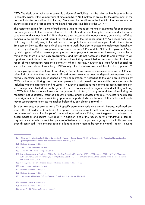CPTV. The decision on whether a person is a victim of trafficking must be taken within three months or, in complex cases, within a maximum of nine months.<sup>184</sup> No timeframes are set for the assessment of the personal situation of victims of trafficking. Moreover, the deadlines in the identification process are not always respected in practice due to the limited resources available to the CPTV.<sup>185</sup>

The residence permit for victims of trafficking is valid for up to six months in exchange for cooperation, and one year due to the personal situation of the trafficked person. It may be renewed under the same conditions and without time limit.<sup>186</sup> It gives no direct access to the labour market, but entitles trafficked persons to be granted a work permit for the duration of the residence permit.<sup>187</sup> As a recognised special category of foreigners, trafficked persons can apply for a personal work permit with the National Employment Service. This not only allows them to work, but also to access unemployment benefits.<sup>188</sup> Particularly noteworthy is a cooperation agreement between CPTV and the National Employment Agency, which gives trafficked persons priority access to employment programmes. However, the challenge remains that there are few such programmes, and they do not necessarily lead to employment.<sup>189</sup> On a positive note, it should be added that victims of trafficking are entitled to accommodation for the duration of their temporary residence permit.<sup>190</sup> What is missing, however, is a state-funded specialised shelter for male victims of trafficking. CPTV usually refers them to a state institution for elderly persons.<sup>191</sup>

In principle, (presumed) victims of trafficking in Serbia have access to services as soon as the CPTV receives indications that they have been trafficked. Access to services does not depend on the person being formally identified, nor does it depend on their cooperation.<sup>192</sup> According to the law, once identified by CPTV, victims of trafficking are considered persons in social need, and are entitled to social security, including material assistance and housing.<sup>193</sup> However, according to the national research, access to services is in practice limited due to the general lack of resources and the significant understaffing not only of CPTV, but of the social welfare system in general. In addition, in many cases victims of trafficking are reportedly not adequately informed about their rights and the services available.<sup>194</sup> Access to health care for foreign victims of human trafficking appears to be particularly problematic. Unlike Serbian nationals, they must first pay for services themselves before they can obtain a refund.<sup>195</sup>

Serbian law does not provide for a THB-specific permanent residence permit. Instead, trafficked persons – like all holders of (any kind of) temporary residence permit – will be granted access to general permanent residence after five years' continued legal residence, if they meet the general criteria (such as accommodation and secure livelihood).<sup>196</sup> In addition, one of the reasons for the withdrawal of temporary residence permits for trafficked persons in Serbia is that the proceedings against the traffickers have been discontinued. Thus, the prospects of a long-term stay seem to be rather low and – again – beyond

- 190 Art 63 Law on Foreigners (Serbia).
- 191 National Research, Serbia, p. 18.
- 192 National Research, Serbia, p. 24.

<sup>184</sup> Office for Coordination of Activities in Combating Trafficking in Human Beings, Ministry of Interior of the Republic of Serbia, Standard Operating Procedures for the Treatment of Victims of Trafficking, 2018

<sup>185</sup> National Research, Serbia, p. 8.

<sup>186</sup> Art 62 Law on Foreigners (Serbia).

<sup>187</sup> As per Art 63.5 Law on Foreigners (Serbia).

<sup>188</sup> Law on Employment of Foreigners, Official Gazette of the Republic of Serbia, Nos. 128/14 of 26 November 2014, 113/17 of 17 December 2017, 50/18 of 29 June 2018 and 31/19 of 29 April 2019. See also Rulebook on Work Permits, Official Gazette of the Republic of Serbia, Nos. 94/2015 and 9/2018.

<sup>189</sup> But only if they are available and financed. National Research, Serbia, p. 19-20.

<sup>193</sup> Law on Social Welfare, Official Gazette of the Republic of Serbia, No 24/11.

<sup>194</sup> National Research, Serbia, p. 24.

<sup>195</sup> National Research, Serbia, p. 15.

<sup>196</sup> As per Art 68, 70 Law on Foreigners (Serbia).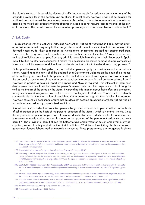the victim's control.<sup>197</sup> In principle, victims of trafficking can apply for residence permits on any of the grounds provided for in the Serbian law on aliens. In most cases, however, it will not be possible for trafficked persons to meet the general requirements. According to the national research, a humanitarian permit is the most likely option for victims of trafficking, as it does not require them to meet all of the general conditions. The permit is issued for six months up to one year and is renewable without time limit.<sup>198</sup>

#### A.3.6. Spain

In accordance with the CoE Anti-Trafficking Convention, victims of trafficking in Spain may be granted a residence permit; they may further be granted a work permit in exceptional circumstances if it is deemed necessary for their cooperation in investigations or criminal proceedings against traffickers. They may also be granted such permits in response to their personal situation.<sup>199</sup> With these permits, victims of trafficking are exempted from any administrative liability arising from their illegal stay in Spain. Even if this has no other consequences, it makes the application procedure somewhat more complicated in as much as it foresees an additional step and adds another actor to the decision-making process.<sup>200</sup>

Only upon the exemption being declared can trafficked persons apply for a residence and work authorisation. According to the law, it shall be declared by a Government Delegate on the basis of a proposal of the authority in contact with the person in the context of criminal investigations or proceedings. If the personal circumstances of the victim are to be taken into account, it shall be declared ex officio.<sup>201</sup> However, in practice a detailed report by a specialised NGO is required. This intervention plan must demonstrate the causal link between the person's vulnerability and their experience of trafficking, as well as the impact of the crime on the victim, by providing information about their safety and protection, family situation and integration process (or at least the willingness to start one).<sup>202</sup> In principle, it is highly commendable that the information of specialised victim protection organisations is taken into account. However, care should be taken to ensure that this does not become an obstacle for those victims who do not wish to be cared for by a specialised institution.

Spanish law first provides that trafficked persons be granted a provisional permit (either on the basis of collaboration or on the basis of the personal situation of the victim), which is not time-limited. Once this is granted, the person applies for a foreigner identification card, which is valid for one year and is renewed annually until a decision is made on the granting of the permanent residence and work permit.<sup>203</sup> The provisional permit allows the holder to take employment or be self-employed in any occupation, sector of activity and without territorial limitations.<sup>204</sup> Victims of trafficking also have access to government-funded labour market integration measures. These programmes are not generally aimed

<sup>197</sup> In addition, as per Art 64 of the Serbian Law on Foreigners, permits under Art 62 are to be withdrawn at any given moment if the trafficked person no longer fulfils the conditions and in particular has renewed contact to the traffickers, has ceased to cooperate or has been deceitful in cooperation.

<sup>198</sup> As per Art 61 of the Law on Foreigners (Serbia). National Research, Serbia, pp. 35, 37.

<sup>199</sup> According to Art 59.4 Organic Law 4/2000, of 11 January, on the rights and freedoms of foreigners in Spain and their social integration, reformed through the Aliens Act. 2/2009, BOE-A-2000-544; implemented by regulation through Art 141-144 Royal Decree 557/2011, approving the regulation of Organic Law 4/2000, on the rights and freedoms of foreigners in Spain and their social integration, BOE-A-2011-7703.

<sup>200</sup> See CoE, GRETA(2018)7 Spain, para 197. Already in 2013, GRETA was concerned that this poses an additional condition for the access to residence for trafficked persons and adds another layer of decision-making by a separate authority. See CoE, GRETA(2013)16 Spain, para 207.

<sup>201</sup> Art 143.1 Royal Decree (Spain). Interestingly, there is only brief mention of the possibility that the exemption can be granted based on the victim's personal circumstances, and it provides for this being done ex officio... National research, Spain, p. 44.

<sup>202</sup> It should include relevant documents, such as academic and medical certificates or reports, reports from other organisations, a social and proposed work plan, as well as information regarding the schooling of dependent children. National Research, Spain, pp. 44-45.

<sup>203</sup> Art 144 Royal Decree 557/2011 (Spain). National Research, Spain.

<sup>204</sup> As per Art 59 bis Organic Law 4/2000 (Spain).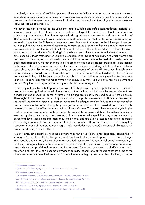specifically at the needs of trafficked persons. However, to facilitate their access, agreements between specialised organisations and employment agencies are in place. Particularly positive is one national programme that foresees bonus payments for businesses that employ victims of gender-based violence, including victims of trafficking.<sup>205</sup>

Moreover, assistance measures, including the right to suitable and safe accommodation, material assistance, psychological assistance, medical assistance, interpretation services and legal counsel are not subject to pre-conditions. State-funded specialised organisations can provide assistance to victims of THB outside the formal identification procedure, and regardless of whether the victim wishes to co-operate with the authorities.<sup>206</sup> National research shows, however, that access to the full range of services, such as public housing or material assistance, in many cases depends on having a regular administrative status, and thus on the formal identification of the victim.<sup>207</sup> It should be added that funds for assistance and support to victims of trafficking in Spain have been allocated almost exclusively to women and girls, especially those trafficked for sexual exploitation. Other types of exploitation to which women are particularly vulnerable, such as domestic service or labour exploitation in the field of cosmetics, are not addressed adequately. Moreover, there is still a great shortage of assistance projects for male victims. In the whole of Spain, there is only one shelter for male victims of trafficking, with four places. National research considers this to be clear discrimination on grounds of gender.<sup>208</sup> Moreover, Spanish law is discriminatory as regards access of trafficked persons to family reunification. Holders of other residence permits may, if they fulfil the general conditions, submit an application for family reunification after one year. This does not apply to victims of human trafficking. They must wait until they receive a permanent permit. Only then can they apply for family reunification after one year .<sup>209</sup>

Particularly noteworthy is that Spanish law has established a catalogue of rights for crime  $victims<sup>210</sup>$ beyond those recognised in the criminal sphere, so that victims and their families can receive not only a legal but also a social response. Victims of trafficking are explicitly included as a vulnerable group. These rights focus mainly on access to justice in court. The protection needs of THB victims are assessed individually so that their special protection needs can be adequately identified, correct measures taken and secondary victimisation during the pre-negotiation and judicial phase avoided. Most importantly, there are the so-called offices for the benefit of victims of crime. There, social workers and psychologists work in constant coordination with the police to protect the physical safety of the victims (e.g. being escorted by the police during court hearings). In cooperation with specialised organisations working at regional level, victims are informed about their rights, and are given access to assistance regardless of their origin, administrative situation or other circumstances.<sup>211</sup> However, lack of adequate budgetary resources in many of the Autonomous Regions (Comunidades Autónomas) may pose challenges to the proper functioning of these offices.

A highly promising practice is that the permanent permit gives victims a real long-term perspective of staying in Spain. It is valid for five years, and is automatically renewed upon request. It is no longer THB-specific and can only be withdrawn for specified reasons.<sup>212</sup> A fundamental defect however, is, is the lack of a legally binding timeframe for the processing of applications. Consequently, national research shows that provisional permits are often renewed for several years without clarifying the criteria for when and how they can become permanent permits. Indeed, one of the strongest criticisms of the otherwise more victim-centred system in Spain is the lack of legally defined criteria for the granting of

<sup>205</sup> National Research, Spain, p. 22.

<sup>206</sup> See CoE, GRETA(2018)7 Spain, para 153; National Research, Spain, p. 24.

<sup>207</sup> National Research, Spain, p. 24.

<sup>208</sup> National Research, Spain, pp. 25-26. See also CoE, GRETA(2018)7 Spain, para 114, 137.

<sup>209</sup> The same applies to applications for citizenship. National Research, Spain, pp. 42-43, 46.

<sup>210</sup> Through Act 4/2015 of 27 April 2015 on the Statute of Crime Victims.

<sup>211</sup> See CoE, GRETA(2018)7 Spain, para 154; National Research, Spain, p. 10.

<sup>212</sup> E.g. in case of the commission of serious offences. National Research, Spain, p. 45.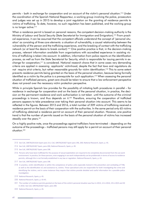permits – both in exchange for cooperation and on account of the victim's personal situation.<sup>213</sup> Under the coordination of the Spanish National Rapporteur, a working group involving the police, prosecutors and judges was set up in 2015 to develop a joint regulation on the granting of residence permits to victims of trafficking. To date, however, no such regulation has been published, and the working group is no longer active.<sup>214</sup>

When a residence permit is based on personal reasons, the competent decision-making authority is the Ministry of Labour and Social Security (State Secretariat for Immigration and Emigration).<sup>215</sup> From practical experience, it can be assumed that the competent officials understand the concept of 'personal situation' as consisting of three core elements: a situation of vulnerability, a causal relationship between the vulnerability of the person and the trafficking experience, and the breaking of contact with the trafficking network (or at least the desire to break contact).<sup>216</sup> One positive practice is that, in the decision-making process, relevant information available from organisations with accredited experience in assisting victims of trafficking is taken into account. In addition, information from police reports on the identification process, as well as from the State Secretariat for Security, which is responsible for issuing permits in exchange for cooperation,<sup>217</sup> is considered. National research shows that in some cases very demandina criteria are applied in assessing applicants' victimhood, despite the fact that laws and regulations do not require strict criteria, but rather reasonable grounds for victim identification.<sup>218</sup> This to some extent prevents residence permits being granted on the basis of the personal situation, because being formally identified as a victim by the police is a prerequisite for such application.<sup>219</sup> When assessing the personal situation of trafficked persons, great care should be taken to ensure that a law enforcement perspective does not prevail over the necessary victim protection perspective.

While in principle Spanish law provides for the possibility of initiating both procedures in parallel – for residence in exchange for cooperation and on the basis of the personal situation, in practice, the decision on the permanent residence and work authorisation is not taken until the outcome of the criminal proceedings is known, and thus depends on it.<sup>220</sup> Therefore, ensuring the cooperation of trafficked persons appears to take precedence over taking their personal situation into account. This seems to be reflected in the figures. Between 2013 and 2016, a total number of 209 victims of trafficking received a residence permit on the basis of their cooperation with the authorities. In the same period only 65 victims of trafficking obtained a residence permit on account of their personal situation. However, one positive trend is that the number of permits issued on the basis of the personal situation of victims has increased steadily over the years.<sup>221</sup>

On a highly positive note, once the proceedings against traffickers have terminated - depending on the outcome of the proceedings – trafficked persons may still apply for a permit on account of their personal situation.<sup>222</sup>

<sup>213</sup> See CoE, GRETA(2013)16 Spain para 211; CoE, GRETA(2018)7 Spain para 196, 200; National Research, Spain, p. 45.

<sup>214</sup> See CoE, GRETA(2018)7 Spain, para 200; National Research, Spain, p. 49.

<sup>215</sup> See CoE, GRETA(2018)7 Spain, para 198.

<sup>216</sup> Persons who have been trafficked for the purpose of sexual exploitation are required to be completely disconnected from the sex work environment. In practice, for these persons, even engaging in sex work independently can be problematic in terms of access to residence permits, although this is not formally established in any law or regulation. National Research, Spain, p. 43.

<sup>217</sup> See CoE, GRETA(2018)7 Spain, para 198.

<sup>218</sup> In practice, victim identification is within the competence of police units especially trained in the prevention and combating of THB, as well as the identification of, and assistance to, victims. These specialised units are responsible for both investigating the crime and identifying the victims, and in some instances they require that victims provide detailed and useful information for a possible police investigation.

<sup>219</sup> National Research, Spain, p. 45.

<sup>220</sup> National Research, Spain, p. 43-45.

<sup>221</sup> The number of residence permits granted on the basis of the victim's personal situation was four in 2013, 12 in 2014, 19 in 2015 and 30 in 2016. See CoE, GRETA(2018)7 Spain, para 200.

<sup>222</sup> National Research, Spain, p. 45.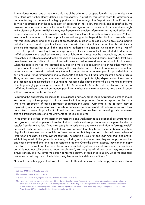As mentioned above, one of the main criticisms of the criterion of cooperation with the authorities is that the criteria are neither clearly defined nor transparent. In practice, this leaves room for arbitrariness, and creates legal uncertainty. It is highly positive that the Immigration Department of the Prosecution Service has stressed that the requirement of cooperation has a low threshold, and is satisfied by the provision of information potentially useful for the investigation or prosecution of a crime. Accordingly, while victims of human trafficking may not fraudulently provide information to the authorities, their cooperation need not be effective either in the sense that it leads to arrests and/or convictions.<sup>223</sup> However, what is demanded of victims in practice sometimes goes far beyond this. National research shows that this varies depending on the stage of proceedings. In order to be eligible for a provisional permit, trafficked persons must in practice file a complaint with the police. It is expected that this will include detailed information that is verifiable and allows authorities to open an investigation into a THB offense. On a positive note, legal proceedings against traffickers must not yet have started. Furthermore, trafficked persons are required to ensure their collaboration throughout the proceedings, and to make themselves available to respond to the requests of police, prosecutors and courts. Only when traffickers have been convicted is it certain that victims will receive a residence and work permit valid for five years. When the case is shelved, the accused acquitted or if there is a conviction of a crime other than THB, the permanent permit may be refused. Only if the acquittal is due to a lack of evidence and the victim's testimony has not been discredited, may the victim be granted a permanent permit – provided that she or he has at all times remained willing to cooperate and has met all requirements of the penal process. Thus, in practice obtaining a permanent residence permit in Spain is highly dependent on the outcome of proceedings against traffickers. But national research also shows that for the 18 months at the time of writing, a highly promising practice of the State Secretariat for Security could be observed: victims of trafficking have been granted permanent permits on the basis of the evidence they have given in court, without having to wait for a verdict.<sup>224</sup>

Regarding the application procedure for a residence and work authorisation, trafficked persons should enclose a copy of their passport or travel permit with their application. But an exception can be made where the production of these documents endangers the victim. Furthermore, the passport may be replaced by a valid registration card, which in principle can be obtained with relative ease from local authorities. However, in practice, trafficked persons may face problems in accessing such documents due to different practices and requirements at the regional level.<sup>225</sup>

In the event of a refusal of the permanent residence and work permits in exceptional circumstances on both grounds, trafficked persons have two further possibilities to apply for a residence permit under the regular Spanish aliens law. They may apply for a residence and work permit due to 'arraigo social', i.e. social roots. In order to be eligible they have to prove that they have resided in Spain (legally or illegally) for three years or more. It is particularly onerous that they must also substantiate some level of integration and show an employment contract. The permit is issued for one year. After that, and provided that they meet all the general conditions, including a minimum income, they can apply for another one-year permit and enter the regular residence regime. Once the permit expires, they can then apply for a two-year permit and thereafter for an uninterrupted legal residence of five years. The residence permit is automatically extended (upon application), can only be withdrawn under very exceptional circumstances, and thus gives the person concerned security of residence in Spain. Once the long-term residence permit is granted, the holder is eligible to reside indefinitely in Spain.<sup>226</sup>

National research suggests that, as a last resort, trafficked persons may also apply for an exceptional

<sup>223</sup> See GRETA(2018) 7 Spain, para 198.

<sup>224</sup> National Research, Spain, p. 47-50

<sup>225</sup> See CoE, GRETA(2018)7 Spain, para 201: National Research, Spain, p. 40.

<sup>226</sup> Also, they must not have a criminal record from the previous five years. To prove their integration into Spanish society they have to prove that they have family ties in Spain, or can produce a report attesting to their integration issued by the Autonomous Community in which they reside. The employment contract must be signed and for at least a year when they apply for the permit. As per Art 124.2 Royal Decree 557/2011 (Spain). National Research, Spain, pp. 45, 48.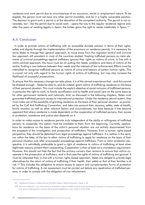residence and work permit due to circumstances of an economic, social or employment nature. To be eligible, the person must not have any other permit available, and be in a highly vulnerable position. The decision to grant such a permit is at the discretion of the competent authority. The permit is not renewable, but – like the permit due to social roots – opens the way to the regular residence regime and, after five years of residing legally in Spain, the holder gains the right to reside indefinitely in Spain.<sup>227</sup>

## **A.4. Conclusion**

In order to provide victims of trafficking with an accessible durable solution in terms of their rights, safety and dignity through the implementation of the provisions on residence permits, it is necessary for some States to change their general approach, to move away from the migration control and criminal law approach still prevalent in most of the countries studied. Treating trafficked persons as mere elements of criminal proceedings against traffickers ignores their rights as victims of crime. In line with a victim-centred approach, the focus must be on putting the needs, problems and fears of victims at the centre, finding a new balance between their needs and the interests of law enforcement. Efforts must be intensified to recognise trafficked persons as victims of crime and bearers of certain human rights. This is crucial not only with regard to the human rights of victims of trafficking, but may also increase the likelihood of successful prosecutions.

To ensure that this necessary change can take place, it is of the utmost importance that – and this cannot be stressed enough – States be able to, and do indeed, grant victims of trafficking residence on the basis of their personal situation. This must include the explicit objective of social inclusion of trafficked persons, in particular the right to work, to family reunification and to health and social care on the same basis as for other permanent residents and nationals. And, as discussed in the following chapters, States must guarantee trafficked persons access to international protection. Under the residence permit system, they must make use of the possibility of granting residence on the basis of their personal situation as provided by the CoE Anti-Trafficking Convention, and take into account their recovery, safety, state of health, family situation as well as other relevant factors and circumstances; not least because it has become apparent that where residence is made dependent on the cooperation of trafficked persons, their access to protection, assistance and justice also depends on it.

In order to make access to residence permits truly independent of the ability or willingness of trafficked persons to cooperate, this option must be available to them from the beginning. Currently, applications for residence on the basis of the victim's personal situation are not entirely disconnected from the prospects of the investigation and prosecution of traffickers. However, from a human rights-based perspective, they should be detached from legal proceedings against traffickers. It is neither in the spirit, nor within the letter, of the law to allow victims of trafficking to apply for residence on the basis of their personal situation only after unsuccessful proceedings against traffickers. From a victim protection perspective, it is admittedly preferable to grant a right of residence to victims of trafficking at least when legitimate reasons prevent them cooperating. Cooperation is then at least not a mandatory requirement. However, this should not hide the fact that the primary concern then remains to ensure that victims cooperate in the prosecution of traffickers, and in that case the rights of victims of trafficking are ignored. It must be reiterated that, in line with a human rights-based approach, States are obliged to provide legal alternatives for the return of victims of trafficking if their health, their safety or that of their families is at risk.<sup>228</sup> This includes the obligation to ensure access to asylum and complementary forms of protection for victims of trafficking. A risk assessment must be carried out before any repatriation of trafficked persons, in order to comply with the obligation of non-refoulement.

<sup>227</sup> Additional Provision 1.4 Royal Decree 557/2011 (Spain). National Research, Spain, p. 46.

<sup>228</sup> See next chapter B.1.3 on cases where an individual; medical condition may be exacerbated by the expulsion to the point of resulting in such severe suffering that it reaches the threshold established under Article 3 of the ECHR.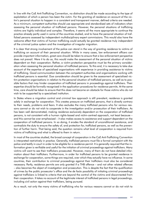In line with the CoE Anti-Trafficking Convention, no distinction should be made according to the type of exploitation of which a person has been the victim. For the granting of residence on account of the victim's personal situation to happen in a consistent and transparent manner, defined criteria are needed. As a minimum, competent authorities should use appropriate and standardised sets of indicators when assessing the personal situation of trafficked persons. However, the personal situations of trafficking victims are highly individual and complex. Therefore, it seems all the more appropriate to continue the practice already partly used in some of the countries studied, and to have the personal situation of trafficked persons assessed by independent multidisciplinary expert commissions. This would also have the welcome effect that victims of human trafficking could actually be granted residence truly independent of the criminal justice system and the investigation of irregular migration.

It is clear that strong involvement of the police can stand in the way of granting residence to victims of trafficking on account of their personal situation. While in many cases, law enforcement officers can provide important information, great care should be taken to ensure that a law enforcement perspective does not prevail. Were it to do so, this would make the assessment of the personal situation of victims dependent on their cooperation. Rather, a victim-protection perspective must be the primary consideration when assessing the personal situation of trafficked persons. To this end, it is necessary to take due account of the expertise of specialised organisations with experience in providing assistance to victims of trafficking. Good communication between the competent authorities and organisations working with trafficked persons is essential. Due consideration should be given to the assessment of specialised victim-protection organisations in relation to the personal situation of trafficked persons, as well as to possible factors that may hinder cooperation of trafficked persons in proceedings against traffickers. Their expertise should be formally recognised in the application procedures for residence permits. At the same time, care should be taken to ensure that this does not become an obstacle for those victims who do not wish to be supported by a specialised institution.

In States where a migration control and criminal law approach is still prevalent, residence is granted solely in exchange for cooperation. This creates pressure on trafficked persons, that is directly contrary to their needs, problems and fears. It also excludes the many trafficked persons who for various reasons cannot or do not wish to cooperate in the investigation and/or prosecution of their traffickers. As has been well demonstrated, making residence exclusively dependent on the cooperation of trafficked persons, is not consistent with a human rights-based and victim-centred approach, not least because – and this cannot be over-emphasised – it also makes access to assistance and support dependent on the cooperation of trafficked persons. In so doing, it erodes the standard of unconditional assistance, and contradicts the duty to ensure the safety of, and protection for, trafficked persons, as well as the prevention of further harm. That being said, the question remains what level of cooperation is required from victims of trafficking and what is offered to them in return.

In most of the countries studied, the broad concept of cooperation in the CoE Anti-Trafficking Convention is interpreted restrictively in practice. Generally, trafficked persons must file a formal complaint with the police and testify in court in order to be eligible for a residence permit. It is generally required that the information given is verifiable and useful for the initiation of criminal proceedings against traffickers. Many victims will want to see their traffickers prosecuted. However, many of them do not have detailed information about their traffickers. Furthermore, in order for trafficked persons to be granted residence in exchange for cooperation, some things are required, over which they actually have no influence. In some countries, their contribution to criminal proceedings against their traffickers must also be considered necessary. Partly, residence permits are only granted if a THB offence – and not other related offences - also becomes the object of investigation and prosecution. This is despite the fact that the qualification of crimes by the public prosecutor's office and the de facto possibility of initiating criminal proceedings against traffickers is linked to criteria that are beyond the control of the victims and disconnected from their cooperation. It takes no account of the legitimate interest of trafficked persons in legal proceedings, including civil action against their traffickers, being pursued.

As a result, not only the many victims of trafficking who for various reasons cannot or do not wish to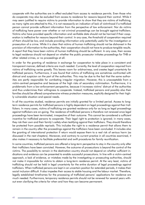cooperate with the authorities are in effect excluded from access to residence permits. Even those who do cooperate may also be excluded from access to residence for reasons beyond their control. While it may seem justified to require victims to provide information to show that they are victims of trafficking, as many rights are attached to this, it is not necessarily an indication of lack of victimhood if a trafficked person cannot provide sufficient information from the perspective of law enforcement. Nor do victims of trafficking have power over whether or not criminal proceedings can be brought against traffickers. Victims who have provided specific information and verifiable data should not be harmed if their cooperation is ineffective for reasons beyond their control. In any case, the threshold of cooperation required of them should be low, and include providing information only potentially useful for the investigation or prosecution of a crime. While it is clear that victims of human trafficking should not be dishonest in the provision of information to the authorities, their cooperation should not have to produce tangible results. A report that they have been victims of human trafficking should be sufficient. In any case, their access to legal residence should not depend on whether the public prosecutor initiates proceedings for THB or other related crimes, or no proceedings at all.

In order for the granting of residence in exchange for cooperation to take place in a consistent and transparent manner, defined criteria are much needed. Currently, the level of cooperation required from victims of trafficking varies greatly. This leaves room for arbitrariness, and creates legal uncertainty for trafficked persons. Furthermore, it was found that victims of trafficking are sometimes confronted with distrust and suspicion on the part of the authorities. This may be due to the fact that the same authorities are partly responsible for combating irregular migration. However, this is unacceptable from a victim-centred perspective and because of the high risks of secondary victimisation. Furthermore, it is problematic from a law enforcement perspective, because it increases victims' distrust of the authorities and thus undermines their willingness to cooperate. Instead, trafficked persons and possibly also their families should be offered comprehensive witness protection measures, explicitly designed for their highly vulnerable situation and special needs.

In all the countries studied, residence permits are initially granted for a limited period. Access to longterm residence permits for trafficked persons is highly dependent on legal proceedings against their traffickers. In many cases, victims of trafficking are granted residence only for as long as legal proceedings against traffickers are on-going. The residence of trafficked persons is therefore not renewed once legal proceedings have been terminated, irrespective of their outcome. This cannot be considered a sufficient incentive for trafficked persons to cooperate. Their legal right to protection is ignored; in many cases, they risk their own and their family's safety when testifying against their traffickers. They should therefore be protected from possible reprisals. This includes the right to a residence permit that allows them to remain in the country after the proceedings against the traffickers have been concluded. It includes also the granting of international protection if return would expose them to a real risk of serious harm (as discussed in the next chapters). Moreover, and contrary to current practice in all countries examined, it also makes it necessary to facilitate preferential and swift procedures for family reunification.

In some countries, trafficked persons are offered a long-term perspective to stay in the country only after their traffickers have been convicted. However, the outcome of prosecutions is beyond the control of the victims. The possibility to remain in the destination country should not depend on whether sufficient indications and evidence can be presented to enable successful prosecutions. In line with a victim-centred approach, a lack of evidence, or mistakes made by the investigating or prosecuting authorities, should not make it impossible for victims to obtain a long-term residence permit. At the very least, victims of trafficking should not be held in legal uncertainty for the entire duration of legal proceedings against traffickers. When trafficked persons are kept in an uncertain position for extended periods, it makes their social inclusion difficult. It also impedes their access to stable housing and the labour market. Therefore, legally established timeframes for the processing of trafficked persons' applications for residence are much needed. Furthermore, temporary residence permits should not be renewed for several years without even clarifying the criteria for when and how they can become permanent.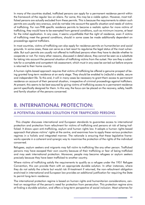In many of the countries studied, trafficked persons can apply for a permanent residence permit within the framework of the regular law on aliens. For some, this may be a viable option. However, most trafficked persons are actually excluded from these permits. This is because the requirements to obtain such permits are usually very onerous, and do not take into account the specific situation and needs of victims of trafficking. For non-THB specific residence permits to become a realistic option for more victims of trafficking, they would have to be exempted from general conditions, such as minimum income, at least for the initial application. In any case, it seems unjustifiable that the right of residence, even if victims of trafficking meet the general conditions, should in some cases be made additionally dependent on proceedings against traffickers.

In most countries, victims of trafficking can also apply for residence permits on humanitarian and social grounds. In some cases, these can serve as a last resort to regularise the legal status of the most vulnerable. But such permits are usually not offered to trafficked persons when they have to decide whether to cooperate or not. For many other reasons, discussed in detail above, they cannot be seen as a substitute for taking into account the personal situation of trafficking victims from the outset. Nor are they a substitute for a complete and competent risk assessment, which must in any case be carried out before anyone is returned to their home country.

A human rights-based approach requires that victims of trafficking be offered a genuine prospect of being granted long-term residence at an early stage. They should be enabled to (re)build a stable, secure and independent life. To this end, it will in many cases be necessary to grant them access to permanent residence on account of their personal situation, irrespective of criminal proceedings against traffickers. At present, this seems to be best assured by giving victims of trafficking access to a permanent residence permit specifically designed for them. In this way, the focus can be placed on the recovery, safety, health and family situation of the persons concerned.

# **B. INTERNATIONAL PROTECTION:**

# A POTENTIAL DURABLE SOLUTION FOR TRAFFICKED PERSONS

This chapter discusses international and European standards to guarantee access to international protection and protection from refoulment for victims of trafficking and persons at risk of being trafficked. It draws upon anti-trafficking, asylum and human rights law. It adopts a human rights-based approach that places victims' rights at the centre, and examines how to apply these various protection regimes in a holistic and integrated manner. The rationale is ensuring that these legislative frameworks operate in a coherent and synergic way to maximise the protection of the rights of the individual concerned.

Refugees, asylum seekers and migrants may fall victim to trafficking like any other person. Trafficked persons may have escaped their own country because of their trafficking or fear of being trafficked and may seek international protection. Moreover, people may become refugees or asylum seekers precisely because they have been trafficked to another country.

Where victims of trafficking satisfy the requirements to qualify as a refugee under the 1951 Refugee Convention, this can provide them with an appropriate durable solution. In other instances, where they do not satisfy the criteria but would risk ill-treatment if returned, the non-refoulment obligation enshrined in international and European law provides an additional justification for requiring the State to permit long-term residence.

The international protection regime is based on human rights and humanitarian considerations, centred on recognition of the person's need for protection from persecution. This protection regime aims at finding a durable solution, and offers a long-term perspective of social inclusion. Most schemes for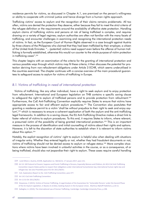residence permits for victims, as discussed in Chapter A.1, are premised on the person's willingness or ability to cooperate with criminal justice and hence diverge from a human rights approach.

Trafficking victims' access to asylum and the recognition of their claims remains problematic. All too often, victims are denied the protection they deserve, either because they fail to meet the strict criteria of the refugee definition or the requirements around the availability of effective state protection. Handling asylum claims of trafficking victims and persons at risk of being trafficked is complex, and requires drawing on a variety of legal regimes; asylum authorities are often not familiar with the many facets of trafficking, and encounter challenges in examining and recognising the international protection needs of victims. In fact, as the European Court of Human Rights observed in a case brought against Austria by three citizens of the Philippines who claimed that they had been trafficked by their employer, a citizen of the United Arab Emirates: "...(potential) victims need support even before the offence of human trafficking is formally established, otherwise this would run counter to the whole purpose of victim protection in trafficking cases".<sup>229</sup>

This chapter begins with an examination of the criteria for the granting of international protection and various possible ways through which victims may fit these criteria; it then discusses the potential for protection deriving from non-refoulement obligations under Article 3 ECHR, which seems underutilised in the countries examined. The chapter continues with a concise overview of the main procedural guarantees to safeguard access to asylum for victims of trafficking in Europe.

## B.1. Victims of trafficking in need of international protection

Victims of trafficking, like any other individual, have a right to seek asylum and to enjoy protection from refoulement. International and European legislation on THB contains a specific saving clause to safeguard the right to asylum of trafficked persons and to provide protection from refoulment.<sup>230</sup> Furthermore, the CoE Anti-Trafficking Convention explicitly requires States to ensure that victims have appropriate access to fair and efficient asylum procedures.<sup>231</sup> The Convention also postulates that granting a residence permit to a victim 'shall be without prejudice to their right to seek and enjoy asylum',<sup>232</sup> which is necessary to ensure a coherent application of both the asylum and the anti-trafficking legal frameworks. In addition to a saving clause, the EU Anti-Trafficking Directive makes a direct link to foster referral of victims to asylum procedures. To this end, it requires States to inform, where relevant, a presumed victim of the possibility of being granted international protection.<sup>233</sup> This is an important measure in the process of identification and initial counselling of victims about their rights and options. However, it is left to the discretion of state authorities to establish when it is relevant to inform victims about this option.<sup>234</sup>

Notably, the explicit recognition of victims' right to asylum is helpful also when dealing with situations of irregular entry. Whether they entered legally or not, whether they had fraudulent documents or not, victims of trafficking should not be denied access to asylum or refugee status.<sup>235</sup> More complex situations where victims have been involved in unlawful activities in the course, or as a consequence, of or being trafficked, should also not jeopardise their right to asylum. These cases require careful handling

<sup>229</sup> J and Others v Austria, ECtHR, Application no. 58216/12, 17 January 2017, para 115,

<sup>230</sup> Art 14 UN Protocol to Prevent, Suppress and Punish Trafficking in Persons, Especially Women and Children; Art 40.4 CoE Anti-Trafficking Convention require States parties to respect their obligations under international humanitarian law, international human rights law and refugee law. See also Preamble para.9 EU Dir 2011/36/EU.

<sup>231</sup> CoE, Explanatory Report to the Anti-Trafficking Convention, para 377.

<sup>232</sup> Art 14.5 CoE Anti-Trafficking Convention.

<sup>233</sup> Art 11 EU Dir 2011/36/EU.

<sup>234</sup> Stoyanova, V (2015), Victims of Human Trafficking. A Legal Analysis of the Guarantees for 'Vulnerable Persons' under the Second Phase of the EU Asylum Legislation, in Bauloz et al (Eds), Seeking Asylum in the European Union, Martinus Nijhoff Publishers, p.10-11.

<sup>235</sup> Gallagher, A. (2010), The International Law of Human Trafficking. Cambridge: Cambridge University Press, p.198.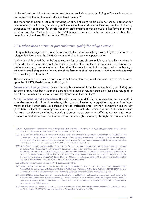of victims' asylum claims to reconcile provisions on exclusion under the Refugee Convention and on non-punishment under the anti-trafficking legal regime.<sup>236</sup>

The mere fact of being a victim of trafficking or at risk of being trafficked is not per se a criterion for international protection. Yet, depending on the individual circumstances of the case, a victim's trafficking experience may be relevant for consideration on entitlement to refugee status or other forms of complementary protection,<sup>237</sup> either based on the 1951 Refugee Convention or the non-refoulement obligations under international law. EU law and the ECHR.<sup>238</sup>

## B.1.1. When does a victim or potential victim qualify for refugee status?

To qualify for refugee status, a victim or potential victim of trafficking must satisfy the criteria of the refugee definition under the 1951 Convention<sup>239</sup> A refugee is any person who:

"owing to well-founded fear of being persecuted for reasons of race, religion, nationality, membership of a particular social group or political opinion is outside the country of his nationality and is unable or owing to such fear, is unwilling to avail himself of the protection of that country; or who, not having a nationality and being outside the country of his former habitual residence is unable or, owing to such fear, unwilling to return to it."

The definition can be broken down into the following elements, which are discussed below, drawing upon the UNHCR Guidelines on trafficking.<sup>240</sup>

Presence in a foreign country: She or he may have escaped from the country fearing trafficking persecution or may have been victimised abroad and in need of refugee protection (sur place refugees). It is irrelevant whether the person arrived legally or not in the country.<sup>241</sup>

A well-founded fear of persecution: There is no universal definition of persecution, but generally, it comprises serious violations of non-derogable rights and freedoms, or repetitive or systematic infringements of other human rights or different kinds of intolerable predicament.<sup>242</sup> Persecution is generally at the hand of the State, but may also be recognised as such when caused by non-State actors, where the State is unable or unwilling to provide protection. Persecution in a trafficking context tends to encompass repeated and extended violations of human rights spanning through the continuum from

<sup>236</sup> UNGA, Convention Relating to the Status of Refugees and its 1967 Protocol, 28 July 1951, UNTS, vol. 189, (hereinafter Refugee Convention), Art 31; Art 26 CoE Anti-Trafficking Convention, Art 8 EU Dir 2011/36/EU.

<sup>237</sup> The focus here is on ECtHR case law under Art 3, which is equally relevant for subsidiary protection under the EU Dir 2011/95/EU of the European Parliament and of the Council of 13 December 2011 on standards for the qualification of third-country nationals or stateless persons as beneficiaries of international protection, for a uniform status for refugees or for persons eligible for subsidiary protection, and for the content of the protection granted, OJ L377/9 (hereinafter Qualification Dir).

<sup>238</sup> Non-refoulement obligations are established under Art 33 of the 1951 Refugee Convention; Art 7 of the 1966 International Covenant on Civil and Political Rights (ICCPR); Art 3 of the 1984 Convention against Torture and Other Cruel, Inhuman or Degrading Treatment or Punishment (CAT); Art 14 of the UN Trafficking in Persons Protocol, which refers to the principle of non-refoulement in the context of asylum. In European law, non-refoulment is set in: Art 2 and 3 of the European Convention on Human Rights (ECHR); Art 78 (1) of the Treaty on the Functioning of the EU; Art 4, 18 and 19 of the EU Charter of Fundamental Rights (EU Charter); Art 21 of the Qualification Dir; Art 9 Asylum Procedures Dir (APD) 2013/32/EU; Art 5 Return Dir 2008/115/EC.

<sup>239</sup> Art 1A Refugee Convention, reiterated in Art 2 Qualification Directive.

<sup>240</sup> UNHCR, (2006), Guidelines on International Protection No. 7: The Application of Article 1A(2) of the 1951 Convention and/or 1967 Protocol Relating to the Status of Refugees to Victims of Trafficking and Persons At Risk of Being Trafficked, HCR/GIP/06/07. See also Piotrowicz, R, 'The UNHCR's Guidelines on Human Trafficking' (2008) 20 International Journal of Refugee Law p. 242.

<sup>241</sup> Art 31 1951 Convention deals with the non-penalisation of refugees for illegal entry as long as the person makes herself known to the authorities and puts forward a claim for protection upon arrival. Furthermore, Art 26 of the CoE Anti-Trafficking Convention establishes the non-punishment of victims for their involvement in illegal activities to the extent that such involvement is a direct consequence of their situation as trafficked persons.

<sup>242</sup> Hathaway defines persecution as "the sustained or systemic violation of basic human rights demonstrative of a failure of state protection" in Hathaway, J C (1991), The Law of Refugee Status, Toronto, Butterworths, p. 104-105.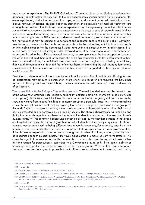recruitment to exploitation. The UNHCR Guidelines n.7 point out how the trafficking experience fundamentally may threaten the very right to life and encompasses serious human rights violations. "[S] evere exploitation, abduction, incarceration, rape, sexual enslavement, enforced prostitution, forced labour, removal of organs, physical beatings, starvation, the deprivation of medical treatment" are among those violations that trafficked persons experience, and they generally amount to acts of persecution.<sup>243</sup> When assessing the risk that such persecution would occur in case of return (forward-looking test), the individual's trafficking experience is to be taken into account as it impacts upon his or her fear of returning home. In THB cases, consideration needs to be also given to the cumulative harm to the individual that may be caused by a persistent and repeated pattern of discrimination, ostracism, rejection or punishment by the family and community or by the authorities, which in turn could create an intolerable situation for the traumatised victim, amounting to persecution.<sup>244</sup> In other cases, if returned home, a victim of trafficking could be exposed to direct or indirect retaliation by traffickers and or persons linked to the trafficking network because, for example, she or he has escaped, or because she or he has not paid their debt, or because she or he has cooperated with law enforcement authorities. In these situations, the individual may also be exposed to a higher risk of being re-trafficked, that would amount to a well-founded fear of serious harm.<sup>245</sup> Examining the well-founded fear entails considering both the person's state of mind (i.e. his or her fear) supported by the objective situation (well-founded).<sup>246</sup>

Over the past decade, adjudicators have become familiar predominantly with how trafficking for sexual exploitation may amount to persecution. More efforts and research are required into how other forms of trafficking (such as forced labour, domestic servitude, forced criminality) may constitute acts of persecution.

The causal link with the Refugee Convention grounds. The well-founded fear must be linked to one of the Convention grounds (race, religion, nationality, political opinion or membership of a particular social group). Traffickers may take these factors into account when targeting victims; for example, recruiting victims from a specific ethnic or minority group or a particular race. Yet, in most trafficking cases, the causal link is established by arguing that victims belong to a particular social group. To this end, "[it] is [..] necessary that they either share a common characteristic other than their risk of being persecuted or are perceived as a group by society. The shared characteristic will often be one that is innate, unchangeable or otherwise fundamental to identity, conscience or the exercise of one's human rights."<sup>247</sup> This common background cannot be defined by the fact that persons in that group are targeted for persecution; it must give them a distinct identity in the society in question. Trafficked persons may be perceived as being different from others in some way, for example, based on their gender. There may be situations in which it is appropriate to recognise women who have been trafficked for sexual exploitation as a particular social group. In other situations, women generally could be recognised as such a social subset.<sup>248</sup> However, adjudicators are more resistant to the latter. In THB cases the agent of persecution is usually a non-state actor. In such cases, the causal link exists either a) if the reason for persecution is connected to a Convention ground or b) if the Sate's inability or unwillingness to protect the person is linked to a Convention ground.<sup>249</sup> This notion is very important because it may be challenging to prove that the traffickers were motivated not merely by profit but by

<sup>243</sup> UNHCR, (2006), Guidelines on International Protection No. 7, para 15.

<sup>244</sup> Ibid, para 18.

<sup>245</sup> UNHCR, (2006), Guidelines on International Protection No. 7, para 18.

<sup>246</sup> Hathaway, J C & Foster, M (2014), Well-founded fear, in The Law of Refugee Status, Cambridge University Press, p.91-181.

<sup>247</sup> UNHCR, (2002), Guidelines on International Protection: "Membership of a Particular Social Group" Within the Context of Art I(A)(2) of the 1951 Convention and/or its 1967 Protocol Relating to the Status of Refugees, 11, HCR/GIP/02/02, para. 37.

<sup>248</sup> Ibid. para 12.

<sup>249</sup> UNHCR, Refugee Status Determination, Self-study module 2, 2005, p. 35. Hathaway, J C (2002), The Michigan Guidelines on Nexus to a Convention Ground, 23 Mich. J. Intl L. 211.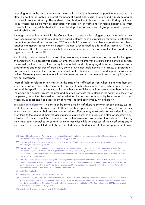intending to harm the person for whom she or he is.<sup>250</sup> It might, however, be possible to prove that the State is unwilling or unable to protect members of a particular social group or individuals belonging to a certain race or ethnicity. This understanding is significant also for cases of trafficking for forced labour where the nexus may be connected with race, or for trafficking for forced begging, in which causal link may be established with a membership of a particular social group defined as persons with disabilities.<sup>251</sup>

Although gender is not listed in the Convention as a ground for refugee status, international law now recognises that some forms of gender-based violence, such as trafficking for sexual exploitation, amount to gender-related persecution.<sup>252</sup> The Istanbul Convention on violence against women clearly requires that gender-based violence against women is recognised as a form of persecution.<sup>253</sup> The EU Qualification Directive also specifies that persecution can include acts of sexual violence and acts of a gender-specific nature.<sup>254</sup>

Availability of state protection. In trafficking scenarios, where non-state actors are usually the gaents of persecution, it is necessary to assess whether the State will intervene to protect this particular person. It may well be the case that the country has adopted anti-trafficking legislation and developed some programmes and measures of protection, but the law is not implemented in practice, or protection is not accessible because there is no real commitment or because resources and support services are lacking. There may also be situations in which protection cannot be provided due to corruption, impunity or lawlessness.

Internal flight or relocation alternative: In the case of a trafficked person, when examining their personal circumstances for such assessment, competent authorities should verify both the general situation and the specific circumstances,<sup>255</sup> i.e. whether the trafficker/s will persecute them there, whether the person can actually access the area and be effectively safe there. Besides the safety and security of the person, the authorities need to consider whether the person can reasonably be expected to access necessary support and has a possibility of normal life and economic survival there.<sup>256</sup>

Exclusion considerations: Victims may be compelled by traffickers to commit serious crimes, e.g. recruit other victims or otherwise assist traffickers in their operation, carry or sell drugs. In such cases, when they seek asylum, their involvement in serious offences may raise exclusion considerations and even lead to the denial of their refugee status, unless a defence of duress or a state of necessity is established.<sup>257</sup> It is important that competent authorities take into consideration that victims of trafficking may have been compelled to commit unlawful activities while or because of their trafficking and in such cases, they are entitled not to be prosecuted or punished in line with the non-punishment provi-

<sup>250</sup> For a critical discussion see Pomeroy, M.(2010), Left out in the cold: trafficking victims, gender and the misinterpretation of the Refugee Convention's Nexus Requirement, Mich. J. Gender & L. 453, p. 476-480.

<sup>251</sup> CoE GRETA, (2020) Guidance Note on the entitlement of victims of trafficking, and persons at risk of being trafficked, to international protection, GRETA(2020)06, para. 23.

<sup>252</sup> UNHCR (2002). Guidelines on International Protection No. 1: Gender-Related Persecution Within the Context of Art 1A(2) of the 1951 Convention and/or its 1967 Protocol Relating to the Status of Refugees", HCR/GIP/02/01, paras 10, 18; CEDAW (2014), General recommendation No. 32 on the gender-related dimensions of refugee status, asylum, nationality and statelessness of women, CEDAW/C/ GC/32, para 45; Pomeroy (2010).

<sup>253</sup> See CoE, (2011), Convention on preventing and combating violence against women and domestic violence, ETS 210, Art 60 (hereinafter Istanbul Convention). It does not refer explicitly to THB but among the forms of gender based violence includes sexual violence, (Art 36) psychological and physical violence (Art 33, 35) which are part of trafficking. See also, Hooper L, (2020), Gender-Based Asylum Claims and Non-Refoulement: Art 60 And 61 of the Istanbul Convention, CoE.

<sup>254</sup> Art 9 Qualification Dir

<sup>255</sup> Qualification Directive 2011 preamble para 27 and Art 8.

<sup>256</sup> Stovanova V. (2011). Complementary Protection for Victims of Human Trafficking under the European Convention on Human Rights, Goettingen Journal of International Law 3 (2011) 2, p.23. For guidance see UNHCR, (2003), Guidelines on International Protection No. 4: Internal Flight or Relocation Alternative within the context of Art 1A(2) of the 1951 Convention and/or 1967 Protocol relating to the Status of Refugees, HCR/GIP/03/04.

<sup>257</sup> Art 1D, 1E, 1F Refugee Convention, Art 12 Qualification Dir.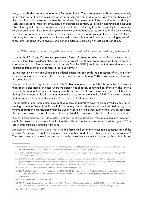sion, as established in international and European law.<sup>258</sup> These cases need to be assessed carefully and in light of all the circumstances where a person may be unable to act with free will because of the control and abuse exerted on them by traffickers. The assessment of the individual responsibility in such cases needs to interpret compulsion in the trafficking context, i.e. broadly meaning that it includes "the full array of factual circumstances in which victims of trafficking lose the possibility to act with free will; not only under the threat of physical violence or emotional abuse, but also in the devastatingly prevalent scenarios wherein traffickers exploit victims by abuse of a position of vulnerability".<sup>259</sup> Exclusion may be a form of punishment, States need to reconcile their obligations under refugee law with those anti-trafficking law to ensure sufficient and adequate protection of victims of trafficking.

#### B.1.2. When does a victim or potential victim qualify for complementary protection?

Under the ECHR and EU law, complementary forms of protection offer an additional avenue to securing a long-term residency status for victims of trafficking. They provide protection from removal in cases of a real risk of treatment contrary to Article 3 of the ECHR (prohibition of torture and inhuman or degrading treatment or punishment) or serious harm. 260

ECtHR case-law on non-refoulment sets out legal criteria that can guide the application of Art 3 in asylum cases, including those in which the applicant is a victim of trafficking.<sup>261</sup> The most relevant criteria are discussed below.

General nature of obligations under Article 3: No derogation from Article 3 is permitted. This means that Article 3 also applies in cases where the person has allegedly committed an offence.<sup>262</sup> The latter is particularly important for victims who may have been compelled to commit a crime because of their trafficking. Furthermore, Article 3 does not require the nexus with one of the five 1951 Convention grounds, and this renders it more readily applicable to claims by trafficking victims.

The principle of non-refoulement also applies in case of indirect removal to an intermediary country including a member State of the Council of Europe (e.g. Dublin return). As will be illustrated below, many victims of trafficking are returned under the Dublin Regulation to the first country of asylum. In such cases, it is necessary to assess risks of onward refoulement and the conditions in the place of proposed return.<sup>263</sup>

Risk of ill-treatment by non-State actors, not only public authorities: Protection obligations under Article 3 also cover those situations in which the risk of ill-treatment emanates from non-state agents.<sup>264</sup> This can include traffickers and their affiliates

Assessment of the existence of a real risk: The focus shall be on the foreseeable consequences of the applicant's removal, in light of the general situation there and of his or her personal circumstances.<sup>265</sup> The assessment has to take into account not only the evidence submitted by the applicant but also all

<sup>258</sup> Art 26 CoE Anti-Trafficking Convention and Art 8 EU Dir 2011/36/EU. See OSCE, (2013), Policy and legislative recommendations towards the implementation of the non-punishment provision with regard to victims of trafficking, para 14.

<sup>259</sup> See OSCE, (2013), Policy and legislative recommendations towards the implementation of the non-punishment provision with regard to victims of trafficking, para 14.

<sup>260</sup> The ECtHR has interpreted Art 3 as including an obligation not to expel a person where substantial grounds have been shown for believing that the person concerned if removed would face a real risk of harm -such that it would reach the severity of torture or inhuman or degrading treatment. See ECtHR, Saadi v. Italy, Application No. 37201/06, 28 February 2008, para 125.

<sup>261</sup> ECtHR, J.K. v. and Others v. Sweden, Application No. 59166/12, 23 August 2016.

<sup>262</sup> ECtHR, Chahal v, United Kingdom, Application No. 22414/93, 15 November 1996, para 79-80; ECtHR, Labita v, Italy Application No. 26772/95, 2000 para 119; ECtHR, Selmouni v. France, Application No. 25803/94, 28 July 1999, para 95, 1999; ECtHR, K. and Others v. Sweden, para 77.

<sup>263</sup> ECtHR, K. and Others v. Sweden, para 78.

<sup>264</sup> ECtHR, K. and Others v. Sweden, para 80. See also ECtHR - Tarakhel v. Switzerland, Application No 29217/12, Judgment of 4 November 2014, para 104.The source of the risk of ill-treatment is irrelevant when assessing the situation, any source of risk may be relevant.

<sup>265</sup> ECtHR, F.G. v. Sweden, para 115.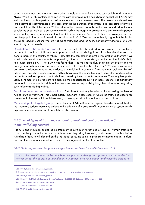other relevant facts and materials from other reliable and objective sources such as UN and reputable NGOs.<sup>266</sup> In the THB context, as shown in the case examples in the next chapter, specialised NGOs may well provide valuable expertise and evidence to inform such an assessment. The assessment should take into account all circumstances of the case, such as the duration of treatment, age, sex, state of physical and mental health of the person.<sup>267</sup> The risk must be assessed not only on the basis of individual factors, considered separately but also cumulatively.<sup>268</sup> Such a thorough risk assessment is particularly important when dealing with asylum seekers that the ECtHR considers as "a particularly underprivileged and vulnerable population group in need of special protection".<sup>269</sup> One can undoubtedly argue that this is also crucial for asylum seekers who are victims of trafficking and, as such, particularly vulnerable and with specific rights and needs.

Distribution of the burden of proof. It is, in principle, for the individual to provide a substantiated account of a real risk of ill-treatment upon deportation that distinguishes his or her situation from the general perils in the country of return.<sup>270</sup> Yet, also the competent domestic immigration authorities have to establish proprio motu what is the prevailing situation in the receiving country and the State's ability to provide protection.<sup>271</sup> The ECtHR has found that "it is the shared duty of an asylum-seeker and the immigration authorities to ascertain and evaluate all relevant facts of the case". 272 A victim of trafficking may face particular challenges in adducing evidence of the risk of ill-treatment. They may fear retaliation by traffickers and may also appear as non-credible, because of the difficulties in providing clear and consistent accounts as well as apparent contradictions caused by their traumatic experience. They may feel particularly ashamed and be resistant to disclosing their experiences fully. For these reasons, it is particularly important to underline that state authorities also have a responsibility to gather information regarding such risks to trafficking victims.

Past ill-treatment as an indication of risk. Past ill-treatment may be relevant for assessing the level of risk of future ill-treatment. This is particularly important in THB cases in which the trafficking experience is relevant to the risk of future ill-treatment, for example, retaliation at the hands of traffickers.

Membership of a targeted group. The protection of Article 3 enters into play also when it is established that there are serious reasons to believe in the existence of a practice of ill-treatment which systematically exposes members of a group to which he or she belongs.

## B.1.3. What types of harm may amount to treatment contrary to Article 3 in the trafficking context?

Torture and inhuman or degrading treatment require high thresholds of severity. Human trafficking may potentially amount to torture and inhuman or degrading treatment, as illustrated in the box below. A finding of torture will depend on the individual case, including its physical or mental effects, its duration and the personal circumstances, such as sex, age and health of the victim.

OSCE, Trafficking in Human Beings Amounting to Torture and Other Forms of III-Treatment, 2013

"This is the case if the trafficker inflicts severe pain or suffering on a powerless victim under his/ her control for the purpose of intimidation, punishment or discrimination, and when the state is not

<sup>266</sup> ECtHR, K. and Others v. Sweden, para 90.

<sup>267</sup> EDAL, ECtHR, Tarakhel v. Switzerland, Application No. 29217/12, 4 November 2014, para119.

<sup>268</sup> ECtHR, K. and Others v. Sweden, para 95.

<sup>269</sup> EDAL, ECtHR, M.S.S. v. Belgium and Greece, Application No 30696/09, 21 January 2001, para. 251 - 263.

<sup>270</sup> ECtHR, K. and Others v. Sweden, para 94-96.

<sup>271</sup> ECtHR, K. and Others v. Sweden, para 98.

<sup>272</sup> ECtHR, K. and Others v. Sweden, para 96.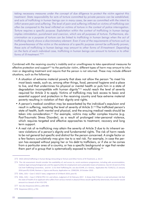taking necessary measures under the concept of due diligence to protect the victim against this treatment. State responsibility for acts of torture committed by private persons can be established, and acts of trafficking in human beings can in many cases, be seen as committed with the intent to inflict severe pain and suffering. The level of pain and suffering inflicted on victims of trafficking can often be compared to the level inflicted on victims of torture in the context of police interrogation. Torture requires a specific purpose. Exploitation within the context of trafficking in human beings implies intimidation, punishment and coercion, which are all purposes of torture. Furthermore, discrimination as a purpose of torture can be linked to trafficking in human beings when the act of trafficking clearly shows a discriminatory element. Even if one of the requirements of torture such as the powerlessness of the victim or the existence of a specific purpose cannot be sufficiently proven, these acts of trafficking in human beings may amount to other forms of ill-treatment. Depending on the facts of each individual case, trafficking in human beings can amount to torture or to other forms of ill-treatment. "273

Combined with the receiving country's inability and or unwillingness to take operational measures for effective protection and support<sup>274</sup> to the particular victim, different types of harm may amount to inhuman or degrading treatment and reguire that the person is not returned. These may include different situations, such as the following:

- A situation of extreme material poverty that does not allow the person "to meet his most basic needs, such as, among other things, food, personal hygiene and a place to live, and that undermines his physical or mental health or puts him in a state of dearadation incompatible with human dianity"<sup>275</sup> would reach the level of severity required for Article 3 to apply. Victims of trafficking may lack access to basic and essential support and protection in the receiving country and face extreme material poverty resulting in violation of their dignity and rights.
- A person's medical condition may be exacerbated by the individual's expulsion and result in suffering, reaching the level of severity of Article 3.276 The trafficked person's state of health, both mental and physical, and the ensuing medical needs should be taken into consideration.<sup>277</sup> For example, victims may suffer complex trauma (e.g. Post-Traumatic Stress Disorder), as a result of prolonged inter-personal violence, which requires targeted and effective approaches to treatment, recovery and long term support.
- A real risk of re-trafficking may attain the severity of Article 3 due to its inherent severe violations of a person's dignity and fundamental rights. The risk of harm needs to be not general but specific and distinct for the person concerned. A single factor or a few factors cumulatively may give rise to a real risk. For example, in case the person has escaped without paying her or his debt to traffickers, or if she or he comes from a particular area of a country, or has a specific background or age that render them part of a group that is systematically exposed to trafficking.<sup>278</sup>

278 Stoyanova (2011), p.792.

<sup>273</sup> OSCE (2013), Trafficking in Human Beings Amounting to Torture and Other Forms of III-Treatment, p. 26-27.

<sup>274</sup> The risk assessment should consider the availability of, and access to, social assistance programmes, including safe accommodation, medical, legal and psychological aid, and the opportunities for employment and sustainable means of existence. See Art 10 and 12 of the CoE Anti-Trafficking Convention, and Art 11 EU Anti-Trafficking Dir; see also ECtHR, LE v Greece, Application No 71545/12, 21 January 2016 para78; ECtHR, Rantsev v. Cyprus and Russia, Application no. 25965/04, 10 October 2010.

<sup>275</sup> EDAL, CJEU - Case C-163/17 Jawo, Judgement of 19 March 2019, para 92.

<sup>276</sup> EDAL, CJEU - Case C-578/16 PPU C.K. and others, Judgment of 16 February 2017. It shows that if there is a real and proven risk that the state of health of an applicant who suffers from serious mental or physical illness would significantly deteriorate, the transfer would amount to a breach of Art 4 EU CFR.

<sup>277</sup> See also Stoyanova (2011), p.801-804.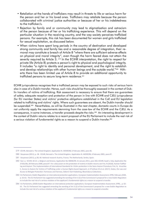- Retaliation at the hands of traffickers may result in threats to life or serious harm for the person and her or his loved ones. Traffickers may retaliate because the person collaborated with criminal justice authorities or because of her or his indebtedness to the trafficker/s.
- Rejection by family and or community may lead to stigmatisation and ostracism of the person because of her or his trafficking experience. This will depend on the particular situation in the receiving country, and the way society perceives trafficked persons. For example, this risk has been documented for women and girls trafficked for sexual exploitation, as discussed below.
- When victims have spent long periods in the country of destination and developed strong community and family ties and a reasonable degree of integration, their removal may constitute a breach of Article 8 "where there are sufficient adverse effects on physical and moral integrity", even though the harm feared does not attain the severity required by Article 3. 279 In the ECtHR interpretation, the right to respect for private life (Article 8) protects a person's right to physical and psychological integrity. It includes "a right to identity and personal development, and the right to establish and develop relationships with other human beings and the outside world."<sup>280</sup> Hitherto there has been limited use of Article 8 to provide an additional opportunity to trafficked persons to secure long-term residence.<sup>281</sup>

ECtHR jurisprudence recognises that a trafficked person may be exposed to such risks of serious harm also in case of a Dublin transfer. Hence, such risks should be thoroughly assessed in the context of Dublin transfers of victims of trafficking. Risk assessment is necessary to ensure that there are guarantees of safety, adequate reception and protection of the person in line with ECtHR and CJEU jurisprudence (for EU member States) and victims' protective obligations established in the CoE and EU legislation related to trafficking and victims' rights. Where such guarantees are absent, the Dublin transfer should be suspended.<sup>282</sup> Nevertheless, as will be illustrated in the next chapter, domestic courts in Europe do not uniformly apply the requirements stemming from the case-law of the ECtHR and the CJEU. As a consequence, in some instances, a transfer proceeds despite the risks.<sup>283</sup> An interesting development in the context of Dublin returns relates to a recent proposal of the EU Parliament to include the real risk of a serious violation of fundamental rights as a reason to suspend a Dublin transfer.<sup>284</sup>

<sup>279</sup> ECtHR, Bensaid v. The United Kingdom, Application N. 44599/98, 6 February 2001, para 46.

<sup>280</sup> Stoyanova (2011), p. 38. ECtHR, Bensaid v. The United Kingdom, Application N. 44599/98, 6 February 2001, para.47.

<sup>281</sup> Stoyanova (2011), p.38, 40. National research Austria, France, The Netherlands, Serbia, Spain.

<sup>282</sup> See i.a. ECtHR, M.S.S. v. Belgium and Greece, Application No 30696/09, 21 January 2011, para 342; ECtHR, Saadi v. Italy, Application No 37201/06, 28 February 2008, para147. For a discussion on the protection of victims in Dublin returns see Frei, N (2018), Human Trafficking and Asylum: The implementation of International Standards for Victim protection in the Swiss Asylum Procedure; Frei, N, Hruschka C, Access to Asylum for Victims of Trafficking under a Human Rights-based Approach, in O'Sullivan M et al, (2017), States, the Law and Access to Refugee Protection: Fortresses and Fairness, Oxford: Hart Publishing, Bloomsbury Collections.

<sup>283</sup> EU Parliament, Dublin Regulation on international protection applications. European Implementation Assessment, EPRS, February 2020, p. 62-63. The EU Parliament has suggested amending the wording of Art 3 (2) of the Commission's proposal for a new Dublin Regulation to include the real risk of a serious violation of the applicant's fundamental rights as a reason to suspend a transfer.

<sup>284</sup> EU Parliament, (2020) Dublin Regulation on international protection applications. European Implementation Assessment, EPRS, , p. 62-63. The EU Parliament has suggested amending the wording of Art 3 (2) of the Commission's proposal for a new Dublin Regulation to include the real risk of a serious violation of the applicant's fundamental rights as a reason to suspend a transfer.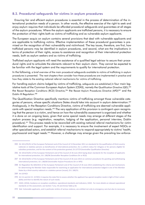## **B.2. Procedural safeguards for victims in asylum procedures**

Ensuring fair and efficient asylum procedures is essential in the process of determination of the international protection needs of a person. In other words, the effective exercise of the right to seek and enjoy asylum requires that individuals be afforded procedural safeguards and guarantees at all stages of the asylum procedures. Where the asylum applicants are trafficked persons, it is necessary to ensure the protection of their rights both as victims of trafficking and as vulnerable asylum applicants.

The European acquis on asylum contains several provisions that deal with vulnerable applicants and are applicable to trafficking victims. Effective implementation of these procedural quarantees is premised on the recognition of their vulnerability and victimhood. The key issues, therefore, are first, how trafficked persons may be identified in asylum procedures, and second, what are the implications in terms of protection of their rights, access to assistance and recognition of their international protection needs, both as asylum seekers and as victims of trafficking.

Trafficked asylum applicants will need the assistance of a qualified legal advisor to secure their procedural rights and to articulate the elements relevant to their asylum claim. They cannot be expected to be familiar with the legal system and the requirements to qualify for international protection.

In the following, a brief overview of the main procedural safeguards available to victims of trafficking in asylum procedures is presented. The next chapters then consider how these procedures are implemented in practice and how they relate to the existing national referral mechanisms for victims of trafficking.

For handling asylum claims lodged by victims of trafficking, safeguards are established in four main legislative tools of the Common European Asylum System (CEAS), namely the Qualification Directive (QD), 285 the Recast Reception Conditions (RCD) Directive,<sup>286</sup> the Recast Asylum Procedures Directive (APD)<sup>287</sup> and the Dublin III Regulation.<sup>288</sup>

The Qualification Directive specifically mentions victims of trafficking amongst those vulnerable categories of persons, whose specific situations States should take into account in asylum determination.<sup>289</sup> Analogously, in the Reception Conditions Directive, victims of trafficking are deemed vulnerable applicants with special reception needs.<sup>290</sup> The very application of this provision is contingent upon recognising that the person is a victim, and hence on how the vulnerability assessment is organised and whether it is done on an ongoing basis, given that some special needs may emerge at different stages of the asylum process (e.g. registration, reception, lodging of the application, personal interview, Dublin procedure).<sup>291</sup> This process needs to be reconciled with existing national referral mechanisms for victim identification and support. For example, it is necessary to ensure the involvement of expert NGOs or other specialised actors, and establish referral mechanisms to respond appropriately to victims' health, psychosocial and legal needs.<sup>292</sup> However, a challenge may emerge given the prevailing law enforce-

<sup>285</sup> Dir 2011/95/EU of the European Parliament and of the Council of 13 December 2011 on standards for the qualification of third-country nationals or stateless persons as beneficiaries of international protection, for a uniform status for refugees or for persons eligible for subsidiary protection, and for the content of the protection granted, OJ L377/9 (hereinafter Qualification Directive)

<sup>286</sup> Dir 2013/33/EU of the European Parliament and of the Council of 26 June 2013 laying down standards for the reception of applicants for international protection, OJ L 180/96 (hereinafter Reception Conditions Dir or RCD)

<sup>287</sup> Dir 2013/32/EU of the European Parliament and of the Council of 26 June 2013 on common procedures for granting and withdrawing international protection, OJ L 180/60 (hereinafter Asylum Procedures Dir or APD)

<sup>288</sup> EU Regulation No 604/2013 of the European Parliament and of the Council of 26 June 2013 establishing the criteria and mechanisms for determining the Member State responsible for examining an application for international protection lodged in one of the Member States by a third-country national or a stateless person (recast), OJ L 180/31.

<sup>289</sup> Art 20 RCD

<sup>290</sup> Art 2.k and Art 21-22 RCD; it requires the state first to assess whether the applicant has special reception needs in light of their vulnerability and then to identify the nature of such needs.

<sup>291</sup> EASO, (2016), Guidance on reception conditions: operational standards and indicators, EASO. For more details on relevant operational standards on the assessment, see Section 7 at p. 45 and Annex Table p.56.

<sup>292</sup> Ibid. Vulnerable applicants, and in particular victims of serious violence, are entitled not only to emergency care but also to necessary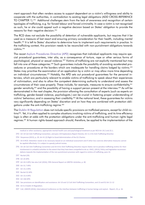ment approach that often renders access to support dependent on a victim's willingness and ability to cooperate with the authorities, in contradiction to existing legal obligations (ADD CROSS-REFERENCE TO CHAPTER 1).<sup>293</sup> Additional challenges stem from the lack of awareness and recognition of certain typologies of trafficking, e.g. for forced labour and forced criminality. In case a victim is not recognised as such, he or she could appeal such a negative decision based on States' obligation to provide the reasons for their negative decision.<sup>294</sup>

The RCD does not exclude the possibility of detention of vulnerable applicants, but requires that it be used as a measure of last resort and ensuring primary consideration for their health, including mental health.<sup>295</sup> It is left to States' discretion to determine how to implement such requirements in practice. In the trafficking context, this provision needs to be reconciled with non-punishment obligations towards victims.<sup>296</sup>

The recast Asylum Procedures Directive (APD) recognises that individual applicants may require special procedural augrantees, inter alia, as a consequence of torture, rape or other serious forms of psychological, physical or sexual violence.<sup>297</sup> Victims of trafficking are not explicitly mentioned but may fall into one of these categories.<sup>298</sup> Such guarantees include the possibility of avoiding accelerated procedures or procedures at the borders which are inadequate for handling claims lodged by victims.<sup>299</sup> States may prioritise the examination of an application by a victim or may allow more time depending on individual circumstances.<sup>300</sup> Notably, the APD sets out procedural guarantees for the personal interview, which are particularly relevant to enable victims of trafficking to speak about their experiences of victimisation, and also to allow the competent determining authority to understand and assess the circumstances of their case properly. These include, for example, measures to ensure confidentiality,<sup>301</sup> gender sensitivity,<sup>302</sup> and the possibility of having a support person present at the interview.<sup>303</sup> As will be demonstrated in the next chapter, the provision allowing the consultation of experts (such as experts on trafficking, gender-based violence, psychologists.) can be crucial in fostering proper understanding of victims' behaviour, and in assessing their credibility.<sup>304</sup> At the national level, these guarantees for victims vary significantly depending on States' discretion and on how they are combined with protection obligations under the anti-trafficking regime.<sup>305</sup>

The Dublin III Regulation does not include specific provisions on trafficked persons, except for child victims<sup>306</sup>. Yet, it is often applied to complex situations involving victims of trafficking, and its time efficiency logic is often at odds with the protection obligations under the anti-trafficking and human rights legal regimes.<sup>307</sup> A human rights-based approach should, therefore, be applied to the implementation of the

- 302 Recital 32 APD
- 303 Art 15.4 APD.
- 304 Art 10d APD.

306 Art 6.3 Dublin III Regulation.

medical or other assistance, appropriate mental health care and psychological treatment as per RCD Art 19.2 and 25.1.

<sup>293</sup> Art 10 CoE Anti-Trafficking Convention, and para 134 Explanatory Report thereto; Art 11.3 EU Anti-Trafficking Directive

<sup>294</sup> Stoyanova (2015), p. 20. Art 41 (2) Right to Good Administration of the EU Charter.

<sup>295</sup> Art 8 RCD. Detention needs to be necessary based on an individual assessment and if other less coercive alternative measures cannot be applied effectively. It is subject to speedy judicial review.

<sup>296</sup> Art 26 CoE Anti-Trafficking Convention and Art 8 EU Anti-Trafficking Directive require States not to penalise trafficking victims for their involvement in unlawful activities to the extent that they have been compelled to do so. OSCE, (2013), Policy and legislative recommendations towards the implementation of the non-punishment provision with regard to victims of trafficking, para 14.

<sup>297</sup> Recital (29).

<sup>298</sup> Art 24 APD.

<sup>299</sup> Art 24.3 APD; See also CoE (2016), Fifth General Report on GRETA's Activities, p. 40.

<sup>300</sup> Art 31.7 APD

<sup>301</sup> Art 15.2 APD.

<sup>305</sup> See provisions on identification and assistance: Art 10 and 12 CoE Anti-Trafficking Convention, and 13 and EU Art 11-12

<sup>307</sup> CoE, UNHCR (2016), International Conference on the interface between trafficking in human beings and asylum - Report, 23, p. 16-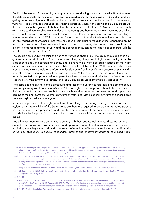Dublin III Regulation. For example, the requirement of conducting a personal interview<sup>308</sup> to determine the State responsible for the asylum may provide opportunities for recognising a THB situation and triggering protective obligations. Therefore, the personal interview should not be omitted in cases involving vulnerable applicants, or persons at risk of being trafficked. When in the course of a Dublin procedure, there are reasonable grounds to believe that the person may be trafficked,<sup>309</sup> States must also comply with their due diligence obligations under anti-trafficking and human rights law. These include taking operational measures for victim identification and assistance, suspending removal and granting a temporary residence permit.<sup>310</sup> Furthermore, States have a duty to effectively investigate possible cases of THB, regardless of whether or not there has been a complaint to the authorities. Depending on the factual circumstances of the case, it would seem that such an investigation cannot take place if the applicant is removed to another country and, as a consequence, can neither assist nor cooperate with the investigation and prosecution.<sup>311</sup>

The decision on a Dublin transfer of a victim of trafficking should take into account due diligence obligations under Art 4 of the ECHR and the anti-trafficking legal regimes. In light of such obligations, the State should apply the sovereignty clause, and examine the asylum application lodged by the victim even if such examination is not its responsibility under the Dublin criteria.<sup>312</sup> The vulnerability assessment of the applicant should also inform the decision on a Dublin transfer and ensure compliance with non-refoulment obligations, as will be discussed below.<sup>313</sup> Further, it is noted that where the victim is formally granted a temporary residency permit, such as for recovery and reflection, the State becomes responsible for the asylum application, and the Dublin procedure is automatically excluded.<sup>314</sup>

The scope and effectiveness of the procedural and reception guarantees foreseen in the asylum acquis leave ample margins of discretion to States. A human rights-based approach should, therefore, inform their implementation, and ensure that individuals have effective access to protection and support according to their entitlements, whether as victims of trafficking, victims of crime, victims of gender-based violence, asylum seekers or refugees.

In summary, protection of the rights of victims of trafficking and ensuring their right to seek and receive asylum is the responsibility of the State. States are therefore required to ensure that trafficked persons have access to asylum procedures and that their national referral mechanisms and asylum systems provide for effective protection of their rights, as well as fair decision-making concerning their asylum claims.

Due diligence requires state authorities to comply with their positive obligations. These obligations include the duty to take all reasonable steps and appropriate operational measures to protect victims of trafficking when they know or should have known of a real risk of harm to their life or physical integrity, as wells as obligations to ensure independent, prompt and effective investigation of alleged rights'

<sup>308</sup> Art 5 Dublin III Regulation. The personal interview may be omitted where the applicant has already provided relevant information by other means (Art 5.2), yet the applicant is entitled to present additional information that may be relevant to such decision (e.g. about their THB situation) and has the right to an effective remedy (Art 26).

<sup>309</sup> In Rantsev, the Court stated that operational measures of protection are required when State authorities 'were aware, or ought to have been aware, of circumstances giving rise to a credible suspicion that an identified individual had been, or was at real and immediate risk of being trafficked or exploited'. ECtHR, (2020), Guide on Article 4 of the European Convention on Human Rights. Prohibition of slavery and forced labour; ECtHR, Rantsev, para 286.

<sup>310</sup> See provisions on identification and assistance under CoE Art 10 and 12, and 13 and EU Art 11-12; ECtHR Rantsev, ECtHR (2020).

<sup>311</sup> UK Supreme Court, (2020), JMS (Pakistan) (Appellant) v Secretary of State for the Home Department (Respondent), UKSC 9, para 34-36; Stoyanova (2015), p. 36.

<sup>312</sup> Art 17

<sup>313</sup> EASO, 2019, Practical guide on the implementation of the Dublin III Regulation: Personal interview and evidence assessment, EASO, p. 60-61. See also Stoyanova (2015). As per Art 22 RCD, Art 24 APD, States' obligation to assess whether the applicant is a person with special reception needs requiring special procedural guarantees remains relevant and applicable during the Dublin procedure.

<sup>314</sup> Art 19.1 Dublin III Regulation. The sovereignty clause applies even in the case of discretionary decisions taken under Art 17.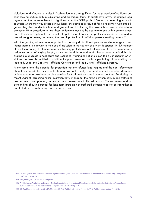violations, and effective remedies.<sup>315</sup> Such obligations are significant for the protection of trafficked persons seeking asylum both in substantive and procedural terms. In substantive terms, the refugee legal regime and the non-refoulement obligations under the ECHR prohibit States from returning victims to countries where they would face serious harm (including as a result of failing to comply with due diligence obligations under Article 4) and give victims of trafficking the possibility to receive international protection.<sup>316</sup> In procedural terms, these obligations need to be operationalised within asylum procedures to ensure a systematic and practical application of both victim protection standards and asylum procedural guarantees, improving the overall protection of trafficked persons seeking asylum.<sup>317</sup>

With the granting of international protection, not only do trafficked persons receive a long-term residence permit, a pathway to their social inclusion in the country of asylum is opened. In EU member States, the granting of refugee status or subsidiary protection enables the person to access a renewable residence permit of varying length, as well as the right to work and other socio-economic rights, including equal access to healthcare and vocational training as nationals (see Table 2 in chapter B.4).<sup>318</sup> Victims are then also entitled to additional support measures, such as psychological counselling and legal aid, under the CoE Anti-Trafficking Convention and the EU Anti-Trafficking Directive.

At the same time, the potential for protection that the refugee legal regime and the non-refoulement obligations provide for victims of trafficking has until recently been underutilised and often dismissed as inadequate to provide a durable solution for trafficked persons in many countries. But during the recent years of increasing mixed migration flows in Europe, the nexus between asylum and trafficking has become more apparent, and more asylum seekers are trafficked persons. The awareness and understanding of such potential for long-term protection of trafficked persons needs to be strengthened and tested further with many more individual cases.

<sup>315</sup> ECtHR, (2020). See also UN Committee Against Torture, (2008), General Comment No. 2: Implementation of Art. 2 by State parties, CAT/C/GC/2, para. 18.

<sup>316</sup> Stoyanova (2011), p. 34, 42; ECtHR (2020)

<sup>317</sup> Frei N., Human Trafficking and Asylum: The implementation of International Standards for Victim protection in the Swiss Asylum Procedure, Swiss Review of International and European Law, Vol. 28 (2018), N. 1.

<sup>318</sup> EU Qualification Directive, Art 24, 25, 26, 28, 30, EU Anti-Trafficking Directive Art 11, CoE Anti-Trafficking Convention Art 10-12.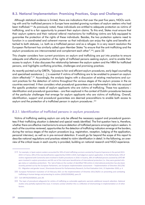## **B.3. National Implementation: Promising Practices, Gaps and Challenges**

Although statistical evidence is limited, there are indications that over the past five years, NGOs working with and for trafficked persons in Europe have assisted growing numbers of asylum seekers who had been trafficked.<sup>319</sup> As previously noted, these individuals are entitled to adequate protection as victims of trafficking, and to a fair opportunity to present their asylum claims. To this end, States must ensure that their asylum systems and their national referral mechanisms for trafficking victims are fully equipped to guarantee the protection of the rights of these individuals. Besides, the two protection systems need to function in a coordinated and coherent manner so that individuals can enjoy the rights and benefits attached to both statuses, i.e. both as a trafficked person and as a refugee. In a very recent resolution the European Parliament has similarly called upon Member States "to ensure that the anti-trafficking and the asylum procedures are interconnected and complement each other".<sup>320</sup>; para 33

This chapter considers how current provisions on asylum and trafficking are put into practice to ensure adequate and effective protection of the rights of trafficked persons seeking asylum, and to enable their access to asylum. It also discusses the relationship between the asylum system and the NRM for trafficked persons, and highlights conflicting priorities, challenges and promising practices.

As recently pointed out by GRETA, "[alccess to fair and efficient asylum procedures, early leagl counselling and specialised assistance [...] is essential if victims of trafficking are to be enabled to present an asylum claim effectively".<sup>321</sup> Accordingly, the analysis begins with a discussion of existing mechanisms and current practices for the detection of victims throughout the various stages of the asylum process in the six countries examined. It then considers what procedural guarantees are implemented to take into account the specific protection needs of asylum applicants who are victims of trafficking. These two questions identification and procedural guarantees – are then explored in the context of Dublin procedures because of the particular challenges that emerge for asylum applicants who are victims of trafficking. Overall, identification, support and procedural guarantees are deemed preconditions to enable both access to 322. asylum and the protection of a trafficked person in asylum procedures

#### B.3.1. Identification of trafficked persons in asylum procedures

Victims of trafficking seeking asylum can only be offered the necessary support and procedural guarantees if their trafficking situation is detected and special needs identified. The first question here is, therefore, whether there are effective mechanisms to ensure detection of trafficked persons amongst asylum seekers. In each of the countries reviewed, opportunities for the detection of trafficking indicators emerge at the borders, during the various stages of the asylum procedure (e.g. registration, reception, lodging of the application, personal interview), as well as in pre-removal detention. It would go far beyond the scope of this report to describe national regulations and practices related to victim identification in detail. In the following, an overview of the critical issues in each country is provided, building on national research and NGO experience.

<sup>319</sup> For example, in Spain asylum seekers accounted for 39% of total trafficking survivors assisted by Proyecto Esperanza in the period 2013-2019. In France, 20% of the new beneficiaries supported by CCEM in 2019, had lodged an asylum application. In the Netherlands, 53% of victims registered with Comensha were involved in Dublin procedures in 2018. In Austria, 28% of trafficked persons assisted by LEFÖ-IBF were involved in asylum procedures and 6% out of the total were beneficiaries of international protection (i.e. they were granted refugee status or subsidiary protection). The lack of data on the number of identified THB victims in international protection has also been recently pointed out by the European Parliament, see European implementation assessment - 'Implementation of Directive 2011/36/ EU : Migration and gender issues', Directorate-General for Parliamentary Research, Ex-Post Evaluation Unit, 15 September 2020, p. 4.

<sup>320</sup> European Parliament resolution of 10 February 2021 on the implementation of Directive 2011/36/EU on preventing and combating trafficking in human beings and protecting its victims (2020/2029(INI)), para.33

<sup>321</sup> CoE GRETA(2020)0620, para.38.

<sup>322</sup> The topic of procedural safeguards for victims of trafficking as vulnerable applicants warrants additional research attention. National studies only partially explored this issue. It remains unclear whether this is a reflection of shortcomings in implementation or of other factors.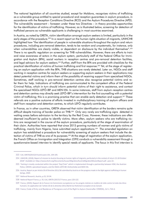The national legislation of all countries studied, except for Moldova, recognises victims of trafficking as a vulnerable group entitled to special procedural and reception guarantees in asylum procedure, in accordance with the Reception Conditions Directive (RCD) and the Asylum Procedures Directive (APD). The vulnerability assessment – foreseen under these two Directives – in theory provides opportunities for the identification of victims of trafficking. However, as is illustrated below, screening for detection of trafficked persons as vulnerable applicants is challenging in most countries examined.

In Austria, as noted by GRETA, victim identification amongst asylum seekers is limited, particularly in the early stages of the procedure.<sup>323</sup> In a recent report on the human rights situation of migrants, UNHCHR highlighted how "the identification of people in vulnerable situations throughout the asylum and return procedures, including pre-removal detention, tends to be random and unsystematic, for instance, only 324. "when vulnerabilities are clearly visible, or dependent on disclosure by the individual themselves There is no specific regulation on screening for THB vulnerabilities. However, there are efforts to train and raise awareness of actors in the asylum system, particularly staff of the Federal Office for Immigration and Asylum (BFA), social workers in reception centres and pre-removal detention facilities, and legal advisors for asylum seekers.<sup>325</sup> Further, staff from the BFA are provided with checklists for the practical identification of victims of human trafficking and first response.<sup>326</sup> Yet, at the stage of registering an asylum application with the BFA, THB situations are rarely detected. Later on, NGOs and staff working in reception centres for asylum seekers or supporting asylum seekers in their applications may detect potential victims and inform them of the possibility of receiving support from specialised NGOs. Sometimes, staff working in pre-removal detention centres also recognise potential victims and refer them for help. Indications of trafficking are communicated to the competent office of the Federal Criminal Police, which in turn should inform potential victims of their right to assistance, and contact the specialised NGOs LEFO-IBF and MEN-VIA. In some instances, staff from asylum reception centres and detention centres may directly seek LEFO-IBF's intervention for the first counselling with a potential victim of trafficking; this is a promising practice that can enable early detection and support.<sup>327</sup> These referrals are a positive outcome of efforts invested in multidisciplinary training of asylum officers and staff from reception and detention centres, to which LEFO regularly contributes.

In France, as in other countries, GRETA observed that victim identification at the borders remains quite difficult despite training of border police on THB.<sup>328</sup> Only very rarely are trafficking signs detected in waiting areas before admission to the territory by the Red Cross. However, these indications are often deemed insufficient by police to identify victims. More often, asylum seekers who are trafficking victims are recognised in the course of the asylum procedure, particularly at the stage of examination of their claim. Authorities have reported that since 2015 growing numbers of women and girls victims of trafficking, mainly from Nigeria, have submitted asylum applications.<sup>329</sup> The amended legislation on asylum has established a procedure for vulnerability screening of asylum seekers that include the detection of victims of THB as one of its purposes.<sup>330</sup> At the stage of registration of the asylum application, the French Office on Immigration and Integration (OFII) conducts a vulnerability assessment through a questionnaire-based interview to identify special needs of applicants. The focus in this first interview is

<sup>323</sup> CoE, GRETA(2015)19 Austria para 101, 104-105.

<sup>324</sup> UNHCHR, (2018), Report of mission to Austria focusing on human rights of migrants, particularly in the context of return 15-18 October 2018". Available at: https://www.ohchr.org/Documents/Issues/Migration/AustriaMigrationMissionReport.pdf, para 22.

<sup>325</sup> Training is mostly conducted within the project "Asyl-Train" which is implemented through a partnership between IOM, the Austrian Police, UNHCR, specialised lawyers, and the NGOs LEFÖ-IBF, Drehscheibe and MEN VIA.

<sup>326</sup> Austria, Report as per Article 20 of Directive 2011/36 submitted by Austria on the progress made in the fight against trafficking in human beings, 2020.

<sup>327</sup> National Research, Austria, p.23, 33-34.

<sup>328</sup> National Report France, p. 35; CoE, GRETA (2017)17 France, para 120-122.

<sup>329</sup> France, (2020), Rapport de la France à la Commission européenne sur les progrès réalisés en matière de lutte contre la traite des êtres humains. En application de l'article 20 de la directive 2011/36/UE du Parlement européen et du Conseil.

<sup>330</sup> France, Code of Entry and Residence of Foreigners and of the Right to Asylum (hereinafter CESEDA), Art L.744-6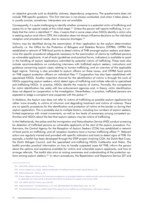on objective grounds such as disability, sickness, dependency, pregnancy. The questionnaire does not include THB specific questions. This first interview is not always conducted, and when it takes place, it is usually concise; sometimes, interpreters are not available.

Consequently, it is quite challenging to identify whether someone is a potential victim of trafficking and assess his or her special needs at this initial stage.<sup>331</sup> Unless the person self-reports trafficking, it is unlikely that the victim is identified.<sup>332</sup> Also, it seems that in some cases when NGOs identify a victim who is seeking asylum and inform OFII, this indication does not always influence decisions on the individual reception and procedural needs, due to resource shortages.<sup>333</sup>

Victims may be identified during the examination of their application by the asylum determination authority, i.e. the Office for the Protection of Refugees and Stateless Persons (OFPRA). OFPRA has established a network of THB focal points to detect victims of THB amongst asylum seekers and determine the specific procedural safeguards necessary to the examination of claims by trafficked persons as vulnerable applicants. A set of tools (guidelines and practical forms, indicators) is available to assist in the handling of asylum applications submitted by potential victims of trafficking. These tools also include recommendations on conducting interviews with trafficked asylum seekers, instructions and guidance concerning asylum cases relating to human trafficking, and an overview of the applicable legal regime. Training is also provided to asylum officers on these issues, and OFPRA focal points on THB support protection officers on individual files.<sup>334</sup> Cooperation has also been established with specialised NGOs. Another important channel for the identification of victims is through the work of NGOs supporting asylum seekers, which detect signs of trafficking and initiate referrals to specialised anti-trafficking NGOs. In practice, NGOs identify the majority of victims. Formally, the competence for victim identification lies solely with law enforcement agencies and, in theory, victim identification does not depend on cooperation in the investigation. Nevertheless, in practice, trafficked persons are expected to lodge a complaint and cooperate with the police.<sup>335</sup>

In Moldova, the Asylum Law does not refer to victims of trafficking as possible asylum applicants but rather more broadly, to victims of inhuman and degrading treatment and victims of violence. There are no specific procedures for the identification and protection of victims at the border or during their asylum application. This is probably due to multiple factors, including low numbers of asylum seekers, limited experience with mixed movements, as well as low levels of awareness among competent authorities and NGOs about the fact that asylum seekers may be victims of trafficking.

In the Netherlands, the police and the Immigration and Naturalisation Service (IND) conduct screening for detection of trafficked persons as vulnerable applicants at the start of the asylum procedure. Furthermore, the Central Agency for the Reception of Asylum Seekers (COA) has established a network of focal points on trafficking, and all reception locations have a human trafficking officer.<sup>336</sup> Relevant actors are regularly trained and provided with specific indicators and tools to detect signs of THB. For example, a toolkit has been developed through the STEP project involving COA, the Dutch Red Cross, the Dutch Refugee Council, and the specialised anti-trafficking NGOs CoMensha and Nidos. The toolkit provides practical information on how to handle suspected cases fof THB, inform the person about the options and assistance available for victims and vulnerable asylum applicants, and how to arrange referrals. The toolkit also aims at raising awareness and understanding of the protection options among asylum seekers.<sup>337</sup> In return procedures, the Repatriation and Departure Service (DT and

<sup>331</sup> AIDA ECRE, (2020), Country report: France.

<sup>332</sup> Forum réfugiés-Cosi, (2018), TRACKS Identification of Trafficked Asylum Seekers Special Needs, p.35.

<sup>333</sup> National Research - France, p. 34.

<sup>334</sup> France, Rapport de la France à la Commission européenne sur les progrès réalisés en matière de lutte contre la traite des êtres humains. En application de l'article 20 de la directive 2011/36/UE du Parlement européen et du Conseil, 2020.

<sup>335</sup> CoE, GRETA (2017)17 France, para 128-130.

<sup>336</sup> National Research - The Netherlands, p. 27, CoE, GRETA(2018)19 The Netherlands, para. 35, 112.

<sup>337</sup> The Netherlands Red Cross, (2019), Toolkit Discussing Human Trafficking and Exploitation with Asylum Seekers.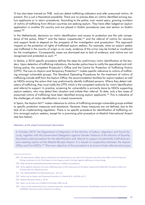V) has also been trained on THB, and can detect trafficking indicators and refer presumed victims. At present, this is just a theoretical possibility. There are no precise data on victims identified among asylum applicants or in return procedures. According to the police, over recent years, growing numbers of victims of trafficking from African countries are seeking asylum. They have often lodged an asylum application in another EU country and are placed in Dublin procedures (see next section on Dublin  $cases$ ).  $338$ 

In the Netherlands, decisions on victim identification and access to protection are the sole competence of the police, KMar<sup>339</sup> and the labour inspectorate,<sup>340</sup> and the referral of victims for recovery and support tends to depend on the prospects of the investigation and prosecution. This approach impacts on the protection of rights of trafficked asylum seekers. For example, when an asylum seeker was trafficked in the country of origin or en route, evidence of the crime may be limited or insufficient for the investigation. Consequently, cases are dismissed due to lack of evidence, and victims are not recognised and protected as such.<sup>341</sup>

In Serbia, a 2016 specific procedure defines the steps for preliminary victim identification at the borders. Upon detection of trafficking indications, the border police have to notify the specialised anti-trafficking police, the competent Prosecutor's Office and the Centre for Protection of Trafficking Victims (CPTV). The Law on Asylum and Temporary Protection<sup>342</sup> makes specific reference to victims of trafficking amongst vulnerable groups. The Standard Operating Procedures for the treatment of victims of trafficking include staff from the Asylum Office, the accommodation facilities for asylum seekers as well as NGOs among the actors that may preliminarily identify trafficked persons. Where they detect indicators of trafficking, they must notify the CPTV, which is the competent authority for victim identification and referral to support. In practice, screening for vulnerability is primarily done by NGOs supporting asylum seekers, who may detect their situation and initiate their referral. To date, only a few cases of presumed victims of trafficking have been identified among asylum applicants.<sup>343</sup> This is indicative of the challenges of victim identification in mixed movements.

In Spain, the Asylum Act<sup>344</sup> makes reference to victims of trafficking amongst vulnerable groups entitled to specific protection measures and assistance. However, these measures are not defined, due to the lack of an implementing regulation. There is no specific procedure for identification of trafficking victims amongst asylum seekers, except for a promising pilot procedure at Madrid International Airport (see box below).

#### Detection at the airport and prompt intervention

In October 2019, the Department of Migration of the Ministry of Labour, Migration and Social Security, together with the Government Delegation against Gender Violence of the Ministry of Equality, launched a pilot procedure for the identification and referral to support of potentially trafficked persons seeking asylum at the Madrid Barajas Airport. It is based on cooperation between the Asylum Office and five NGOs.<sup>345</sup> The main objective of this procedure is to ensure timely referral and access

<sup>338</sup> The Netherlands, (2020), Report submitted by the Netherlands as per Article 20 of Directive 2011/36 to the Office of the EU Anti-trafficking Coordinator on the Third Report on the Progress made in the fight against trafficking in human beings.

<sup>339</sup> KMar stands for Royal Netherlands Marechaussee i.e Military Constabulary.

<sup>340</sup> At the slightest indication of human trafficking and/or on the intercession of the labour inspectorate (ISZW-DO), the police or KMar can formally offer the reflection period.

<sup>341</sup> CoE. GRETA(2018)19 The Netherlands para. 109.112.

<sup>342</sup> Serbia, Law on Asylum and Temporary Protection, Sl. Glasnik RS br. 24/2018, Art 17.

<sup>343</sup> National Research Serbia, p. 43-44.

<sup>344</sup> Spain, Ley de Asilo, Ley 12/2009 of 30 October 2009, Art 46.

<sup>345 .</sup>These are the Spanish Red Cross, Proyecto Esperanza, Association for the Prevention, Rehabilitation and Care for Women Prostituted (APRAMP), Diaconía and the Fundación Cruz Blanca.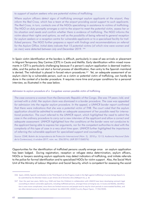to support of asylum seekers who are potential victims of trafficking.

Where asylum officers detect signs of trafficking amongst asylum applicants at the airport, they inform the Red Cross, which has a team at the airport providing social support to such applicants. The Red Cross, in turn, contacts one of the NGOs specialising in assistance to victims of trafficking. The NGO on duty promptly arranges a visit to the airport to meet the potential victim, assess her or his situation and needs and confirm whether there is evidence of trafficking. The NGO informs the victim about their rights and options, as well as the possibility of being referred to general reception for asylum seekers or a reception centre for vulnerable applicants or to a specialised facility for trafficked persons. The NGO further prepares a report with findings and recommendations on referral for the Asylum Office. Initial data indicate that 15 potential victims (of which nine were women and six men) were detected between July and December 2019. 346

In Spain victim identification at the borders is difficult, particularly in case of sea arrivals or placement in Migrant Temporary Stay Centres (CETI) in Ceuta and Melilla. Early identification within mixed movements in CETI is particularly challenging because if a person's asylum application is deemed inadmissible, and the police do not start a formal process of identification, then entry to the Spanish mainland is denied. The individual is placed in forced return procedures.<sup>347</sup> Yet, an adequate assessment of an asylum claim by a vulnerable person, such as a victim or potential victim of trafficking, can hardly be done in the context of a border procedure. It requires more time and proper conditions for a personal interview, as illustrated in the case below.

#### Admission to asylum procedure of a Congolese woman possible victim of trafficking

The case concerns a woman from the Democratic Republic of the Congo. She was 19 years /old, and arrived with a child. Her asylum claim was dismissed in a border procedure. The case was appealed for admission into the regular asylum procedure. In the appeal, a UNHCR border report confirmed that there were indications that she was a potential victim of THB. The court ruled that the asylum application should be admitted to enable an adequate assessment of her possible need for international protection. The court referred to the UNHCR report, which highlighted the need to admit the case in the ordinary procedure to carry out a new interview of the applicant and allow a correct and adequate assessment. UNHCR highlighted how the conditions at the border were not conducive to the applicant being able to express her arguments, nor for the competent authorities to deal with the complexity of this type of case in a very short time span. UNHCR further highlighted the importance of referring the vulnerable applicant for specialised support and counselling.

Source: CEAR, Boletín de Jurisprudencia de Protección Internacional (Núm. 5), 2018 p. 12-13; Audiencia Nacional (Sala de lo Contencioso), 6 octubre 2017, núm. rec. 256/2016, (JUR 2017/268576)

Opportunities for the identification of trafficked persons usually emerge once an asylum application has been lodged. During registration, reception or refugee status determination, asylum officers, NGOs or lawyers assisting asylum applicants may detect indicators of trafficking, and initiate referrals to the police for formal identification and to specialised NGOs for victim support. Also, the Social Work Unit of the Ministry of Labour Migration and Social Security, which is competent for assessing the social

<sup>346</sup> Spain, (2020), Spanish contribution to the Third Report on the Progress made in the fight against trafficking in human beings Reports to be submitted by the Member States as per Article 20 of Directive 2011/36Report EU, p. 36

<sup>347</sup> Over the past two years, NGOs (e.g. CEAR and Save the Children) in collaboration with UNHCR have been developing outreach legal counselling to detect vulnerable applicants, including trafficked persons, amongst those arriving by sea. In Ceuta and Melilla, identification is even more complicated, since there are limited resources and people tend to stay for short periods in overcrowded facilities, and are often denied access to the Spanish mainland. See AIDA ECRE, (2020) Country Report Spain, 17/04/2020.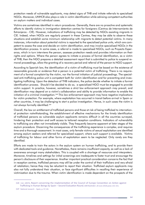protection needs of vulnerable applicants, may detect signs of THB and initiate referrals to specialised NGOs. Moreover, UNHCR also plays a role in victim identification while advising competent authorities on asylum matters and individual cases.

Victims are sometimes identified in return procedures. Generally, there are no proactive and systematic efforts to identify victims in immigration detention centres for foreigners (Centros de Internamiento de Extranjeros - CIE). However, indications of trafficking may be detected by NGOs assisting migrants in CIE, Indeed, when NGOs are regularly present in these Centres, they may be able to observe these situations and establish some minimum relationship with migrants to detect potential victims. In many instances, information about potential victims is reported to the specialised police units, which are competent to assess the case and decide on victim identification, and may involve specialised NGOs in the identification process. In some cases, a referral is made to specialised NGOs, such as Proyecto Esperanza, which in turn interviews the person, assesses protection needs and provides information on their rights and options. Where the person agrees to initiate a process of formal identification, as a victim of THB, then the NGO prepares a detailed assessment report that is submitted to police to suspend removal proceedings, allow the granting of a recovery period and referral of the person to NGO support.

According to Spanish law, the identification of a victim of trafficking must be based on the existence of reasonable grounds or evidence that a person is a potential victim of trafficking. There is no requirement of a formal complaint by the victim, nor the formal initiation of judicial proceedings. The specialised anti-trafficking police unit is competent both for victim identification and for preventing and investigating trafficking. Upon the detection of THB indicators, the police decide whether to initiate a formal identification process. Should it be decided to do so, a specialised NGO must be engaged to provide victim support. In practice, however, sometimes a strict law enforcement approach may prevail, and identification may depend on a victim's collaboration and ability to provide information to enable the initiation of a criminal investigation.<sup>348</sup> This law enforcement approach may have negative implications for victim protection. For example, where exploitation has occurred in transit before arrival in Spain or other countries, it may be challenging to start a police investigation. Hence, in such cases the victim is not always formally identified.<sup>349</sup>

Overall, the law on entitlement of trafficked persons and those at risk of being trafficked to international protection notwithstanding, the establishment of effective mechanisms for the timely identification of trafficked persons as vulnerable asylum applicants remains difficult in all the countries surveyed, hindering their protection and swift access to tailored reception conditions. Indicators of vulnerability to trafficking are often not immediately visible. They frequently become apparent at later stages of the asylum procedure. Discerning the consequences of the trafficking experience is complex, and requires time and a thorough assessment. In most cases, only female victims of sexual exploitation are identified among asylum seekers and referred for specialised support, where such support is available. Victims of trafficking for labour and other forms of exploitation seem to be neglected. Only rarely are they identified.

Efforts are made to train the actors in the asylum system on human trafficking, and to provide them with dedicated tools and guidance. Nonetheless, there remains insufficient capacity, as well as a lack of awareness amongst many stakeholders. This is coupled with a shortage of resources and interpreters. Moreover, timelines and settings for initial screenings are inadequate to foster trust and encourage the person's disclosure of their experience. Another important practical consideration concerns the fact that in reception centres, trafficked persons may still be under the control of their traffickers and very afraid of retaliation; hence they may be reluctant to report their situation. Trafficked asylum applicants may also not fully understand their situation, or face significant difficulties in recalling their experience of victimisation due to the trauma. When victim identification is made dependent on the prospects of the

<sup>348</sup> CoE, GRETA, Report concerning the implementation of the Council of Europe Convention on Action against Trafficking in Human Beings by Spain - Second Evaluation Round, GRETA(2018)7, 20 June 2018 paras 131-151.

<sup>349</sup> National research - Spain, p. 57, 63.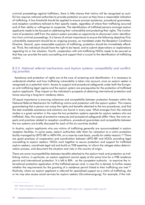criminal proceedings against traffickers, there is little chance that victims will be recognised as such. EU law requires national authorities to provide protection as soon as they have a reasonable indication of trafficking. A low threshold should be applied to ensure prompt assistance, procedural guarantees, and reception conditions tailored to their specific needs, regardless of where their trafficking occurred and of their ability or willingness to cooperate. The identification of trafficked persons amongst asylum applicants needs to be focused on addressing their vulnerability and protecting their rights. The involvement of protection staff from the asylum system provides an opportunity to disconnect victim identification from criminal proceedings. It is hence of utmost importance to ensure the following objectives First, vulnerability assessment should be an ongoing process, as mandated under the Reception Conditions Directive. Second, upon reasonable suspicion of trafficking, protection should be immediately afforded. Third, the individual should have the right to be heard, and to submit observations or explanations regarding his or her situation. Fourth, cooperation with anti-trafficking NGOs needs to be secured so that they can provide the early counselling and support that is crucial to the identification of trafficking victims.

#### B.3.2. National referral mechanisms and Asylum systems: compatibility and conflicting priorities

Assistance and protection of rights are at the core of screening and identification. It is necessary to understand whether and how trafficking vulnerability is taken into account, once an asylum seeker is recognised as a potential victim. Access to support and procedural safeguards under both the European anti-trafficking legal regime and the asylum system are prerequisites for the protection of trafficked asylum applicants. They impact on the individual's prospects of obtaining international protection and hence securing a long-term residency status.

Of equal importance is ensuring coherence and compatibility between protection foreseen within the National Referral Mechanism for trafficking victims and protection with the asylum system. This means guaranteeing that a person can enjoy the rights and benefits attached to the two procedures, and that the best available assistance and solutions are found in every case. What emerges from the national studies is a great variation in the ways the two protection systems operate for asylum seekers who are trafficked. Also, the scope of protective measures and procedural safeguards differ. Here, the main aspects and practices related to reception conditions, procedural guarantees and compatibility between the two systems are briefly discussed for each of the six countries studied.

In Austria, asylum applicants who are victims of trafficking generally are accommodated in asylum reception facilities. In some cases, asylum authorities refer them for relocation to a victim protection facility managed by LEFÖ-IBF or MEN-VIA, on a case-by-case basis, usually for safety reasons.<sup>350</sup> There are good practices of cooperation and coordination between LEFO-IBF and NGOs providing legal counselling to asylum seekers. NGOs work together to secure protection and support for trafficked asylum seekers, coordinate legal aid and build on THB expertise, to inform the refugee status determination process, and document the situation and risks in the country of origin.

There are some incompatibilities between benefits attached to the asylum track and protection as trafficking victims; in particular, an asylum applicant cannot apply at the same time for a THB residence permit and international protection. It is left to BFA - as the competent authority - to examine the international protection application of the trafficked person and, in case this is denied, to further assess whether the requirements for the granting of a residence permit linked to their trafficking are met.<sup>351</sup> Positively, where an asylum applicant is referred for specialised support as a victim of trafficking, she or he may also access social services for asylum seekers (Grundversorgung). For example, if the indi-

<sup>350</sup> National Research - Austria, p.6.

<sup>351</sup> Austria: Federal Act Concerning the Granting of Asylum (2005 Asylum Act - Asylgesetz 2005), para.57.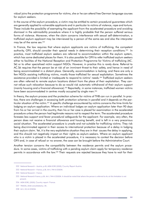vidual joins the protection programme for victims, she or he can attend free German language courses for asylum seekers.

In the course of the asylum procedure, a victim may be entitled to certain procedural guarantees which are generally applied to vulnerable applicants and in particular to victims of violence, rape and torture. These include the possibility of exempting the applicant from the accelerated procedure and avoiding dismissal in the admissibility procedure where it is highly probable that the person suffered serious forms of violence. Moreover, when the claim concerns interference with sexual self-determination, a trafficked asylum applicant may be interviewed by a person of the same-sex and also the interpreter may be of the same sex.<sup>352</sup>

In France, the law requires that where asylum applicants are victims of trafficking, the competent authority, OFII, should consider their special needs in determining their reception conditions.<sup>353</sup> In practice, most trafficked asylum seekers are referred to accommodation within the asylum system, which has some dedicated places for them. It is also possible for OFII to refer trafficked asylum seekers either to facilities of the National Reception and Protection Programme for Victims of trafficking (AC. Sé) or to other specialised victim support NGOs. However, in practice this is rarely done. Referral to AC. Sé requires that the person be at risk of an imminent threat to their safety, and hence in need of being accommodated in a distant place. Generally, accommodation is lacking, and there are only a few NGOs assisting trafficking victims, mostly those trafficked for sexual exploitation. Sometimes the assistance provided is limited or inadequate to respond to victims' needs.<sup>354</sup> Trafficked asylum seekers are often referred to remote asylum locations distant from the place of their exploitation. They cannot refuse such relocation because to do so would risk automatic withdrawal of their asylum support (mainly housing and a financial allowance).<sup>355</sup> Reportedly, in some instances, trafficked women victims have been accommodated in centres mostly occupied by single men.<sup>356</sup>

In theory, the asylum process and the protection scheme for victims of THB can run in parallel. In practice, there are challenges in accessing both protection schemes in parallel and it depends on the particular situation of the victim.<sup>357</sup> A specific challenge encountered by victims concerns the time-limits for lodging an asylum application. Where an individual lodges an asylum application later than 90 days from his or her arrival in the country, then his or her case is placed for examination in the accelerated procedure unless the person had legitimate reasons not to respect the term. The accelerated procedure foresees less support and fewer procedural safeguards for the applicant. For example, very often, the person does not receive a financial allowance and housing benefit, and is left in a very precarious social situation. The accelerated procedure is unsafe and not suitable for trafficking victims. They risk being discriminated against in their access to international protection because of a delay in lodging their asylum claim. Yet, it is the very exploitative situation they are in that causes the delay in applying, and this should not negatively impact on their rights as asylum-seekers. Where an asylum applicant who is a victim is placed in the accelerated procedure, it is necessary to contest the decision before OFII and, in case of refusal or no answer, the case can be brought before the Administrative Court.

Another tension concerns the compatibility between the residence permits and the asylum procedure. In some cases, victims of trafficking with a pending asylum claim apply for temporary residence permits in accordance with the law.<sup>358</sup> Their requests are rejected because they have to wait for their

<sup>352</sup> National Research - Austria, p.45; AIDA ECRE (2020), Country Report Austria.

<sup>353</sup> National Research - France, p.36. Art L 744-6 CESEDA.

<sup>354</sup> National Research - France.

<sup>355</sup> National Research France, p.36, Art L 744-6 CESEDA. It should be noted that where the person is referred to Ac sé this limitation is not present.

<sup>356</sup> AIDA ECRE, (2020), Country report: France.

<sup>357</sup> TRACKS, 2018 consolidated p. 39..

<sup>358</sup> Art L 311-6 CESEDA.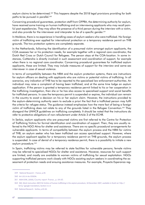asylum claims to be determined.<sup>359</sup> This happens despite the 2018 legal provisions providing for both paths to be pursued in parallel.<sup>360</sup>

Concerning procedural guarantees, protection staff from OFPRA, the determining authority for asylum, have received some training on human trafficking and on interviewing applicants who may recall painful past expediencies. They may allow the presence of a third person during the interview with a victim, and also provide for the interviewer and interpreter to be of a specific gender.<sup>361</sup>

In Moldova, there is no experience in handling cases of asylum seekers who were trafficked. No foreian victim of trafficking ever applied for international protection or a temporary residence permit on THB grounds. The two protection systems are completely separate.

In the Netherlands, following the identification of a presumed victim amongst asylum applicants, the COA assesses her or his protection needs, for example together with a regional care coordinator, the Dutch Red Cross or Dutch Council for Refugees. The person stays at the COA-location. In some instances, CoMensha is directly involved in such assessment and coordination of support, for example when there is no regional care coordinator. Concerning procedural guarantees for trafficked asylum applicants, these are limited. They may include measures of support for the interview and same-sex interviewer in case of sexual violence.

In terms of compatibility between the NRM and the asylum protection systems, there are instructions for asylum officers on dealing with applicants who are victims or potential victims of trafficking. In all scenarios, any indication of THB has to be reported to the specialised law enforcement authorities. An individual may raise a complaint of having been trafficked, and at the same time lodge an asylum application. If the person is granted a temporary residence permit linked to his or her cooperation in the trafficking investigation, then she or he has also access to specialised support and social benefits for trafficked persons. In case the temporary permit is suspended or expires, the individual can remain in the country to await a decision on his or her asylum claim. However, the instructions provided to the asylum-determining authority seem to exclude a priori the fact that a trafficked person may fulfil the criteria for refugee status. The guidance instead emphasises how the mere fact of being a foreign victim of trafficking does not relate to any of the grounds listed in the Refugee Convention.<sup>362</sup> They disregard the UNHCR guidelines on trafficking completely. It should be noted that the instructions do refer to protective obligations of non-refoulement under Article 3 of the ECHR.

In Serbia, asylum applicants who are presumed victims are first referred to the Centre for Protection of Trafficking Victims for formal identification and coordination of support. Then, they are usually referred to the NGO Atina for shelter and assistance. There are no specific procedural arrangements for vulnerable applicants. In terms of compatibility between the asylum process and the NRM for victims of THB, an asylum seeker who has been trafficked can access specialised support. However, where the asylum applicant applies for a temporary residence permit on THB grounds, the asylum process is suspended. In case of denial of a temporary residence permit, there is a possibility to initiate a new asylum procedure.<sup>363</sup>

In Spain, trafficking victims may be referred to state facilities for vulnerable persons; female victims may be referred to specialised NGOs for shelter and assistance. However, resources for such support are limited, and mostly are available to women victims of trafficking for sexual exploitation. NGOs supporting trafficked persons work closely with NGOs assisting asylum seekers in coordinating the assessment of protection needs and ensuing assistance measures. For example, Proyecto Esperanza reg-

<sup>359</sup> National Research - France, p.39.

<sup>360</sup> Art L311-6 du CESEDA.

<sup>361</sup> AIDA ECRE, (2020), Country report: France., p. 64-65.

<sup>362</sup> IND, Work Instruction 2007/16 Victims of human trafficking in the asylum procedure, 18 December 2007, available in Dutch at: http:// bit.ly/ (google translation), Section 3.1.4.

<sup>363</sup> National Research - Serbia, p.43-44.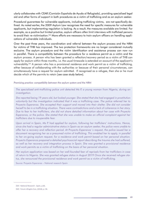ularly collaborates with CEAR (Comisión Española de Ayuda al Refugiado), providing specialised legal aid and other forms of support in both procedures as a victim of trafficking and as an asylum seeker.

Procedural guarantees for vulnerable applicants, including trafficking victims, are not specifically defined. As noted earlier, the 2009 Asylum Law recognises the need for specific measures for vulnerable applicants, but implementing regulation is lacking. As a result, the measures available are limited. For example, as a positive but limited practice, asylum officers often limit interviews with trafficked persons to avoid their re-victimisation.<sup>364</sup> More efforts are necessary to train asylum officers on handling applications of vulnerable individuals.

Over the past three years, the coordination and referral between the asylum process and the NRM for victims of THB has improved. The two protection frameworks are no longer considered mutually exclusive. The asylum procedure and the victim identification and assistance process can now run in parallel. There is compatibility between the procedure for a residence permit as a victim and the asylum process. A person who has been granted a reflection/recovery period as a victim of THB can apply for asylum within three months, i.e. the usual timescale is extended on account of the applicant's vulnerability.<sup>365</sup> A person who has a provisional residence and work permit as a victim of trafficking, either because of collaborating with the authorities or because of their personal circumstances, can simultaneously have a request for asylum admitted. If recognised as a refugee, then she or he must decide which of the permits to retain [see case study below].

#### Promising practice: compatibility between the asylum system and the NRM

The specialised anti-trafficking police unit detected Ms P, a young woman from Nigeria, during an investigation.

She reported being 19 years old, but looked younger. She stated that she had engaged in prostitution voluntarily but the investigation indicated that it was a trafficking case. The police referred her to Proyecto Esperanza. She accepted their support and moved into their shelter. She did not consider herself to be in a trafficking situation. There were contradictions and a lack of coherence in her story. Due to fear to her traffickers, she did not share detailed information about her case with Proyecto Esperanza, or the police. She stated that she was unable to make an official complaint against her traffickers due to insuperable fear.

Upon arrival in Spain, Ms P. had applied for asylum, following her traffickers' instructions. Hence, since she had a regular administrative status in Spain as an asylum seeker, the police were unable to offer her a recovery and reflection period. At Proyecto Esperanza's request, the police issued her a document recognising her as a presumed victim of trafficking. This enabled her to apply, in parallel to her on-going asylum request, for a residence and work permit based on her personal situation. Proyecto Esperanza prepared a detailed psychosocial report describing the trauma she had suffered, as well as her recovery and integration process in Spain. She was granted a provisional residence and work permits as a victim of trafficking on the basis of her personal situation.

Her asylum application was based on her well-founded fear of reprisals from her traffickers in case of return to Nigeria. She was granted refugee status in August 2019 Once she received refugee status, she renounced the provisional residence and work permit as a victim of trafficking.

Source: Proyecto Esperanza - National research Spain

<sup>364</sup> National Research - Spain, p.66.

<sup>365</sup> Forum réfugiés-Cosi, (2018), p. 58.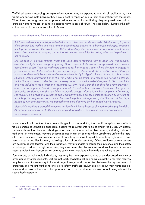Trafficked persons escaping an exploitative situation may be exposed to the risk of retaliation by their traffickers, for example because they have a debt to repay or due to their cooperation with the police. When they are not granted a temporary residence permit for trafficking, they may seek international protection due to the risk of suffering serious harm in case of return. The case below illustrates the difficult situation of a woman trafficked to Spain.

#### Spain: victim of trafficking from Nigeria applying for a temporary residence permit and then for asylum

A 27 year old woman from Nigeria lived with her mother and her six year old child after escaping a violent partner. She worked in a shop, and an acquaintance offered her a better job in Europe, arranged her trip and advanced the travel costs. Before departing, she participated in a voodoo ritual during which she committed to obeying and not to tell anyone, especially the police, who had helped her to get to Europe.

She travelled in a group through Niger and Libya before reaching Italy by boat. She was sexually assaulted multiple times during her journey. Upon arrival in Italy, she was hospitalised due to severe dehydration at sea. Then her traffickers arranged for her to go to Spain, where she had to engage in prostitution to pay off the debt for her journey to Europe. If she refused, she would be harmed through voodoo, and her trafficker would retaliate against her family in Nigeria. She was forced to submit to the situation. Police intercepted her as she was working on the street, and recognised her as a potential victim. She was offered a reflection and recovery period, but she immediately agreed to file a complaint and was included in the protection programme (LO 19/1994). Later, she applied for a temporary residence and work permit, based on cooperation with the authorities. This was refused since the specialised police considered that she had failed to provide enough information in her complaint. Afterwards, she requested a provisional residence and work permit based on her personal situation as a victim of trafficking. This request was also denied because the police no longer recognised her as a victim. Supported by Proyecto Esperanza, she applied for a judicial review, but her appeal was dismissed.

Meanwhile, traffickers started threatening her family in Nigeria because she had failed to pay her debt. Afraid of retaliation by the traffickers, she applied for asylum. Her claim is pending examination.

Source: Proyecto Esperanza

In summary, in all countries, there are challenges in accommodating the specific reception needs of trafficked persons as vulnerable applicants, despite the requirements to do so under the EU asylum acquis. Evidence shows that there is a shortage of accommodation for vulnerable persons, including victims of trafficking. In most cases, they are accommodated in asylum centres, which usually are unfit to their specific needs. In some cases, women victims of trafficking for sexual exploitation seeking asylum have even been placed in facilities for men, indicating a lack of gender sensitivity. Often, trafficked asylum seekers are accommodated together with their traffickers, they are unable to escape their influence, and their safety is further jeopardised. In asylum facilities, they may be reached by traffickers and, as illustrated in various cases, provided with instructions on what to say in their interviews, what to do and where to go.

Furthermore, as vulnerable individuals, they may be more exposed to risks of gender-based violence or other abuse by other residents. Last but not least, psychological and social counselling for their recovery may be scarce. It is necessary to foster stronger linkages and cooperation between the asylum system of protection and the anti-trafficking one, so to inform trafficked asylum seekers about their rights and options, and to provide them with the opportunity to make an informed decision about being referred for specialised support.<sup>366</sup>

<sup>366</sup> Similar observations have also been made by GRETA in its monitoring work in various countries. See also CoE GRE-TA(2020)0620, para 43.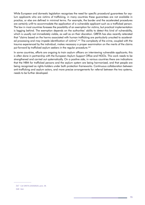While European and domestic legislation recognises the need for specific procedural guarantees for asylum applicants who are victims of trafficking, in many countries these guarantees are not available in practice, or else are defined in minimal terms. For example, the border and the accelerated procedures are certainly unfit to accommodate the application of a vulnerable applicant such as a trafficked person. The law in most countries foresees the possibility of an exemption for victims, but practical implementation is lagging behind. The exemption depends on the authorities' ability to detect this kind of vulnerability, which is usually not immediately visible, as well as on their discretion. GRETA has also recently reiterated that "claims based on the harms associated with human trafficking are particularly unsuited to accelerated processing and may impede identification of victims".<sup>367</sup> The complexity of the crime, coupled with the trauma experienced by the individual, makes necessary a proper examination on the merits of the claims put forward by trafficked asylum seekers in the regular procedure.<sup>368</sup>

In some countries, efforts are ongoing to train asylum officers on interviewing vulnerable applicants; this is often done in partnership with the European Asylum Support Office and NGOs. This work needs to be strengthened and carried out systematically. On a positive side, in various countries there are indications that the NRM for trafficked persons and the asylum system are being harmonised, and that people are being recognised as rights-holders under both protection frameworks. Continuous collaboration between anti-trafficking and asylum actors, and more precise arrangements for referral between the two systems, needs to be further developed.

<sup>367</sup> CoE GRETA (2020)0620, para. 38.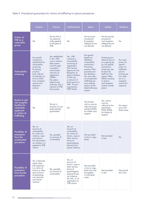# Table 2. Procedural guarantees for victims of trafficking in asylum procedures

|                                                                                                                | Austria                                                                                                                                                                                                             | <b>France</b>                                                                                                                                                                                                                                     | <b>Netherlands</b>                                                                                                                                                                                                                                           | Spain                                                                                                                                                                                                                                                                     | Serbia                                                                                                                                                                                                                              | Moldova                                                                                                                                                 |
|----------------------------------------------------------------------------------------------------------------|---------------------------------------------------------------------------------------------------------------------------------------------------------------------------------------------------------------------|---------------------------------------------------------------------------------------------------------------------------------------------------------------------------------------------------------------------------------------------------|--------------------------------------------------------------------------------------------------------------------------------------------------------------------------------------------------------------------------------------------------------------|---------------------------------------------------------------------------------------------------------------------------------------------------------------------------------------------------------------------------------------------------------------------------|-------------------------------------------------------------------------------------------------------------------------------------------------------------------------------------------------------------------------------------|---------------------------------------------------------------------------------------------------------------------------------------------------------|
| Victims of<br>THB as a<br>vulnerable<br>group                                                                  | Yes                                                                                                                                                                                                                 | Yes but this is<br>not systemat-<br>ically applied<br>to all types of<br>THB                                                                                                                                                                      | Yes                                                                                                                                                                                                                                                          | Yes but exact<br>procedural<br>& reception<br>safeguards are<br>not defined                                                                                                                                                                                               | Yes but precise<br>procedural<br>and reception<br>safeguards are<br>not defined                                                                                                                                                     | <b>No</b>                                                                                                                                               |
| Vulnerability<br>screening                                                                                     | No specific<br>mechanism<br>established for<br>vulnerability<br>screening.<br>Promising<br>practice:<br>early referral<br>of potential vic-<br>tims to NGO<br>from reception<br>centres and<br>detention<br>centres | Yes, established<br>in law. OFII<br>runs a vulnera-<br>bility assess-<br>ment through<br>a question-<br>naire-based<br>interview at<br>registration.<br>OPFRA-<br>the asylum<br>determining<br>authority- has a<br>network of THB<br>focal points | Yes, IND<br>conducts a<br>vulnerability<br>screening at<br>registration.<br><b>The Central</b><br>Agency for the<br>Reception of<br>Asylum Seekers<br>$(COA)$ has<br>a network of<br>focal points on<br>THB. Promis-<br>ing practice:<br><b>STEP Toolkit</b> | No specific<br>legally-es-<br>tablished<br>vulnerability<br>mechanism.<br>Promising<br>practice: Pilot<br>procedure for<br>the identifica-<br>tion and refer-<br>ral of potential<br>trafficked per-<br>sons seeking<br>asylum at the<br><b>Madrid Barajas</b><br>Airport | Screening pro-<br>vided by law on<br>an ongoing ba-<br>sis. No specific<br>mechanism.<br>Screening may<br>be done by<br>staff from the<br>asylum office,<br>NGOs working<br>in asylum<br>and reception<br>centres, border<br>police | No mech-<br>anism for<br>identifi-<br>cation of<br>trafficked<br>person<br>among asy-<br>lum-seek-<br>ers or in<br>reception<br>centres for<br>migrants |
| Access to spe-<br>cial reception<br>facilities for<br>vulnerable<br>applicants<br>or victims of<br>trafficking | Yes                                                                                                                                                                                                                 | Yes but in<br>practice it is not<br>systematically<br>guaranteed                                                                                                                                                                                  | Yes                                                                                                                                                                                                                                                          | Yes Female<br>victims may be<br>referred to spe-<br>cialised NGOs<br>for shelter and<br>support                                                                                                                                                                           | Yes, victims<br>may be<br>referred to the<br>specialised<br><b>NGO ATINA</b><br>for shelter &<br>support                                                                                                                            | No experi-<br>ence with<br>these cases                                                                                                                  |
| Possibility of<br>exemption<br>from the<br>accelerated<br>procedure                                            | Yes, on<br>account of<br>vulnerability<br>for victims of<br>violence, rape<br>and torture.<br>No information<br>on whether it is<br>applied to THB<br>victims                                                       | Yes, possible<br>on account of<br>vulnerability                                                                                                                                                                                                   | Yes, on<br>account of<br>vulnerability<br>for victims of<br>torture, rape or<br>other serious<br>forms of<br>psychological,<br>physical and<br>sexual violence                                                                                               | Not provided<br>in law or regu-<br>lation                                                                                                                                                                                                                                 | Not provided<br>in law                                                                                                                                                                                                              | No                                                                                                                                                      |
| Possibility of<br>exemption<br>from border<br>procedure                                                        | Yes, if deemed<br>highly likely<br>that applicant<br>is a victim of<br>torture or other<br>serious forms<br>of psycholog-<br>ical, physical<br>and sexual<br>violence                                               | Yes, possible<br>on account of<br>vulnerability                                                                                                                                                                                                   | Yes, on<br>account of<br>torture, rape or<br>other serious<br>forms of<br>psychological,<br>physical & sex-<br>ual violence.<br>No info. on its<br>application to<br><b>THB</b> victims                                                                      | Not provided<br>in law or regu-<br>lation but may<br>be applied<br>in individual<br>cases                                                                                                                                                                                 | Not provided<br>in law                                                                                                                                                                                                              | Not provid-<br>ed in law                                                                                                                                |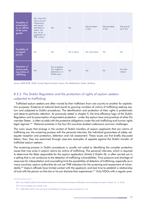| Possibility of<br>examination<br>by an official<br>of the same<br>gender | Yes, where the<br>claim concern<br>interference<br>with sexual<br>self-determi-<br>nation. No<br>info. on its<br>application to<br>THB victims | Yes                                                                  | Yes           | Not provided<br>in law | Not provided<br>in law | Not provid-<br>ed in law |
|--------------------------------------------------------------------------|------------------------------------------------------------------------------------------------------------------------------------------------|----------------------------------------------------------------------|---------------|------------------------|------------------------|--------------------------|
| Possibility of<br>a support<br>person                                    | Yes                                                                                                                                            | Yes                                                                  | Yes in theory | No information         | <b>No</b>              | <b>No</b>                |
| Detention of<br>asylum-seek-<br>ing victims of<br>trafficking            | Yes                                                                                                                                            | Yes, if applica-<br>tion lodged in<br>detention or in<br>Dublin proc | Yes           | Yes                    | No                     | No infor-<br>mation      |

Source: AIDA ECRE, 2020, Country Reports Austria, France, The Netherlands, Serbia, Moldova

# B.3.3. The Dublin Regulation and the protection of rights of asylum seekers subjected to trafficking

Trafficked asylum seekers are often moved by their traffickers from one country to another for exploitation purposes. Evidence at national level points to growing numbers of victims of trafficking seeking asylum and subjected to Dublin procedures. The identification and protection of their rights is problematic and deserve particular attention. As previously stated in chapter X, the time efficiency logic of the Dublin Regulation and its presumption of equivalent protection - under the asylum laws and practices of other EU member States - is often at odds with the protective obligations under the anti-trafficking and human rights legal regimes.<sup>369</sup> National practices in the four EU countries studied underscore common challenges.

The main issues that emerge in the context of Dublin transfers of asylum applicants that are victims of trafficking are: the screening process with the personal interview, the individual guarantees of safety, adequate reception and protection, detention and risk assessment. These issues are first briefly discussed below; then, they are examined through case-law examples of appeals against the Dublin transfer of trafficked asylum seekers.

The screening process in Dublin procedures is usually not suited to identifying the complex protection issues that may arise in asylum claims by victims of trafficking. The personal interview, which is required to determine the State responsible for the asylum application (Article 5 Dublin III), is often carried out in a setting that is not conducive to the detection of trafficking vulnerabilities. Time pressure and shortage of resources for interpretation and counselling limit the possibilities of detection of trafficking, especially as in many countries, asylum authorities do not use THB indicators for the screening and assessment of vulnerability.<sup>370</sup> Asylum officials have limited contact with the applicant, and lack time to establish a relationship of trust with the person so that she or he can disclose their experiences.<sup>371</sup> Only NGOs with a regular pres-

<sup>369</sup> CoE, UNHCR, (2016), International Conference on the interface between trafficking in human beings and asylum - Report, 23", p. 16-20.

<sup>370</sup> Forum réfugiés-Cosi, (2018), p.36.

<sup>371</sup> AIDA ECRE, (2017), The concept of vulnerability in European asylum procedures, p. 32.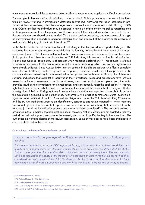ence in pre-removal facilities sometimes detect trafficking cases among applicants in Dublin procedures.

For example, in France, victims of trafficking – who may be in Dublin procedures - are sometimes identified by NGOs working in immigration detention centres (e.g. CIMADE) that upon detection of presumed victims immediately alert the management of the centre and specialised anti-trafficking NGOs (e.g. CCEM), so that the individual may be assisted in filing a complaint with the police regarding their trafficking experience. Once the person has filed a complaint, the victim identification process starts, and the person's removal should be suspended. This is not a routine procedure, and the success of this type of interventions often depends on personal relations, trust and goodwill of the professionals involved, as well as their ability to gain the trust of the victim.<sup>372</sup>

In the Netherlands, the situation of victims of trafficking in Dublin procedures is particularly grim. The screening interview mostly focuses on establishing the identity, nationality and travel route of the applicant. Even though IND - the competent authority - has received specific training on THB and has a particular protocol to follow in case of detection of THB indicators, third-country nationals, primarily from Nigeria and Uganda, face a culture of disbelief when reporting exploitation.<sup>373</sup> This attitude is reflected in recent amendments to the residence scheme for human trafficking, which civil society organisations have sharply criticised. Since August 2019,, asylum seekers in Dublin procedures who filed a complaint about human trafficking would be granted a temporary residence permit only if their presence in the country is deemed necessary for the investigation and prosecution of human trafficking, i.e. if there are sufficient indications that exploitation occurred in the Netherlands. Police and prosecutors have just four weeks to make such assessment, and in most cases, they consider that the complaint from the victim provides insufficient information for the investigation, and consequently reject the application.<sup>374</sup> This very tight timeframe hinders both the process of victim identification and the possibility of running an effective investigation of their trafficking, not only in cases where the victim was exploited abroad but also where the exploitation occurred in the Netherlands. Furthermore, this practice contravenes States' positive obligations under Article 4 of the ECHR, as well as obligations under the CoE Anti-trafficking Convention and the EU Anti-Trafficking Directive on identification, assistance and recovery period.<sup>375</sup> When there are "reasonable grounds to believe that a person has been a victim of trafficking, that person shall not be removed [...] until the identification process as a victim has been completed".<sup>376</sup> The person is entitled to assistance in their physical, psychological and social recovery. Not only victims are not granted a recovery period and related support, recourse to the sovereignty clause of the Dublin Regulation is avoided. The authorities do not take charge of the asylum application. Some of these cases have been challenged in court, as illustrated in the case below.

### Court ruling: Dublin transfer and reflection period

The court considered an appeal against the Dublin transfer to France of a victim of trafficking and her child.

The claimant referred to a recent AIDA report on France, and argued that the living conditions and quality of asylum procedure for vulnerable applicants in France are contrary to Article 3 of the ECHR. Further, she argued that the authorities did not take into account sufficiently that in France she would risk being returned to the hands of the trafficker who brought her there in the first place; nor had they considered the best interests of the child. On these points, the Court found that the claimant had not demonstrated that the asylum procedure and the living conditions in France are contrary to interna-

<sup>372</sup> National Research - France.

<sup>373</sup> National Research - The Netherlands

<sup>374</sup> National Research - The Netherlands

<sup>375</sup> ECtHR (2020); Art 10 CoE Anti-Trafficking Convention; Art 11 EU Anti-Trafficking Directive in conjunction with Art 6 EU Directive 2004/81/EC.

<sup>376</sup> Art 10.2 CoE Anti-Trafficking Convention; CoE Explanatory Report, para. 131;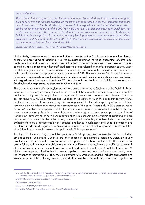#### tional obligations.

The claimant further argued that, despite her wish to report her trafficking situation, she was not given such opportunity, and was not granted the reflection period foreseen under the Temporary Residence Permit Directive and the Anti-Trafficking Directive. In this regard, the court found that the provision on the reflection period (Art 6 of the 2004/81 / EC Directive) was not implemented in Dutch law, nor its duration determined. The court considered that the new policy concerning victims of trafficking in Dublin transfers is a policy rule and not a generally binding regulation, and hence decided for direct application of Article 6 of the Directive 2004/81/ EC. The court ordered the suspension of the expulsion measure against the claimant and her child.

Source: Court of the Hague, N. NL19.30940, 9.3.2020 (google translation)

Undoubtedly, there are several drawbacks in the application of the Dublin procedure to vulnerable applicants who are victims of trafficking. In all the countries examined individual guarantees of safety, adequate reception and protection are not provided in the transfer of the trafficked asylum seeker to the responsible State. For instance, when trafficked persons are transferred to another European country under the Dublin regulation, often there is no information sharing and coordination of assistance to respond to their specific reception and protection needs as victims of THB. This contravenes Dublin requirements on information exchange to secure the rights and immediate special needs of vulnerable groups, particularly with regard to medical care and treatment.<sup>377</sup> This is also not compliant with the ECtHR case law on transfer of vulnerable applicants, as discussed in Chapter B3. 378

There is evidence that trafficked asylum seekers are being transferred to Spain under the Dublin III Regulation without explicitly informing the authorities there that these people are victims. Information on their health and safety needs is not provided; arrangements for safe accommodation and follow up assistance are not requested. NGOs sometimes find out about these victims through their cooperation with NGOs in other EU countries. However, challenges in ensuring respect for the victim's privacy often prevent them receiving detailed information about the circumstances of the case. Accordingly, NGOs start assessing the victim's situation anew upon arrival. It takes time and many efforts and coordination with law enforcement to enable the applicant's access to information about rights and assistance options as a victim of trafficking.<sup>379</sup> Similarly, cases have been reported of asylum seekers who are victims of trafficking and are transferred to France under the Dublin III Regulation without adequate guarantees. Referral to competent authorities for care arrangements is not requested, and hence in such cases, their specific protection and assistance needs are disregarded. In Austria also there is evidence of lack of systematic implementation of individual guarantees for vulnerable applicants in Dublin procedures.<sup>380</sup>

Another critical shortcoming for trafficked persons in Dublin procedures concerns the fact that trafficked asylum seekers subjected to Dublin III are often placed in administrative detention. Detention is very problematic, as it leads to the re-victimisation of the person at the hands of the State. This indicates not only a failure to implement the obligations on the identification and assistance of trafficked persons; it also breaches the non-punishment provision established under the CoE and EU anti-trafficking law. 381 Victims cannot be penalised for having been compelled to seek asylum in the first country of entry under the influence of their traffickers. They must be provided with assistance, and this includes appropriate and secure accommodation. Placing them in administrative detention does not comply with the obligations of

<sup>377</sup> Articles 31-32 of the Dublin III Regulation refer to victims of torture, rape or other serious forms of psychological, physical and sexual violence. Victims of THB are not specifically addressed under Dublin III.

<sup>378</sup> ECtHR, Tarakhel v. Switzerland; ECtHR, K. and Others v. Sweden.

<sup>379</sup> National Research - Spain

<sup>380</sup> AIDA ECRE (2020), Country Report Austria.

<sup>381</sup> Art 26 CoE Anti-Trafficking Convention, Art 8 EU Anti-Trafficking Directive.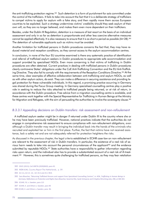the anti-trafficking protection regime.<sup>382</sup> Such detention is a form of punishment for acts committed under the control of the traffickers. It fails to take into account the fact that it is a deliberate strategy of traffickers to compel victims to apply for asylum with a fake story, and then rapidly move them across European countries to be exploited. Such a strategy undermines victims' credibility should they seek asylum of their own will, as they are no longer believed, and makes them even more dependent on their traffickers.

Besides, under the Dublin III Regulation, detention is a measure of last resort on the basis of an individual assessment and only in so far as detention is proportionate and other less coercive alternative measures cannot be applied effectively. It is also necessary to ensure that it is as short a period as possible (Art 28).<sup>383</sup> The detention of vulnerable applicants such as victims must be avoided.

Another limitation for trafficked persons in Dublin procedures concerns the fact that, they may have reduced material and reception conditions, as they cannot access to the asylum accommodation centres.

In conclusion, in none of the four EU countries examined is there any systematic practice of identification and referral of trafficked asylum seekers in Dublin procedures to appropriate safe accommodation and support provided by specialised NGOs. Even more concerning is that victims of trafficking in Dublin procedures are often detained. Current practices in dealing with trafficked persons in Dublin procedures clearly contravene States' obligations under the CoE Anti-Trafficking Convention and the EU Anti-Trafficking Directive. They also fail to comply with the requirements of the Reception Conditions Directive.<sup>384</sup> At the same time, clear examples of effective collaboration between anti-trafficking and asylum NGOs, as well as with other asylum actors, do exist. They can make a difference in securing assistance and providing legal protection for these vulnerable individuals. In this regard, a promising practice occurring in Germany was shared during the Focus Group meeting. In Germany specialised counselling centres play a positive role in seeking to reduce the risks attached to trafficked people being returned, or at risk of return, in accordance with the Dublin procedure. Free advice from a migration counselling centre is available, and these centres work together with the Special Representative for Trafficking in Human Beings at the Ministry for Migration and Refugees, with the aim of persuading the authorities to involve the sovereignty clause.<sup>385</sup>

### B.3.3.1 Appealing decisions on Dublin transfers: risk assessment and non-refoulement

A trafficked asylum seeker might be in danger if returned under Dublin III to the country where she or he may have been previously trafficked. However, national practices indicate that the authorities do not engage in comprehensive risk assessment to ensure compliance with non-refoulement obligations, even although a Dublin transfer may result in bringing the individual back into the hands of the criminals who recruited and exploited her or him in the first place. Further, the fact that victims have not received assistance, lack a safety net and are not adequately referred for protection heightens the risks.

As discussed in the previous chapter, the legal criteria established in ECtHR case-law on non-refoulement are relevant to the assessment of risk in Dublin transfers. In particular, the existence of a real risk of serious harm needs to take into account the personal circumstances of the applicant<sup>386</sup> and the evidence submitted by reputable NGOs.<sup>387</sup> State authorities have a responsibility to gather information regarding risks upon return, and the individual also has to provide a substantiated account of a real risk of ill-treatment.<sup>388</sup> However, this is sometimes quite challenging for trafficked persons, as they may fear retaliation

<sup>382</sup> OSCE (2013); CoE GRETA (2020)0620, para 43.

<sup>383</sup> AIDA ECRE, Country Report The Netherlands, p. 59.

<sup>384</sup> Art 2.k. Art 21 -22. Art 19.2 and 25.1 RCD.

<sup>385</sup> Sara Bluecher, "Returning Trafficked Persons and support from Specialised Counselling Centres", in: KOK, Trafficking in Human Beings in Germany. Reflections on Protection and Rights (Sara Bluecher, Severine Klie, Sarah Schwarze and S Dophia Wirsching eds), 298, at 300-301

<sup>386</sup> ECtHR, F.G. v. Sweden, para 115

<sup>387</sup> ECtHR, K. and Others v. Sweden, para 90

<sup>388</sup> ECtHR, K. and Others v. Sweden, para. 96.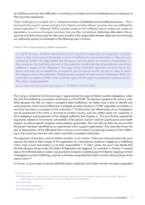by traffickers and also face difficulties in providing a consistent and circumstantiated account because of their traumatic experience.

These challenges are coupled with a widespread culture of disbelief towards trafficked persons. This is particularly the case for women and girls from Nigeria and other African countries who are trafficked for sexual exploitation.<sup>389</sup> Although NGOs provides evidence that trafficked asylum seekers are subject to exploitation in numerous European countries, they are often not believed. Authorities often deem t the arguments and facts concerning the risks upon transfer to the responsible Member State are not convincing nor sufficiently precise, as illustrated in the following case in France.

#### France: Court ruling rejecting a Dublin suspension

In a 2019 decision, the Paris Administrative Court rejected an application for suspension of Dublin return to Italy which was put forward by a victim of trafficking for sexual exploitation in Italy and was assisted by CCEM. The judge stated that the person did not explain her situation of exploitation in Italy during her first individual interview at the prefecture; besides she did not provide any convincing evidence in support of her allegations. The judge further noted that, upon her arrival in France, the person had been accommodated by a compatriot and for several months she took no steps to report this alleged crime to the authorities. Despite being a recipient of legal aid since December 2018, she never filed a complaint of THB, which could have given her the right to a temporary residence permit. The ruling is being appealed.

Source: CCEM; Paris Administrative Court Decision N° 1919466/8, 29 October 2019.

This ruling is illustrative of shortcomings in appreciating the scope of States' positive obligations under the CoE Anti-Trafficking Convention and Article 4 of the ECHR. The decision questions the victim's credibility because she did not make a complaint about trafficking. Yet States have a duty to identify and assist potential victims and to effectively investigate possible situations of THB, regardless of whether or not there has been a complaint to the authorities.<sup>390</sup> Furthermore, the effectiveness of an investigation can be questioned if the victim is removed to another country, and can neither assist nor cooperate in the investigation and prosecution of her alleged traffickers (see Chapter x). The court further rejected the arguments related to the extreme vulnerability of the person and her need for psychosocial and health support, as well as specific reception and protection guarantees. The court did not take into account that the person had been identified by an experienced victim support organisation. This case also shows the lack of appreciation of the difficulties that a trauma survivor faces in producing evidence of her trafficking in the screening interview with asylum and other competent authorities.

The approach of domestic courts to Dublin transfers is not uniform. There are instances where the court requires the State to take charge of the application for international protection lodged by a trafficking victim, even if such examination is not their responsibility.<sup>391</sup> In other words, the court may decide that the discretionary clause under the Dublin III Regulation be triggered. For example, in Austria, in several cases, the trafficked asylum seeker was granted a temporary residence permit linked to ongoing criminal investigations of their trafficking, and the authorities suspended the Dublin transfer taking charge of the asylum claim.<sup>392</sup>

In France, in some cases involving trafficked asylum applicants, the Dublin transfer has been suspended

<sup>389</sup> National Research - Austria, France, The Netherlands, Serbia, Spain, See also Finnish National Rapporteur on THB, (2016). Women of Nigerian Origin in Finland who Have Been Subjected to Trafficking for Sexual Exploitation.

<sup>390</sup> ECtHR (2020).

<sup>391</sup> Art 17, Dublin III Regulation.

<sup>392</sup> National Research - Austria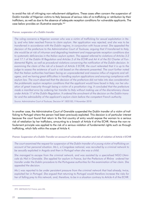to avoid the risk of infringing non-refoulement obligations. These cases often concern the suspension of Dublin transfer of Nigerian victims to Italy because of serious risks of re-trafficking or retribution by their traffickers, as well as due to the absence of adequate reception conditions for vulnerable applicants. The case below provides an illustrative example.<sup>393</sup>

#### France: suspension of a Dublin transfer

The ruling concerns a Nigerian woman who was a victim of trafficking for sexual exploitation in Italy, and who later reached France to claim asylum. Her application was rejected, and she was to be transferred in accordance with the Dublin regime, in conjunction with house arrest. She appealed the decision of the prefecture to the Administrative Court of Toulouse, arguing that if transferred to Italy, she would be at risk of inhuman and degrading treatment and inappropriate reception conditions due to systematic deficiencies in the Italian asylum system. The appeal referred to violations of Articles 3.2 and 17.1 of the Dublin III Regulation and Articles 3 of the ECHR and Art 4 of the EU Charter of Fundamental Rights, as well as procedural violations concerning the notification of the Dublin decision. In examining the claim of the risk of a breach of Article 3 ECHR, the court reiterated that it is up to the judge to assess the existence of such a risk based on the elements presented. The court further noted that the Italian authorities had been facing an unprecedented and massive influx of migrants and refugees, and we having areat difficulties in handling asylum applications and ensuring compliance with asylum law. The court observed that the decision of the prefecture did not take into due consideration the problematic asylum reception conditions that the applicant would have faced in Italy, nor her situation of great insecurity through being a victim of a prostitution ring. It concluded that the prefecture made a manifest error by ordering her transfer to Italy without making use of the discretionary clause under Article 17 of the Dublin Regulation. It ordered the annulment of the decision on the Dublin transfer and the admissibility of the applicant's asylum claim before the competent French authority.

Source: Administrative Court of Toulouse, Decision N° 1805185, 9 November 2018

In another case, the Administrative Court of Grenoble suspended the Dublin transfer of a victim of trafficking to Portugal where the person had been previously exploited. This decision is of particular interest because the court found that return to the first country of entry would expose the woman to a serious risk of retaliation by her traffickers, amounting to a breach of Article 4 of the ECHR. Hence the non-refoulement principle was applied to the risk of a serious violation of fundamental rights such as through trafficking, which falls within the scope of Article 4.

### France: Suspension of a Dublin Transfer on account of vulnerable situation and risk of violation of Article 4 ECHR

The court examined the request for suspension of the Dublin transfer of a young victim of trafficking on account of her personal situation. Ms L, a Congolese national, was recruited by a criminal network to be sexually exploited in Angola and then in Portugal when she was a child.

She managed to escape from the criminal network, and was assisted by a specialised NGO L'Amicale du Nid in Grenoble. She applied for asylum in France, but the Prefecture of Rhône ordered her transfer under the Dublin procedure to the Portuguese authorities for the examination of her claim. She appealed the decision.

Ms L was reported to be under persistent pressure from the criminal network that had already, twice, exploited her in Portugal. She argued that returning to Portugal would therefore increase the risks for her of falling prey to this network, and, therefore, to be in a situation contrary to Article 4 of the ECHR.

<sup>393</sup> GRETA(2017)17 France, para 196.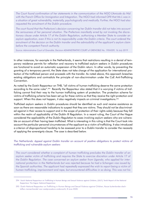The Court found confirmation of her statements in the communication of the NGO L'Amicale du Nid with the French Office for Immigration and Integration. The NGO had informed OFII that Ms L was in a situation of great vulnerability, materially, psychologically and medically. Further, the NGO had also requested the annulment of the Dublin procedure.

The court found that the Prefecture's decision concerning her Dublin transfer did not take into account the seriousness of her personal situation. The Prefecture manifestly erred by not invoking the discretionary clause under Article 17 of the Dublin Regulation, authorising a Member State to consider an asylum application, even if this is not its responsibility under the Dublin criteria. The court ordered the annulment of the decision on the Dublin transfer and the admissibility of the applicant's asylum claim before the competent French authority.

Source: Administrative Court of Grenoble, Decision ADMINISTRATIVE COURT of GRENOBLE No. 1904309, 16 July 2019

In other instances, for example in the Netherlands, it seems that restrictions resulting in a denial of temporary residence permits for reflection and recovery to trafficked asylum seekers in Dublin procedures are functional to avoid an automatic suspension of the Dublin return. In other words, by preventing the granting of a temporary permit, the State does not take charge of the application for international protection of the trafficked person and proceeds with the transfer. As noted above, this approach breaches existing obligations and contradicts the principle of non-discrimination under the CoE Anti-Trafficking Convention.

As noted by the Dutch Rapporteur on THB, "all victims of human trafficking deserve the same protection according to the same rules".<sup>394</sup> Recently the Rapporteur also stated that it is worrying if victims of trafficking cannot find their way to the human trafficking system of protection. The protection scheme for victims of trafficking scheme has been set up for these victims so that they receive the right protection and support. When this does not happen, it also negatively impacts on criminal investigations.<sup>395</sup>

Trafficked asylum seekers in Dublin procedures should be identified as such and receive assistance as soon as there are reasonable indications to suspect that they are victims. They should not be discriminated against in their access to support and in the scope of protection of their rights solely because they fall within the realm of applicability of the Dublin III Regulation. In a recent ruling, the Court of the Hague considered the applicability of the Dublin Regulation to cases involving asylum seekers who are vulnerable on account of their having been trafficked. What is interesting in this ruling is that the Court took into account the particular personal circumstances of the applicant as a victim of trafficking. It also introduced a criterion of disproportional hardship to be assessed prior to a Dublin transfer to consider the necessity of applying the sovereignty clause. The case is described below.

### The Netherlands: Appeal against Dublin transfer on account of positive obligations to protect victims of trafficking and vulnerable asylum seekers

The court considered whether a complaint of human trafficking precludes the Dublin transfer of an asylum seeker victim of trafficking and requires the State to exercise discretion under Article 17 of the Dublin Regulation. The case concerned an asylum seeker from Uganda, who applied for international protection in the Netherlands but was rejected because he had a Schengen visa issued by the Spanish authorities. The applicant had repeatedly expressed the wish to report being a victim of human trafficking, imprisonment and rape, but encountered difficulties in so doing. This was not his

<sup>394</sup> Dutch National Rapporteur on Trafficking in Human Beings and Sexual Violence against Children, (2017), Tenth Report of the National Rapporteur. The Hague: National Rapporteur.

<sup>395</sup> Dutch National Rapporteur on Trafficking in Human Beings and Sexual Violence against Children, Keuze buitenlandse slachtoffers mensenhandel voor asielprocedure onderzocht, 8 June 2020.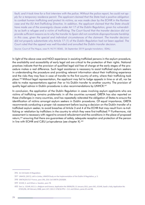fault, and it took time for a first interview with the police. Without the police report, he could not apply for a temporary residence permit. The applicant claimed that the State had a positive obligation to combat human trafficking and protect its victims, as was made clear by the ECtHR in the Rantsev case and the EU Anti-Trafficking Directive. In addition, the applicant claimed that the State should have made use of the sovereignty clause under Art 17 of the Dublin Regulation, given his vulnerability as both a refugee and a victim of trafficking. The Court found that the transfer decision did not provide sufficient reasons as to why the transfer to Spain did not constitute disproportionate hardship in this case, given the special and individual circumstances of the claimant. The transfer decision did not properly substantiate why Article 17 (1) of the Dublin Regulation had not been applied. The Court ruled that the appeal was well-founded and annulled the Dublin transfer decision.

Source: Court of The Hague, case N. NL19.18360, 26 September 2019 (google translation; EDAL)

In light of the above case and NGO experience in assisting trafficked persons in the asylum procedure, the availability and accessibility of early legal aid are critical to the protection of their rights. National practices indicate that the provision of qualified legal aid free of charge at the early stages of the procedure makes a real difference. Such legal assistance is necessary to assist trafficked asylum seekers in understanding the procedure and providing relevant information about their trafficking experience and the risks they may face in case of transfer to the first country of entry, where their trafficking took place.<sup>396</sup> Without legal representation, the applicant may fail to lodge appeals in time or at all, nor be able to make representations against /her or his Dublin transfer to another country. The provision of quality legal advice in Dublin procedures is also recommendations by UNHCR.<sup>397</sup>

In conclusion, the application of the Dublin Regulation in cases involving asylum applicants who are victims of trafficking remains problematic in all the countries surveyed. GRETA has also reported on these challenges in many countries, and has repeatedly reiterated the obligation of States to ensure the identification of victims amongst asylum seekers in Dublin procedures. Of equal importance, GRETA recommends conducting a proper risk assessment before issuing a decision on the Dublin transfer of a trafficked asylum seeker, to avoid breaches of Article 3 and 4 of the ECHR that may result from re-trafficking or retaliation by traffickers in the country to which they were first trafficked.<sup>398</sup> Furthermore, risk assessment is necessary with regard to onward refoulement and the conditions in the place of proposed return,<sup>399</sup> ensuring that there are guarantees of safety, adequate reception and protection of the person in line with ECtHR and CJEU jurisprudence (see chapter X).<sup>400</sup>

<sup>396</sup> Art 26 Dublin III Regulation.

<sup>397</sup> UNHCR, (2017), Left in Limbo, UNHCR Study on the Implementation of the Dublin III Regulation, p. 5.

<sup>398</sup> GRETA(2017)17 France, para 196, 224; CoE GRETA (2020)06.

<sup>399</sup> ECtHR, K. and Others v. Sweden, para 78.

<sup>400</sup> See i.a. ECtHR, M.S.S. v. Belgium and Greece, Application No 30696/09, 21 January 2011, para 342.; ECtHR, Saadi v. Italy, Application No 37201/06, 28 February 2008, para 147; CJEU C-578/16 PPU - C.K. and Others, paras 65 and 98.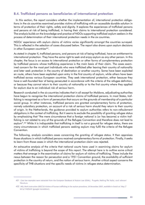# **B.4. Trafficked persons as beneficiaries of international protection**

In this section, the report considers whether the implementation of, international protection obligations in the six countries examined provides victims of trafficking with an accessible durable solution in terms of protection of their rights, safety and dignity. It explores the experiences of trafficked persons and persons at risk of being trafficked, in having their claims to international protection considered. The analysis builds on the knowledge and practice of NGOs supporting trafficked asylum seekers in the process of determination of their international protection needs in the six countries.

NGOs' experience with asylum claims of victims varies significantly amongst the countries surveyed. This is reflected in the selection of cases discussed below. The report also draws upon asylum decisions in other European countries<sup>401</sup>.

As stated in chapter X, trafficked persons, and persons at risk of being trafficked, have an entitlement to international protection. They have the same right to seek and enjoy asylum as any other person. In this chapter, the focus is on access to international protection or other forms of complementary protection by trafficked persons whose trafficking experience is the main basis of their claim. The cases examined concern for the most part individuals who were trafficked after leaving their country of nationality and later seek protection in the country of destination or another country. Some have been exploited en route, others have been exploited upon entry in the first country of asylum, while others have been trafficked across various European countries. They seek international protection, either because they have a well-founded fear of being persecuted in accordance with the criteria of the refugee definition, or because they cannot return to their country of nationality or to the first country where they applied for asylum due to an individual risk of serious harm.

Research conducted in the six countries indicates that in all except for Moldova, adjudicating authorities have begun to recognise the international protection claims of trafficked persons. In most States, trafficking is recognised as a form of persecution that occurs on the grounds of membership of a particular social group. In other instances, trafficked persons are granted complementary forms of protection, namely subsidiary protection, on account of a risk of serious harm should they return to their country of origin. In the Netherlands, the guidance provided to asylum authorities refers to non-refoulement obligations in the context of trafficking. But it seems to exclude the possibility of granting refugee status by emphasising that "the mere circumstance that a foreign national is (or has become) a victim trafficking is not related to any of the grounds of the Refugee Convention and therefore does not lead to asylum".<sup>402</sup> While it is indisputable that trafficking in itself is not a ground for refugee status, there are many circumstances in which trafficked persons seeking asylum may fulfil the criteria of the Refugee Convention.

The following, analysis considers cases concerning the granting of refugee status. It then appraises those situations in which trafficked persons received complementary forms of protection. Finally, it seeks to learn from those cases in which the international protection claim was rejected.

An exhaustive analysis of the criteria that national courts have used in examining claims for asylum of victims of trafficking is beyond the scope of this report. The attempt here is to outline some critical matters that emerge in the examination of claims for asylum of victims of trafficking. These include the nexus between the reason for persecution and a 1951 Convention ground, the availability of sufficient protection in the country of return, and the notion of serious harm. Another critical aspect concerns the specificity of THB situations and the specific needs of victims in refugee status determination.

<sup>401</sup> Case law examples were extracted from the European Database of Asylum Law (EDAL), Progetto Melting Pot Italia, and relevant literature.

<sup>402</sup> IND, Work Instruction 2007/16 Victims of human trafficking in the asylum procedure, 18 December 2007, available in Dutch at: http:// bit.ly/1MjGx5i (google translation).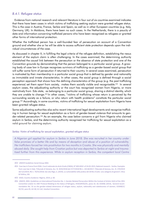### **B.4.1. Refugee status**

Evidence from national research and relevant literature in four out of six countries examined indicates that there have been cases in which victims of trafficking seeking asylum were granted refugee status. This is the case in Austria, France, Serbia and Spain, as well as in other European countries (e.g. Italy, Germany, UK). In Moldova, there have been no such cases. In the Netherlands, there is a paucity of data and information concerning trafficked persons who have been recognised as refugees or granted other forms of international protection.

Whether the trafficked person has a well-founded fear of persecution on account of a Convention ground and whether she or he will be able to access sufficient state protection depends upon the individual circumstances of the case.

As discussed in chapter X, in fulfilling the legal criteria of the refugee definition, establishing the nexus element of the asylum claim is often challenging. In the cases examined, the determining authority established the causal link between the persecution or the absence of state protection and one of the Convention grounds by demonstrating that the person belonged to a particular social group. A growing body of case law in Europe recognises survivors of trafficking as a gender-based social group that will suffer some form of persecution if returned to their country. In several cases examined, persecution is motivated by their membership in a particular social group that is defined by gender and nationality as immutable and innate characteristics. In other cases, the social group is defined through a social perception approach that shows how the defining characteristics of the group (e.g. the past trafficking experience) set them apart from society, makes them socially visible and recognisable.<sup>403</sup> In several asylum cases, the adjudicating authority or the court has recognised women from Nigeria, or more restrictively from Edo state, as belonging to a particular social group, sharing a distinct identity, which they are unable to change.<sup>404</sup> In other cases, "victims of trafficking whose return is perceived by the surrounding society as a failure, or who return with health problems" constitute the particular social group.<sup>405</sup> Accordingly, in some countries, victims of trafficking for sexual exploitation from Nigeria have been granted refugee status.

Some adjudicating authorities also echo recent international legal developments and recognise trafficking in human beings for sexual exploitation as a form of gender-based violence that amounts to gender-related persecution.<sup>406</sup> As an example, the case below concerns a girl from Nigeria who claimed asylum in Serbia, and the determining authority recognised her trafficking for sexual exploitation as a valid ground for claiming asylum.

#### Serbia: Victim of trafficking for sexual exploitation, granted refugee status

A Nigerian girl applied for asylum in Serbia in June 2018. She was recruited in her country under false promises of a better life and by means of deception and abuse of a position of vulnerability. Her traffickers forced her into prostitution for two months in Croatia. She was physically and mentally abused daily. She sought help from Croatian police but was deported to Serbia at night and traumatised further from this experience. While in asylum reception in Serbia, the competent local Centre

<sup>403</sup> UNHCR Guidelines Social Group 2002

<sup>404</sup> Case law in France from EDAL: Court nationale du droit d'asile (CNDA), N°10012810 of 24-03-2015; National research - Serbia. Examples from case law in Italy: Tribunale di Venezia, Acc. N. 4243/2018 del 27/7/2018 RG n. 10118/2017; Tribunale di Genova, Acc. N. 370/2019 del 5/2/2019, RG n. 70/55/2018; See also Rigo, E, (2019), La vulnerabilità nella pratica del diritto d'asilo: una categoria di genere?, Etica & Politica, XXI.

<sup>405</sup> EASO, Country Guidance: Nigeria, 2019, p. 60.

<sup>406</sup> UNHCR, 2002, Guidelines on International Protection No. 1: Gender-Related Persecution Within the Context of Article 1A(2) of the 1951 Convention and/or its 1967 Protocol Relating to the Status of Refugees, HCR/GIP/02/01, paras 10, 18; CEDAW, (2014), General recommendation No. 32 on the gender-related dimensions of refugee status, asylum, nationality and statelessness of women, CEDAW/C/ GC/32, para 45; Art 60, 61 CoE, Istanbul Convention.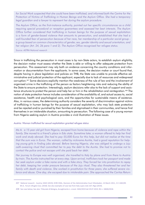for Social Work suspected that she could have been trafficked, and informed both the Centre for the Protection of Victims of Trafficking in Human Beings and the Asylum Office. She had a temporary legal guardian and a lawyer to represent her during the asylum procedure.

The Asylum Office, as the first-instance authority, pointed out her specific circumstances as a child requiring special procedural or reception quarantees and assessed her best interests. The Asylum Office further considered that trafficking in human beings for the purpose of sexual exploitation is a form of gender-based violence that amounts to persecution, and established that she had a well-founded fear of persecution because of her race, her membership of a particular social group a group based on common characteristics of gender, sex, gender identity and sexual orientation, and her religion (Art. 24, 26 para 1 and 2). The Asylum Office recognised her refugee status.

Source: ASTRA National research

Since in trafficking the persecution in most cases is by non-State actors, to establish asylum eligibility, the decision maker must assess whether the State is able or willing to offer adequate protection from persecution. This assessment may rely both on evidence concerning the country conditions and information or documentation from the applicants. In some cases, the decision maker or court found that, despite having in place legislation and policies on THB, the State was unable to provide effective administrative and judicial protection of the applicant, especially due to lack of resources and widespread corruption.<sup>407</sup> Some decisions explicitly mention the weakness of the rule of law and the involvement of organised crime in the trafficking of the person as factors heightening risks and reducing the ability of the State to ensure protection. Interestingly, asylum decisions refer also to the lack of support and assistance structures to protect the person and help her or him in the rehabilitation and reintegration.<sup>408</sup> The notion of state protection hence includes consideration of the availability of, and actual access to, social assistance, health and psychological care, and the opportunities for sustainable means of existence. Also, in various cases, the determining authority considers the severity of discrimination against victims of trafficking in human beings for the purpose of sexual exploitation, who may lack state protection and be rejected and/or punished by their families and stigmatised in their communities, and hence find themselves in an intolerable situation, amounting to persecution. The following case of a young woman from Nigeria seeking asylum in Austria provides a vivid illustration of these issues.

#### Austria: Woman trafficked for sexual exploitation granted refugee status

Ms A. a 15 year old girl from Nigeria, escaped from home because of violence and rape within the family. She moved to a friend's place in Edo state. Sometime later, a woman offered to help her find work and study abroad. She had to pay 55,000 Euros for this help, but did not realise at the time that the sum was in Euros. The woman, called by nickname Auntie, had a good reputation for helping young girls in finding jobs abroad. Before leaving Nigeria, she was obliged to undergo a Juju oath-swearing ritual that committed her to pay the debt to the Auntie. She had to promise not to contact the police and not escape until she paid back her debt.

Her journey to Europe was well organised, she travelled to Italy by plane and from there to Austria by train. The Auntie instructed her at every step. Upon arrival, traffickers took her passport and made her seek asylum under a fake name and with a fake story. They forced her into prostitution to repay her debt, keeping her under pressure because of the Juju ritual. They also threatened her and her family with death and violence. She worked in prostitution for three years; she suffered severe violence and abuse. One day, she escaped due to intolerable pain. She approached the Caritas Return

<sup>407</sup> National research - Austria; EASO (2019); ECRE EDAL, Decision of the Administrative Court Wiesbaden, 14 March 2011, 3 K 1465/09. WI.A, Forum réfugiés-Cosi, (2018). See also examples of case law from Italy supra note 167; Rigo (2019).

<sup>408</sup> See case below; See also: Tribunale di Bologna, Accoglimento n. cronol. 3442/2019 del 29.07.2019, RG n. 18606/2018.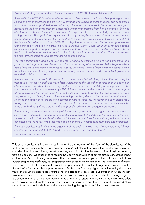Assistance Office, and from there she was referred to LEFÖ-IBF. She was 18 years old.

She lived in the LEFÖ-IBF shelter for almost two years. She received psychosocial support, legal counselling and other assistance to help her in recovering and regaining independence. She cooperated in criminal proceedings related to her trafficking. She feared that she would be persecuted in Nigeria because she had run away from an organised criminal ring profiting from her exploitation. She was also terrified of having broken the Juju oath. She expressed her fears repeatedly during her counselling sessions. She applied for asylum. Her first asylum application was rejected, but as she was cooperating with the authorities, she was entitled to a one-year residence permit according to §57 of the Asylum Act. With support from LEFÖ-IBF and legal representation from Caritas, she appealed the first instance asylum decision before the Federal Administrative Court. LEFÖ-IBF contributed expert evidence to support her appeal, documenting her well-founded fear of persecution and highlighting the lack of available protection both from her family and from state authorities. The court revoked the first instance decision and granted her full refugee status.

The court found that A had a well-founded fear of being persecuted owing to her membership of a particular social group formed by victims of human trafficking who are persecuted in Nigeria. Members of this group are women returnees to Nigeria, who were victims of trafficking and escaped their trafficking situation. It is a group that can be clearly defined, is perceived as a distinct group and excluded by Nigerian society.

She had escaped from her traffickers and had also cooperated with the police in the trafficking investigation. The court noted that these factors heightened the risk either of retaliation in Nigeria or of being moved elsewhere for sexual exploitation. Concerning the availability of state protection, the court concurred with the assessment by LEFÖ-IBF that she was unable to avail herself of the support of her family, and that at the same time the Sstate was unable to protect her and provide her with long -erm support. Being in such a life-threatening situation, she would have no other option but to return to the hands of her traffickers if protection was not granted. Moreover, the court noted that, for a persecuted person, it makes no difference whether the source of persecution emanates from the State or a third party if the state is unable to provide sufficient and adequate protection.

Furthermore, the court noted the severity of the threats against A. as a young woman who found herself in a very vulnerable situation, without protection from both the State and her family. It further observed that the first instance decision did not take into account these factors. Of equal importance, it considered that to recover from her traumatic experience, A needed long-term care and protection.

The court dismissed as irrelevant the argument of the decision maker, that she had voluntary left her country and emphasised that Ms A had been deceived, forced and threatened.

Source: LEFÖ -IBF National research

This case is particularly interesting, as it shows the appreciation of the Court of the significance of the trafficking experience in the asylum determination. A first element to note is the Court's awareness and consideration of persecution by non-state actors, which is critical to the examination of asylum claims by trafficked persons. Of equal importance are the Court's observations about the circumstances that impact on the person's risk of being persecuted. The court refers to her escape from the traffickers' control, her outstanding debt to traffickers, her cooperation with police in the investigation, the involvement of organised crime capable of continuing the trafficking operation in the country of origin and Europe, as well as the lack of a family or other support network. Further, the Court highlights her vulnerability due to her youth, the traumatic experience of trafficking and also to the very precarious situation in which she now was. Another critical aspect to note is that the decision acknowledges the necessity of providing long-term protection to victims to help them overcome trauma. In this regard, the granting of refugee status offers a real prospect of a durable solution. This case also demonstrates how the provision of specialised NGO support and legal aid is decisive in effectively protecting the rights of trafficked asylum seekers.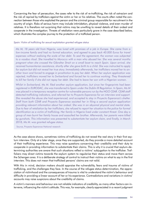Concerning the fear of persecution, the cases refer to the risk of re-trafficking, the risk of ostracism and the risk of reprisal by traffickers against the victim or her or his relatives. The courts often noted the connection between those who exploited the person and the criminal group responsible for recruitment in the country of origin. Risks of serious harm may include intimidation, physical violence, and even murder of relatives. It is therefore not surprising that victims may be unwilling to reveal details of their ordeal and cooperate in the investigation. Threats of retaliation were particularly grave in the case described below, which illustrates the complex journey to the protection of a trafficked person.

#### Spain: Victim of trafficking for sexual exploitation granted refugee status

Ms M, 18 years old from Nigeria, was lured with promises of a job in Europe. She came from a low-income family and had no formal education, and agreed to pay back 40.000 Euros for travel expenses without realising the scale of her debt. To seal the agreement, the woman was subjected to a voodoo ritual. She travelled to Morocco with a man who abused her. She was several months pregnant when she crossed the Gibraltar Strait on a small boat to reach Spain. Upon arrival, she received humanitarian assistance; shortly after she gave birth to a child. She was instructed to apply for asylum but did not reveal her true story. Immediately afterwards, her traffickers moved her to another town and forced to engage in prostitution to pay her debt. When her asylum application was rejected, traffickers moved her to Switzerland and forced her to continue working. They threatened to kill her family if she did not repay her debt. She had to leave her son with a Nigerian woman.

Whilst in Switzerland, Ms M. filed another asylum application, but since her fingerprints had been registered in EURODAC, she was transferred to Spain under the Dublin III Regulation. In Spain, Ms M was placed in a temporary reception centre for vulnerable persons run by the NGO CEAR. CEAR staff detected trafficking indicators, and referred her to Proyecto Esperanza for an interview and support. She revealed the abuse she had experienced, and accepted to stay in Proyecto Esperanza's shelter. Staff from both CEAR and Proyecto Esperanza assisted her in filing a second asylum application providing relevant information about her ordeal. She was in an abysmal physical and mental state. Due to fear of retaliation by her traffickers, she refused to report her situation to the police for formal identification as a victim of trafficking. Her family in Nigeria lived under constant threat. One day a group of men burnt her family house and assaulted her brother. Afterwards, her parents were killed by gunshots. This information was presented to substantiate her asylum claim, and finally, in March 2018, Ms M. was granted refugee status.

Source, Proyecto Esperanza National research

As the case above shows, sometimes victims of trafficking do not reveal the real story in their first asylum interview. Only at a later stage, once they are supported, do they provide a more detailed account of their trafficking experience. This may raise questions concerning their credibility and their duty to cooperate in providing information to substantiate their claims. This is why it is crucial that asylum-determining authorities are aware that such situations reflect a victims' subjugation to the trafficker. Traffickers may direct victims towards the asylum system to regularise their status and move them across the Schengen area. It is a deliberate strategy of control to instruct their victims on what to say in the first interview. This does not mean that trafficked persons' claims are not valid.

With this in mind, decision makers should appraise the vulnerability, fears and trauma of victims of trafficking, and the challenges they face. In the course of the refugee status determination, the appreciation of victimhood and the consequences of trauma is vital to understand the victim's behaviour and difficulty in providing a linear account of her or his experience. Contradictions and variations in victims' accounts may raise suspicions about the credibility of claims.

A victim's manners and behaviour are not reliable indicators of credibility, as many other factors can intervene, influencing the victim's attitude. This was, for example, clearly appreciated in a recent judgment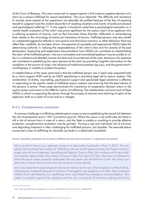of the Court of Bologna. The case concerned an appeal against a first instance negative decision of a claim by a person trafficked for sexual exploitation. The court observed: "the difficulty and reluctance to narrate some aspects of her experience can plausibly be justified because of the fear of exposing herself to judgment and the evident discomfort of recalling situations and events of profound physical and psychological suffering".<sup>409</sup> In this regard, it should be noted that a psychological evaluation or a mental health evaluation of the victim may prove significant for the asylum claim of an applicant who is suffering symptoms of trauma, such as Post Traumatic Stress Disorder. Difficulties in remembering facts, details or the chronology of events are indications of trauma. Trafficked persons may also exhibit an unexpected aggressive attitude or very passive and dismissive manners, or other behaviour that may affect their credibility. As has been shown, the expertise of reputable and experienced NGOs helps the determining authority in realising the reasonableness of the victim's fear and the severity of the past persecution. Supporting and explanatory documentation from NGOs can contribute to substantiating the claim of the trafficked person, who as a vulnerable and traumatised applicant may be unable to relay in a coherent and detailed manner the facts and circumstances of the case. Moreover, this expertise can contribute to establishing the nexus element of the claim by providing insightful information on the conditions in the country of origin, the influence of traditional practices (eg Juju), and the government's unwillingness or inability to protect the person.

A notable feature of the cases examined is that the trafficked person was in each case supported both by a victim support NGO and by an NGO specialising in providing legal aid to asylum seekers. The combination of shelter, counselling, psychosocial support and specialised legal assistance is effective in responding to the specific needs of trafficked asylum seekers and ensuring that the best interest of the persons is central. These cases demonstrate the importance of cooperation between actors in the asylum system and actors in the NRM for victims of trafficking. The collaboration and joint work of these NGOs is critical in supporting the person through the process of recovery and claiming of rights of the applicant, both as a victim of crime and as a refugee.

### **B.4.2. Complementary protection**

A common challenge in trafficking-related asylum cases concerns establishing the causal link between the risk of persecution and a 1951 Convention ground. Where this nexus is not confirmed, but there is still a risk of serious harm in case of a return, and the State is unable or unwilling to provide effective protection, complementary protection may be granted. Proving a real and individual risk of inhuman and degrading treatment is often challenging for trafficked persons, but possible. The example below concerned a case of trafficking for domestic servitude in a diplomatic household.

### France: Subsidiary protection for a person trafficked for domestic servitude in a diplomatic household

Ms S arrived in France as a domestic worker in a diplomatic household in Paris in 2015. The employer had promised her a salary of 1200 Euros net per month (approximately the French minimum wage) plus all travel expenses, boarding and lodging. Once in Paris, her working and living conditions quickly deteriorated. She worked 15 hours a day, from 6am till 11pm. She was not allowed to leave the house unless expressly authorised. She was given only eat leftovers to eat. Her salary was paid into a French bank account that she could not access directly.

Ms S was subjected to psychological and sexual violence by the son of her employer. In March 2016, following the umpteenth episode of violence, S managed to ask neighbours for help. They contacted CCEM, which identified her as a trafficking victim and offered her emergency accommodation. She made a complaint against her employer and her son on account of inhuman working and living

<sup>409</sup> Tribunale di Bologna, Accoglimento n. cronol. 3442/2019 del 29.07.2019, RG n. 18606/2018.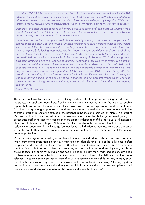conditions (CC 225-14) and sexual violence. Since the investigation was not initiated for the THB offence, she could not request a residence permit for trafficking victims. CCEM submitted additional information on her case to the prosecutor, and Ms S was interviewed again by the police. CCEM also informed the French Ministry of Foreign Affairs, which in turn reached out to the concerned embassy.

Desperate and discouraged because of her very precarious social and administrative situation Ms S reported her story to an NGO in France. Her story was broadcast online; the video was seen by very large numbers, provoking scandal in her home country.

Some time later, the Embassy approached Ms S, repeatedly offering assistance in exchange for withdrawal of her complaint, but she refused. Officials threatened to send her back to her country, where she would be left on her own and without any help. Subtle threats also reached the NGO that had tried to help Ms S. Following these episodes, Ms S had a nervous breakdown, and was hospitalised in a psychiatric hospital for two weeks. In June 2017, Ms S decided to apply for asylum. Earlier she had hesitated because her son was still in her home country. In February 2018, she was granted subsidiary protection due to a real risk of inhuman treatment in her country of origin. The decision took into account the attitude of the concerned embassy, and considered that it demonstrated a lack of consideration for Ms S's labour exploitation, and did not provide protection for her. However, she only received a four-year residence permit in October 2019. Since 2018, i.e. immediately after the granting of protection, S started the procedure for family reunification with her son. However, his visa request was denied, as she could not prove that she had full parental responsibility. She filed a new request submitting new documentation; however this attempt also failed due to the ongoing sanitary crisis.

Source: CCEM National research

This case is noteworthy for many reasons. Being a victim of trafficking and reporting her situation to the police, the applicant found herself at heightened risk of serious harm. Her fear was reasonable, especially because an influential public official was involved in her exploitation, and the authorities from her country of origin appeared to condone the situation. Indeed, the reasoning about the failure of state protection refers to the attitude of the national authorities and their lack of interest in protecting Ms S as a victim of labour exploitation. This case also exemplifies the challenges of investigating and prosecuting trafficking cases for reasons that are entirely independent of the individual's willingness or ability to collaborate (see chapter /Johanna). Yet, the conditionality mechanism that links support and residence to cooperation in the investigation may leave the individual without assistance and protection within the anti-trafficking framework, unless, as in this case, the person is found to be entitled to international protection.

Moreover, with regard to providing a durable solution for the individual, it should be noted that, even when international protection is granted, it may take considerable time, 18 months in this case, before the person's administrative status is resolved. Until then, the individual, who is already in a vulnerable situation, is unable to access stable social services, such as for housing and employment, which are crucial to foster her or his rehabilitation and social inclusion. Finally, many trafficked persons are single mothers who moved in search of opportunities to support their children, often left behind in the care of relatives. Once they obtain protection, they often wish to reunite with their children. Yet, in many countries, family reunification requirements for single parents are strict and challenging. Attaining a judicial declaration that they can be considered fully responsible for their child is often quite complicated; still, this is often a condition sine qua non for the issuance of a visa for the child.<sup>410</sup>

<sup>410</sup> National research - France.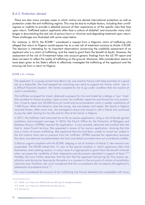### **B.4.3. Protection denied**

There are also many complex cases in which victims are denied international protection as well as protection under the anti-trafficking regime. This may be due to multiple factors, including their unwillingness or inability to provide a detailed account of their experience or of the specific risks they face upon return. Trafficked asylum applicants often face a culture of disbelief. and encounter many challenges in documenting the real risk of serious harm or inhuman and degrading treatment upon return. These challenges are illustrated with some cases below.

For instance, in 2015, the ECtHR<sup>411</sup> considered a request from a Nigerian victim of trafficking who alleged that return to Nigeria would expose her to a real risk of treatment contrary to Article 3 ECHR. The decision is interesting for its important observations concerning the credibility assessment of an applicant who is a victim of trafficking, and the need to grant them the benefit of doubt. However, the assessment of the risk of ill-treatment takes into account generic findings from the US TIP report and does not seem to reflect the reality of trafficking on the ground. Moreover, little consideration seems to have been given to the State's efforts to effectively investigate the trafficking of the applicant and the ensuing risk from a return to Nigeria.

#### **ECtHR: L.O. v France**

The applicant, S, a young woman from Benin city, was lured to France with false promises of a good job as a babysitter. She had stopped her schooling very early to support her family, which was in a difficult financial situation. Her family accepted for her to go under condition that she would not work in prostitution.

The trafficker arranged her travel, obtained a passport for her and made her undergo a "juju" ritual. She travelled to France by plane. Upon arrival, the trafficker raped her and forced her into prostitution. S had to repay him 50,000 Euros for travel and accommodation costs in weekly instalments of 1,000 Euros. When she failed to raise the money, she was beaten and raped. Her family in Nigeria received threats. After some time, she managed to leave and moved in with a friend, but continued to pay her debt, fearing for her life and for that of her family in Nigeria.

In 2011, the trafficker had instructed her to file an asylum application, citing a risk of female genital mutilation and arranged marriage. In 2013, the French Office for the Protection of Refugees and Stateless Persons (OFPRA) rejected the application. S was arrested, detained and notified that she had to leave French territory. She requested a review of her asylum application, claiming that she was a victim of human trafficking. She explained that she had been unable to reveal her ordeal in the first asylum claim due to pressure from her trafficker. OFPRA rejected her application because the claim was deemed unsubstantiated; the facts and details provided were not considered credible.

S filed an urgent complaint with the ECtHR, alleging a risk of violation of Article 3. Her removal was suspended. The ECtHR stated that "in view of the special situation in which applicants often find themselves when seeking asylum, in many cases it is appropriate to grant them the benefit of doubt when we assess the credibility of their statements and documents submitted in support of them".<sup>412</sup> Notably, the court further observed, that the fact that the applicant lied during her first asylum application and during her hearing by the police is a constant in the accounts of victims of prostitution networks and, therefore, the court considered that this circumstance did not deprive the applicant's statements of probative force.<sup>413</sup>

The court considered the account of her trafficking into France detailed and compatible with many

<sup>411</sup> ECtHR - L.O. v France (no. 4455/14), 18 June 2015, para 27. (Google translation).

<sup>412</sup> ECtHR - L.O. v France (no. 4455/14), 18 June 2015, para 31.

<sup>413</sup> Ibid. para 31.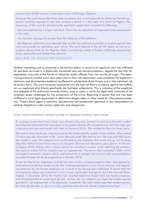reports from reliable sources concerning human trafficking in Nigeria.

However, the court found that there were no serious and current grounds for believing that the applicant would be exposed to real risks contrary to Article 3 in the event of a return to Nigeria. The reasoning of the court for dismissing the applicant's application included the following:

- she was exploited by a single individual. There was no indication of organised crime involvement in her case:

- she had now managed to escape from the influence of the trafficker;

- the Nigerian authorities were deemed able to offer her sufficient protection to protect against any risks and provide her assistance upon return. The court referred to the US TIP report, as well as to progress being made by the Nigerian State in protecting victims of human trafficking, prosecuting those responsible and dismantling networks.

Source: ECtHR - L.O. v France (no. 4455/14), 18 June 2015.

Another interesting case is presented in the text box below. It concerns an applicant who was trafficked for domestic servitude in a diplomatic household and was denied protection, despite the fact that her exploitation occurred at the hands of influential public officials from her country of origin. The determining authority and the court were rather strict in their risk assessment, and considered the applicant's testimony and documentary evidence insufficient to substantiate direct threats and a real individual risk of serious harm. The court moreover questioned why she had not filed a complaint against her traffickers nor explained what threats specifically she had been subjected to. This is indicative of the scepticism and disbelief of the authorities towards victims, even in cases in which the diplomatic immunity of the employer poses challenges for the prosecution of the crime. Reporting to police that one has been trafficked is not a legal requirement to determine refugee status or other needs for international protection. These criteria signal a restrictive, discretionary and problematic approach to the interpretation of existing obligations under human rights law and refugee law.

#### France: Woman trafficked for domestic servitude in a diplomatic household. Asylum denied

K, a young woman from Ivory Coast, was offered a five-year contract to work as a domestic worker for influential diplomats that were about to be posted abroad. She accepted and, with their help, got a passport and visa and moved with them to France in 2015. She worked for them for three years.

She had to clean the house, cook and care for the family and the couple's three children. She worked 15 hours per day, from 6am to 9p., seven days per week. She had no rest. She was paid 400 Euros per month in cash. Her passport was confiscated by the employer. She could only go out to shop, take the children to and from school or to the park. She was not allowed to see a doctor. At the end of August 2018, talking with a woman about her situation in a park, while watching the children, she came to realise that her situation was not appropriate. This person then contacted CCEM, which managed to establish contact with K, and helped her to escape and move to safe accommodation provided through the Ac.Sé programme in October 2018.

K was terrified of her employers, and did not want to file a complaint against them. She applied for international protection based on her fear of being exposed to a real risk of inhuman and degrading treatment by her former employers as a result of her having been trafficked. K feared that her ex-employers, being very influential in Ivory Coast, would seek revenge on her if she returned there. Indeed, in December 2018, her mother had received telephone threats from her former employer, who threatened that K would never be safe. Further, she was asked to give back the resident permit granted for her employment in the diplomatic household. She had initially kept that resident permit, but then she decided to return it to the couple because she was afraid of reprisals by them.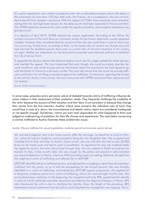K's asylum application was initially considered under the accelerated procedure due to the delay in the submission (ie more than 120 days after entry into France). As a consequence, she was not entitled to benefit from reception assistance. With the support of CCEM, these measures were contested, stating that she had legitimate reasons for the delay as she had been exploited in France until then. The OFPRA agreed to examine her claim under the regular procedure, and reception assistance was granted to her.

In a decision of April 2019, OFPRA rejected her asylum application. According to the Office, the woman's account of the work done as a domestic worker for the Ivorian diplomatic couple appeared credible. However, they considered that her account of the risks she would face in case of return was not convincing. Furthermore, according to them, as her family did not receive any threats since she had returned the residence permit, there were no current risks of inhuman treatment in her country of origin. Neither her statements nor the documents presented were deemed sufficient to establish the risk of serious harm.

K appealed the decision before the National Asylum Court, but the judges upheld the initial decision and rejected the appeal. The court explained that even though she could accurately describe her work conditions, she could not give precise information about the documents she had signed to go with the family in France as a domestic worker. The court also found that she could not provide sufficient justification for not filing a complaint against her traffickers. Furthermore, regarding the threats to her and her family in Ivory Coast, the court concurred with OFPRA and found them imprecise and not realistic.

Source: CCEM, National research

In some cases, prejudice and a pervasive culture of disbelief towards victims of trafficking influence decision-makers in their assessment of their protection needs. They frequently challenge the credibility of the victim because the account of their situation and their fears is not consistent or because they change their stories from the first interview. Another critical issue concerns the individual risks of harm they would face in case of a return; the circumstances and details victims report are considered inadequate or not specific enough. Sometimes, victims are even held responsible for what happened to them and judged as underserving of protection for their life choices and experiences. The case below concerning a woman trafficked to Austria illustrates these problematic issues.

#### Austria: Woman trafficked for sexual exploitation, residence permit not renewed, asylum denied

JM. married a Nigerian man in her home country. After the marriage, he asked her to move to Vienna,- where he had his residence, and promised to bring her two daughters later. She accepted and travelled first to Italy and then to Austria. Upon arrival, she was told that she had to pay 60,000 Euros for her travel costs and had to work in prostitution. To regularise her stay, her husband made her apply for asylum, but since she arrived through Italy, she was subject to Dublin procedures for transfer to Italy. A few months later, she was caught by the police and placed in administrative pre-removal detention in Vienna, where an NGO providing legal counselling, Diakonie, thought that she might be a victim of trafficking and referred her to LEFÖ-IBF.

LEFÖ-IBF identified JM as a trafficked person, and advised her on lodging a report that she had been trafficked with the police, so as to halt the proceedings for her forced removal. She was formally identified as a victim of trafficking, and entered the LEFÖ-IBF support programme. She applied for a temporary residence permit as a victim of trafficking, which she received eight months later. She encountered many obstacles. In the beginning, the competent authority, BFA, questioned her identity in spite of a birth certificate and other documents provided by the Nigerian Embassy in Vienna. BFA also interviewed her with a view to clarifying her identity. Given the length of the procedure, BFA requested a second statement from the police confirming that the investigation was ongoing. The in-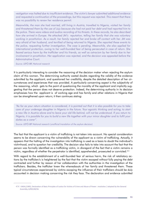vestigation was halted due to insufficient evidence. The victim's lawyer submitted additional evidence and requested a continuation of the proceedings, but this request was rejected. This meant that there was no possibility to renew her residence permit.

Meanwhile, the man she had married, still living in Austria, travelled to Nigeria, visited her family and threatened them by the use of Juju because she had not paid her debt and had reported him to the police. There were videos and audios recording of his threats. In these records, he also described how she arrived in Europe. He attacked JM's reputation, telling her family that she was voluntary working in prostitution. As a result, her family rejected her and broke off contact with her. JM was very afraid of her husband, and terrified of being returned to Nigeria. She reported these events to the police, requesting further investigation. The case is pending. Meanwhile, she also applied for international protection, owing to her well-founded fear of being persecuted in case of return. She feared serious harm by the trafficker and his friends, as well as ostracism by her family due to her involvement in prostitution. Her application was rejected, and the decision was appealed before the **Administrative Court.** 

Source: LEFÖ-IBF, National research

It is particularly interesting to consider the reasoning of the decision maker when rejecting the asylum claim of this woman. The determining authority casted doubts regarding the validity of the evidence submitted by the applicant, and questioned her credibility, despite the detailed description of her circumstances and experiences that was provided. A particularly concerning aspect is the subjectivity of the reasoning, which gets to the point of questioning the morality of the applicant and implicitly suggesting that the person does not deserve protection. Indeed, the determining authority in its decision emphasises how the applicant is of working age and has family and other relations in Nigeria that can be strengthened upon return; it then continues stating:

"As far as your return situation is considered, it is pointed out that it is also possible for you to take care of your underage daughter in Nigeria in the future. Your egoistic thinking and acting, to start a new life in Austria alone and to leave your old life behind, will not be understood. If you return to Nigeria, it is possible for you to build a new life together with your minor daughter and to fulfil your duties as a carer".

Source: LEFÖ-IBF National research (unofficial translation of the asylum decision)

The fact that the applicant is a victim of trafficking is not taken into account. No special consideration seems to be drawn concerning the vulnerability of the applicant as a victim of trafficking. Actually, it appears that the halting of the investigation into trafficking is used as a basis to doubt the individual's victimhood, and to question her credibility. The decision also fails to take into account the fact that the person was formally identified as a trafficking victim, in disregard of the fact that a victim remains a victim, regardless of whether the perpetrator is identified, apprehended, prosecuted or convicted.<sup>414</sup>

With regard to the establishment of a well-founded fear of serious harm, the risk of retaliatory actions by the trafficker/s is heightened by the fact that the victim escaped without fully paying the debt contracted and further by reason of her collaboration with the authorities in the investigation of the traffickers. Besides, the trafficker knew the whereabouts of her family and threatened them. These typical circumstances experienced by victims escaping the influence of their traffickers should be duly accounted in decision making concerning the risk they face. The declaration and evidence submitted

<sup>414</sup> UNGA, (1985), Declaration of Basic Principles of Justice for Victims of Crime and Abuse of Power : resolution / adopted by the General Assembly, A/RES/40/34.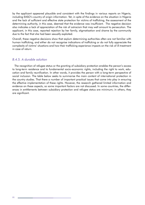by the applicant appeared plausible and consistent with the findings in various reports on Nigeria, including EASO's country of origin information. Yet, in spite of the evidence on the situation in Nigeria and the lack of sufficient and effective state protection for victims of trafficking, the assessment of the determining authority, in this case, deemed that the evidence was insufficient. The negative decision also indicates a lack of appreciation of the risk of ostracism that may well amount to persecution. The applicant, in this case, reported rejection by her family, stigmatisation and shame by the community due to the fact that she had been sexually exploited.

Overall, these negative decisions show that asylum determining authorities often are not familiar with human trafficking, and either do not recognise indications of trafficking or do not fully appreciate the complexity of victims' situations and how their trafficking experience impacts on the risk of ill-treatment in case of return.

### B.4.5. A durable solution

The recognition of refugee status or the granting of subsidiary protection enables the person's access to long-term residence and to fundamental socio-economic rights, including the right to work, education and family reunification. In other words, it provides the person with a long-term perspective of social inclusion. The table below seeks to summarise the main content of international protection in the country studies. That there a number of important practical issues that come into play in ensuring the effective implementation of these rights. However, the research gathered limited information and evidence on these aspects, so some important factors are not discussed. In some countries, the differences in entitlements between subsidiary protection and refugee status are minimum; in others, they are significant.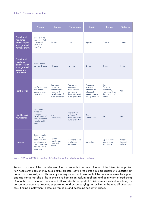#### Table 3. Content of protection

|                                                                                               | Austria                                                                                                                     | France                                                                                        | <b>Netherlands</b>                                                                            | Spain                                                                                         | Serbia                                                                          | Moldova                        |
|-----------------------------------------------------------------------------------------------|-----------------------------------------------------------------------------------------------------------------------------|-----------------------------------------------------------------------------------------------|-----------------------------------------------------------------------------------------------|-----------------------------------------------------------------------------------------------|---------------------------------------------------------------------------------|--------------------------------|
| <b>Duration of</b><br>residence<br>permit to per-<br>sons granted<br>refugee status           | 3 years -if no<br>change in Col,<br>prolonged<br>unlimited<br>ex-officio                                                    | 10 years                                                                                      | 5 years                                                                                       | 5 years                                                                                       | 5 years                                                                         | 5 years                        |
| <b>Duration of</b><br>residence<br>permit to per-<br>sons granted<br>subsidiary<br>protection | 1 year, renew-<br>able by 2 years                                                                                           | 4 years                                                                                       | 5 years                                                                                       | 5 years                                                                                       | 1 year                                                                          | 1 year                         |
| <b>Right to work</b>                                                                          | Yes for refugees<br>and benefi-<br>ciaries of subs.<br>Protection                                                           | Yes, same<br>access as<br>nationals for<br>refugees &<br>beneficiaries of<br>subs. protection | Yes, same<br>access as<br>nationals for<br>refugees &<br>beneficiaries of<br>subs. protection | Yes, same<br>access as<br>nationals for<br>refugees &<br>beneficiaries of<br>subs. protection | Yes<br>For subs.<br>protection,<br>work permit for<br>the duration of<br>status | Yes                            |
| <b>Right to family</b><br>reunification                                                       | Yes, imme-<br>diately for<br>refugees.<br>Beneficiaries of<br>subs. protection<br>have to wait 3<br>years                   | Yes,<br>immediately                                                                           | Yes for both<br>refugees &<br>beneficiaries of<br>subs. protection                            | Yes,<br>immediately                                                                           | Yes                                                                             | Yes                            |
| Housing                                                                                       | Refs. 4 months<br>of access to<br>basic care. For<br>beneficiaries of<br>subs. Protection<br>no time limit to<br>basic care | Up to 6<br>months stay<br>in reception<br>centre                                              | Access to social<br>welfare as<br>nationals                                                   | 6 months                                                                                      | Up to 1 year<br>stay in recep-<br>tion centre                                   | Access<br>to social<br>welfare |

Source: AIDA ECRE, 2020, Country Reports Austria, France, The Netherlands, Serbia, Moldova

Research in some of the countries examined indicates that the determination of the international protection needs of the person may be a lengthy process, leaving the person in a precarious and uncertain situation that may last years. This is why it is very important to ensure that the person receives the support and assistance that she or he is entitled to both as an asylum applicant and as a victim of trafficking. During the determination process and afterwards, the support of NGOs remains critical to helping the person in overcoming trauma, empowering and accompanying her or him in the rehabilitation process, finding employment, accessing remedies and becoming socially included.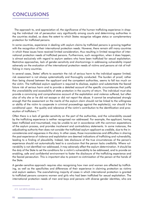# **CONCLUSIONS**

The approach to, and appreciation of, the significance of the human trafficking experience in shaping the individual risk of persecution vary significantly among courts and determining authorities in the countries studied, as does the extent to which States recognise refugee status or complementary protection for trafficked persons.

In some countries, experience in dealing with asylum claims by trafficked persons is growing together with the recognition of their international protection needs. However, there remain still many countries in which these issues have received limited consideration, thus resulting in limited recognition of international protection needs of trafficked persons. Furthermore, such recognition, when it does happen, is almost exclusively with regard to asylum seekers who have been trafficked for sexual exploitation. Restrictive approaches, lack of gender-sensitivity and shortcomings in addressing vulnerability impact adversely on the evaluation of the international protection needs of victims and persons at risk of trafficking in many countries.

In several cases, States' efforts to ascertain the risk of serious harm to the individual appear limited; risk assessment is not always systematically and thoroughly conducted. The burden of proof, rather than being shared between the applicant and the competent authorities, seems to fall too much on the victim. The trafficked asylum applicant is required to disclose, explain and substantiate the feared future risk of serious harm and to provide a detailed account of the specific circumstances that justify the unavailability and accessibility of state protection in the country of return. The individual must also provide a convincing and comprehensive account of the exploitation and violence suffered, but often also of why she or he did not escape or did not report the abuse. It cannot be emphasised strongly enough that the assessment on the merits of the asylum claim should not be linked to the willingness or ability of the victim to cooperate in criminal proceedings against the exploiter(s); nor should it be conditional upon the quality and relevance of the victim's contribution to the identification and prosecution of traffickers.<sup>415</sup>

Often there is a lack of gender-sensitivity on the part of the authorities, and the vulnerability caused by the trafficking experience is neither recognised nor addressed. For example, the applicant, having been trafficked and traumatised, may be unable to act in accordance with the common expectations of the asylum process, and provides incoherent and contradictory statements. In some instances, the adjudicating authority then does not consider the trafficked asylum applicant as credible, due to the inconsistencies and vagueness in the story. In other cases, those inconsistencies and difficulties in sharing the past experience of violence and exploitation are deemed indications of trafficking and vulnerability, leading to a finding of plausibility. Indeed, late disclosure of the true circumstances of the person's experience should not automatically lead to a conclusion that the person lacks credibility. Where vulnerability is not identified nor addressed, it may adversely affect the asylum determination. It should be the duty of the State to set the conditions for a victim's vulnerability to be addressed, and to provide an enabling, safe and confidential environment to foster the disclosure of the trafficking experience and the feared persecution. This is important also to prevent re-victimisation of the person at the hands of the State.

A gender-sensitive approach requires also recognising how men and women are affected by trafficking, as well as the specificities and differences of their experience in claiming protection as victims and asylum seekers. The overwhelming majority of cases in which international protection is granted to trafficked persons concerns women and girls who had been trafficked for sexual exploitation. The international protection needs of men and boys and persons with diverse gender identities, who are

<sup>415</sup> CoE GRETA (2020)06, para. 38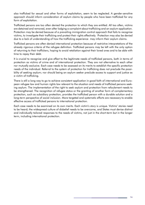also trafficked for sexual and other forms of exploitation, seem to be neglected. A gender-sensitive approach should inform consideration of asylum claims by people who have been trafficked for any form of exploitation.

Trafficked persons are too often denied the protection to which they are entitled. All too often, victims are detained and removed, even after lodging a complaint about trafficking and an asylum application. Protection may be denied because of a prevailing immigration control approach that fails to recognise victims, to investigate their trafficking and protect their rights effectively. Protection may also be denied due to a lack of understanding of how the trafficking experience may inform their asylum claims.

Trafficked persons are often denied international protection because of restrictive interpretations of the already rigorous criteria of the refugee definition. Trafficked persons may be left with the only option of returning to their traffickers, hoping to avoid retaliation against their loved ones and to be able with time to repay their debt.

It is crucial to recognise and give effect to the legitimate needs of trafficked persons, both in terms of protection as victims of crime and of international protection. They are not alternative to each other nor mutually exclusive. Each case needs to be assessed on its merits to establish the specific protection needs of the individual. Referral to the system of protection for trafficking does not preclude the possibility of seeking asylum; nor should being an asylum seeker preclude access to support and justice as a victim of trafficking.

There is still a long way to go to achieve consistent application in good faith of international and European refugee law and human rights law relevant to the situation and needs of trafficked persons seeking asylum. The implementation of the right to seek asylum and protection from refoulement needs to be strengthened. The recognition of refugee status or the granting of another form of complementary protection, such as subsidiary protection, provides the trafficked person with a durable solution and a long-term perspective of social inclusion. More targeted and systematic efforts are necessary to enable effective access of trafficked persons to international protection.

Each case needs to be examined on its own merits. Each victim's story is unique. Victims' stories need to be heard; the widespread culture of disbelief needs to be overcome, and States must devise distinct and individually tailored responses to the needs of victims, not just in the short-term but in the longer term, including international protection.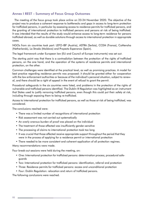# **Annex I REST - Summary of Focus Group Outcomes**

The meeting of the focus group took place online on 23-24 November 2020. The objective of the project was to produce a coherent response to bottlenecks and gaps in access to long-term protection for trafficked persons, in particular by assessing access to residence permits for trafficked persons, and the granting of international protection to trafficked persons and persons at risk of being trafficked. It was intended that the results of the study would enhance access to long-term residence for persons trafficked abroad, as well as durable solutions through access to international protection in appropriate cases.

NGOs from six countries took part: LEFO-IBF (Austria), ASTRA (Serbia), CCEM (France), CoMensha (Netherlands), La Strada (Moldova) and Proyecto Esperanza (Spain).

The legal framework under European law (EU and Council of Europe instruments) was set out.

The starting point was that there is a contradiction between the protection of the rights of trafficked persons, on the one hand, and the operation of the systems of residence permits and international protection, on the other.

Common challenges were identified at the practical level, as well as promising practices. A model for best practice regarding residence permits was proposed: it should be granted either for cooperation with the law enforcement authorities or because of the individual's personal situation, subject to renewal, and there should be a right of appeal in the event of refusal to grant the permit.

Procedural safeguards in the six countries were listed, and problems in the protection of the rights of vulnerable and trafficked persons identified. The Dublin III Regulation was highlighted as an instrument that States used to justify removing trafficked persons, even though this could put their safety at risk, including through exposing them to being re-trafficked.

Access to international protection for trafficked persons, as well as those at risk of beina trafficked, was considered.

The conclusions reached were:

- There was a limited number of recognitions of international protection
- Risk assessment was not carried out systematically
- An overly onerous burden of proof was placed on the individual
- The treatment of those affected was insufficiently gender-sensitive
- The processing of claims to international protection took too long
- It was crucial that those affected receive appropriate support throughout the period that they were in the process of applying for a residence permit or international protection
- There needed to be more consistent and coherent application of all protection regimes.

Many recommendations were made.

Four break-out sessions were held during the meeting, on:

- One: International protection for trafficked persons: determination process, procedural safeguards
- Two: International protection for trafficked persons: identification, referral and protection
- Three: Residence permits for trafficked persons: access and unconditional protection
- Four: Dublin Regulation: relocation and return of trafficked persons.

The following conclusions were reached.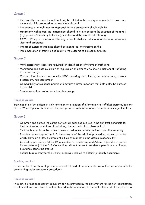# Group 1

- Vulnerability assessment should not only be related to the country of origin, but to any country to which it is proposed to remove the individual
- Importance of a multi-agency approach for the assessment of vulnerability
- Particularly highlighted: risk assessment should take into account the situation of the family (e.g. pressure/threats by traffickers), situation of debt, risk of re-trafficking
- COVID-19 impact: measures affecting access to shelters; additional obstacle to access services and assistance
- . Impact of systematic training should be monitored: monitoring on the
- implementation of training and relating the outcome to advocacy activities

## Group<sub>2</sub>

- Multi-disciplinary teams are required for identification of victims of trafficking
- Monitoring and data collection of registration of persons who show indicators of trafficking in human beings
- Cooperation of asylum actors with NGOs working on trafficking in human beings: needs assessment, risk assessment
- Compatibility of residence permit and asylum claims: important that both paths be pursued in parallel
- Special reception centres for vulnerable groups

### **Promising practice**

Trainings of asylum officers in Italy: attention on provision of information to trafficked persons/persons at risk. When a person is detected, they are provided with information; there are multilingual leaflets

# Group 3

- Common and agreed indicators between all agencies involved in the anti-trafficking field for the identification of victims of trafficking; helps to establish a level of trust
- Shift the burden from the police: access to residence permits decided by a different entity
- Broaden the concept of "victim": the outcome of the criminal proceeding, as well as under which provision or law a complaint is filed should not be the victims' responsibility
- Conflicting provisions: Article 12 (unconditional assistance) and Article 14 (residence permit for cooperation) of the CoE Convention: without access to residence permit, unconditional assistance cannot be offered
- Reduce bureaucracy for the victims, especially related to obtaining identity documents

### **Promising practice I**

In France, focal points in all provinces are established at the administrative authorities responsible for determining residence permit procedures.

### **Promising practice II**

In Spain, a provisional identity document can be provided by the government for the first identification, to allow victims more time to obtain their identity documents; this enables the start of the process of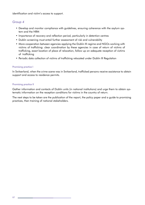identification and victim's access to support.

## Group<sub>4</sub>

- Develop and monitor compliance with guidelines, ensuring coherence with the asylum system and the NRM
- Importance of recovery and reflection period, particularly in detention centres
- Dublin screening must entail further assessment of risk and vulnerability
- More cooperation between agencies applying the Dublin III regime and NGOs working with victims of trafficking: clear coordination by these agencies in case of return of victims of trafficking, exact location of place of relocation, follow up on adequate reception of victims of trafficking
- Periodic data collection of victims of trafficking relocated under Dublin III Regulation

### **Promising practice I**

In Switzerland, when the crime scene was in Switzerland, trafficked persons receive assistance to obtain support and access to residence permits.

#### **Promising practice II**

Gather information and contacts of Dublin units (in national institutions) and urge them to obtain systematic information on the reception conditions for victims in the country of return.

The next steps to be taken are the publication of the report, the policy paper and a quide to promising practices, then training of national stakeholders.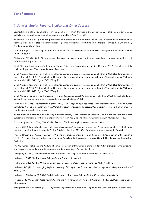### **List of sources**

### 1. Articles, Books, Reports, Studies and Other Sources

Bosma/Rijken (2016), Key Challenges in the Combat of Human Trafficking, Evaluating the EU Trafficking Strategy and EU trafficking Directive, New Journal of European Criminal Law, Vol. 7, Issue 3.

Brunovskis, A/fafo (2012), Balancina protection and prosecution in anti-traffickina policies. A comparative analysis of reflection periods and related temporary residence permits for victims of trafficking in the Nordic countries, Belgium and Italy, Nordic Council of Ministers.

Chaudary S. (2011). Trafficking in Europe: An Analysis of the Effectiveness of European Law. Michigan Journal of International Law V. 33 Issue 1

Christensen T.M. (2011), Trafficking for sexual exploitation: victim protection in international and domestic asylum law, UN-HCR Research Paper No. 206.

Dutch National Rapporteur on Trafficking in Human Beings and Sexual Violence against Children (2017), Tenth Report of the National Rapporteur. The Hague: National Rapporteur.

Dutch National Rapporteur on Trafficking in Human Beinas and Sexual Violence against Children (2018). Slachteroffermonitor mensenhandel 2013-2017. Available in Dutch at: https://www.nationaalrapporteur.nl/binaries/Slachtoffermonitor%20mensenhandel%202013-2017 tcm23-359693.pdf

Dutch National Rapporteur on Trafficking in Human Beings and Sexual Violence against Children (2019), Slachteroffermonitor mensenhandel 2014-2018. Available in Dutch at: https://www.nationaalrapporteur.nl/binaries/Slachtoffermonitor%20Mensenhandel%202014-2018 tcm23-412704.pdf

Dutch National Rapporteur on Trafficking in Human Beings and Sexual Violence against Children (2020), Keuze buitenlandse slachtoffers mensenhandel voor asielprocedure onderzocht, 8 June 2020.

Dutch Research and Documentation Centre (2020), The road(s) to legal residence in the Netherlands for victims of human trafficking. Available in Dutch at: https://english.wodc.nl/onderzoeksdatabase/3067-waarom-kiezen-slachtoffers-mensenhandel-voor-de-asielprocedure.aspx

Finnish National Rapporteur on Traffickingin Human Beings, (2016) Women of Nigerian Origin in Finland Who Have Been Subjected to Trafficking For Sexual Exploitation: Practice in Applying The Aliens Act, Memorandum VTDno: 2016-552.

Forum réfugiés-Cosi (2018), TRACKS Identification of Trafficked Asylum Seekers Special Needs.

France, (2020), Rapport de la France à la Commission européenne sur les progrès réalisés en matière de lutte contre la traite des êtres humains. En application de l'article 20 de la directive 2011/36/UE du Parlement européen et du Conseil.

Frei, N, Hruschka C, Access to Asylum for Victims of Trafficking under a Human Rights-based Approach, in O'Sullivan M et al, (2017), States, the Law and Access to Refugee Protection: Fortresses and Fairness, Oxford: Hart Publishing, Bloomsbury Collections.

Frei N., Human Trafficking and Asylum: The implementation of International Standards for Victim protection in the Swiss Asy-Ium Procedure, Swiss Review of International and European Law, Vol. 28 (2018), N. 1.

Gallagher, A (2010), The International Law of Human Trafficking, New York: Cambridge University Press.

Hathaway, J C (1991), The Law of Refugee Status, Toronto, Butterworths

Hathaway, J C (2002), The Michigan Guidelines on Nexus to a Convention Ground, 23 Mich. J. Intl L. 211.

Hathaway J.C. (2010), Leveraging Asylum, University of Michigan Law School. Available at: https://repository.law.umich.edu/ articles/294.

Hathaway, J C & Foster, M (2014), Well-founded fear, in The Law of Refugee Status, Cambridge University Press.

Hooper L. (2019), Gender-Based Asylum Claims and Non-Refoulement: Articles 60 And 61of the Istanbul Convention, Council of Europe.

Immigrant Council of Ireland (2011), Asylum seeking victims of human trafficking in Ireland Legal and practical challenges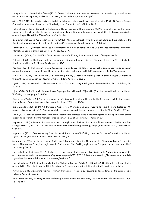Immigration and Naturalisation Service (2020), Domestic violence, honour-related violence, human trafficking, abandonment and your residence permit, Publication-No. 3092, https://ind.nl/en/forms/3092.pdf

Möller M. L (2017) Recognizing victims of trafficking in human beings as refugees according to the 1951 UN Geneva Refugee Convention, International Seminar on Mixed Migration, Bangkok on 21-22 June 2017

National Committee for Combatting Trafficking in Human Beings, antitrafic Moldova (2019), National report on the implementation of the 2019 policy for preventing and combating trafficking in human beings. Available at: http://www.antitrafic. gov.md/lib.php?l=ro&idc=30&t=/Rapoarte/Nationale/

PA International Centre "La Strada" (Moldova) (2020)), Migrants vulnerability to human trafficking and exploitation in the Republic of Moldova. Available at http://lastrada.md/pic/uploaded/Raport migratie en 2020.pdf

Piotrowicz, R (2002), European Initiatives in the Protection of Victims of Trafficking Who Give Evidence Against their Traffickers, International Journal of Refugee Law 14(2/3), pp. 263-267.

Piotrowicz R. (2008), The UNHCR's Guidelines on Human Trafficking, International Journal of Refugee Law 20

Piotrowicz, R (2018), The European legal regime on trafficking in human beings, in Piotrowicz/Rijken/Uhl (Eds.), Routledge Handbook on Human Trafficking, Routledge, pp. 41-51.

Planitzer, J (2014), Trafficking in Human Beings and Human Rights: The Role of the Council of Europe Convention on Action against Trafficking in Human Beings, Studienreihe des Ludwig Boltzmann Instituts für Menschenrechte 32, Vienna: nwv.

Pomeroy M. (2010), Left Out in the Cold: Trafficking Victims, Gender, and Misinterpretation of the Refugee Convention's "Nexus" Requirement, Michigan Journal of Gender & Law Volume 16 Issue 2

Rigo E. (2019) La vulnerabilità nella pratica del diritto d'asilo: una categoria di genere?,Etica & Politica / Ethics & Politics, XXI, 2019, 3.

Rijken, C (2018), Trafficking in Persons: A victim's perspective, in Piotrowicz/Rijken/Uhl (Eds.), Routledge Handbook on Human Trafficking, Routledge, pp. 239-250.

Rijken, C/De Volder, E (2009), The European Union's Struggle to Realize a Human Rights-Based Approach to Trafficking in Human Beings, Connecticut Journal of International Law, 25(1), pp. 49-80.

Rubio Grundell, L (2015), EU Anti-Trafficking Policies: from Migration and Crime Control to Prevention and Protection, Migration Policy Center 2015/09. Available at: https://cadmus.eui.eu/bitstream/handle/1814/35745/MPC PB 2015 09.pdf

Spain, (2020), Spanish contribution to the Third Report on the Progress made in the fight against trafficking in human beings Reports to be submitted by the Member States as per Article 20 of Directive 2011/36Report EU.

Stepnitz, A. (2012) A lie more disastrous than the truth: Asylum and the identification of trafficked women in the UK. Anti Trafficking Review (1), pp. 104-119. Available at http://www.antitraffickingreview.org/images/documents/issue1/TheReview article6.pdf.

Stoyanova V, (2011), Complementary Protection for Victims of Human Trafficking under the European Convention on Human Rights, Goettingen Journal of International Law 3 (2011) 2

Stoyanova, V (2015), Victims of Human Trafficking. A Legal Analysis of the Guarantees for 'Vulnerable Persons' under the Second Phase of the EU Asylum Legislation, in Bauloz et al (Eds), Seeking Asylum in the European Union, Martinus Nijhoff Publishers, p.10-11.

The Netherlands Red Cross (2019), Toolkit Discussing Human Trafficking and Exploitation with Asylum Seekers. Available https://www.trafficking-response.org/wp-content/uploads/2019/01/2.3-Netherlands-toolkit Discussing-human-traffickat ing-and-exploitation-with-former-asylum-seeker English.pdf

The Netherlands (2020), Report submitted by the Netherlands as per Article 20 of Directive 2011/36 to the Office of the EU Anti-trafficking Coordinator on the Third Report on the Progress made in the fight against trafficking in human beings.

Ventrella M. (2017), Identifying Victims of Human Trafficking at Hotspots by Focusing on People Smuggled to Europe Social Inclusion Volume 5, Issue 2.

Ward, T/Fouladvand, S (2018), Human Trafficking, Victims' Rights and Fair Trials, The New Journal of Criminal Law, 82(2), pp. 138-155.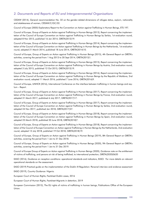# 2. Documents and Reports of EU and Intergovernmental Organisations

CEDAW (2014), General recommendation No. 32 on the gender-related dimensions of refugee status, asylum, nationality and statelessness of women, CEDAW/C/GC/32.

Council of Europe (2005) Explanatory Report to the Convention on Action against Trafficking in Human Beings, ETS 197.

Council of Europe, Group of Experts on Action against Trafficking in Human Beings (2013), Report concerning the implementation of the Council of Europe Convention on Action against Trafficking in Human Beings by Serbia, 1st evaluation round, adopted 8 Nov 2013, published 16 Jan 2014, GRETA(2013)19.

Council of Europe, Group of Experts on Action against Trafficking in Human Beings (2014), Report concerning the implementation of the Council of Europe Convention on Action against Trafficking in Human Beings by the Netherlands, 1st evaluation round, adopted 21 March 2014, published 18 June 2014, GRETA(2014)10.

Council of Europe, Group of Experts on Action against Trafficking in Human Beings (2015), 4th General Report on GRETA's activities, covering the period from 1 Aug 2013 to 30 Sept 2014, GRETA(2015)1.

Council of Europe, Group of Experts on Action against Trafficking in Human Beings (2015), Report concerning the implementation of the Council of Europe Convention on Action against Trafficking in Human Beings by Austria, 2nd evaluation round, adopted 3 July 2015, published 12 Oct 2015, GRETA(2015)19.

Council of Europe, Group of Experts on Action against Trafficking in Human Beings (2016), Report concerning the implementation of the Council of Europe Convention on Action against Trafficking in Human Beings by the Republic of Moldova, 2nd evaluation round, adopted 11 March 2016, published 7 June 2016, GRETA(2016)9.

Council of Europe, UNHCR (2016), International Conference on the interface between trafficking in human beings and asylum - Report.

Council of Europe, Group of Experts on Action against Trafficking in Human Beings (2017), Report concerning the implementation of the Council of Europe Convention on Action against Trafficking in Human Beinas by France, 2nd evaluation round. adopted 31 March 2017, published 6 July 2017, GRETA(2017)17.

Council of Europe, Group of Experts on Action against Trafficking in Human Beings (2017), Report concerning the implementation of the Council of Europe Convention on Action against Trafficking in Human Beinas by Serbia, 2nd evaluation round. adopted 24 Nov 2017, published Jan 2018, GRETA(2017)37.

Council of Europe, Group of Experts on Action against Trafficking in Human Beings (2018), Report concerning the implementation of the Council of Europe Convention on Action against Trafficking in Human Beings by Spain, 2nd evaluation round, adopted 23 March 2018, published 20 June 2018, GRETA(2018)7.

Council of Europe, Group of Experts on Action against Trafficking in Human Beings (2018), Report concerning the implementation of the Council of Europe Convention on Action against Trafficking in Human Beings by the Netherlands, 2nd evaluation round, adopted 13 July 2018, published 19 Oct 2018, GRETA(2018)19.

Council of Europe, Group of Experts on Action against Trafficking in Human Beings (2019), 8th General Report on GRETA's activities, covering the period from 1 Jan to 31 Dec 2018.

Council of Europe, Group of Experts on Action against Trafficking in Human Beings (2020), 9th General Report on GRETA's activities, covering the period from 1 Jan to 31 Dec 2019.

Council of Europe Group of Experts on Action against Trafficking in Human Beings (2020), Guidance note on the entitlement of victims of trafficking, and persons at risk of being trafficked, to international protection, GRETA(2020)0620

EASO (2016), Guidance on reception conditions: operational standards and indicators, EASO. For more details on relevant operational standards on the assessment.

EASO (2019) Practical quide on the implementation of the Dublin III Regulation: Personal interview and evidence assessment

EASO (2019), Country Guidance: Nigeria.

European Court of Human Rights, Factsheet Dublin cases, 2016

European Court of Human Rights, Factsheet Migrants in detention, 2019

European Commission (2013). The EU rights of victims of trafficking in human beings. Publications Office of the European Union.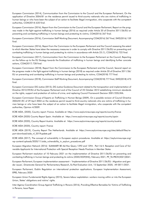European Commission (2014), Communication from the Commission to the Council and the European Parliament, On the application of Directive 2004/81 on the residence permit issued to third-country nationals who are victims of trafficking in human beings or who have been the subject of an action to facilitate illegal immigration, who cooperate with the competent authorities, COM(2014) 635 final.

European Commission (2016), Report from the Commission to the Council and the European Parliament, Report on the progress made in the fight against trafficking in human beings (2016) as required under Article 20 of Directive 2011/36/EU on preventing and combating trafficking in human beings and protecting its victims, COM(2016) 267 final.

European Commission (2016), Commission Staff Working Document, Accompanying COM(2016) 267 final, SWD(2016) 159 final.

European Commission (2016), Report from the Commission to the European Parliament and the Council assessing the extent to which Member States have taken the necessary measures in order to comply with Directive 2011/36/EU on preventing and combating trafficking in human beings and protecting its victims in accordance with Article 23 (1), COM(2016) 722 final.

European Commission (2017), Communication from the Commission to the European Parliament an the Council, Reporting on the follow-up to the EU Strategy towards the Eradication of trafficking in human beings and identifying further concrete actions, COM(2017) 728 final.

European Commission (2018), Report from the Commission to the European Parliament and the Council, Second report on the progress made in the fight against trafficking in human beings (2018) as required under Article 20 of Directive 2011/36/ EU on preventing and combating trafficking in human beings and protecting its victims, COM(2018) 777 final.

European Commission (2018), Commission Staff Working Document, Accompanying COM(2018) 777 final, SWD(2018) 473 final.

European Commission DG Justice (2013), DG Justice Guidance Document related to the transposition and implementation of Directive 2012/29/EU of the European Parliament and of the Council of 25 October 2012 establishing minimum standards on the rights, support and protection of victims of crime, and replacing Council Framework Decision 2001/220/JHA.

European Commission Group of Experts on Trafficking in Human Beings (2009), On a possible revision of Council Directive 2004/81/EC of 29 April 2004 on the residence permit issued to third-country nationals who are victims of trafficking in human beings or who have been the subject of an action to facilitate illegal immigration, who cooperate with the competent authorities, Opinion 4/2009.

ECRE AIDA, (2020), Country report: France. Available at: https://www.asylumineurope.org/reports/country/france

ECRE AIDA (2020) Country Report Spain. Available at: https://www.asylumineurope.org/reports/country/spain

ECRE AIDA (2020), Country Report Austria. Available at: https://www.asylumineurope.org/reports/country/austria

ECRE AIDA (2020), Country report: France

ECRE AIDA (2019), Country Report The Netherlands. Available at: https://www.asylumineurope.org/sites/default/files/report-download/aida nl 2019update.pdf

ECRE AIDA (2017). The concept of vulnerability in European asylum procedures. Available at: https://asylumineurope.org/ wp-content/uploads/2020/11/aida vulnerability in asylum procedures.pdf

European Migration Network (2016) SUMMARY BE Ad-Hoc Query 1292 and 1294 - Part I & II: Reception and Care of Vulnerable Applicants for International Protection with Special Reception Needs Practices in Member States

European Parliament resolution of 10 February 2021 on the implementation of Directive 2011/36/EU on preventing and combating trafficking in human beings and protecting its victims (2020/2029(INI)), February 2021, P9 TA-PROV(2021)0041.

European Parliament, European implementation assessment – 'Implementation of Directive 2011/36/EU: Miaration and aender issues', Directorate-General for Parliamentary Research, Ex-Post Evaluation Unit, 15 September 2020, A9-0011/2021.

European Parliament, Dublin Regulation on international protection applications. European Implementation Assessment, EPRS, February 2020

European Union Fundamental Rights Agency (2015), Severe labour exploitation: workers moving within or into the European Union, States' obligations and victims' rights.

Inter-Agency Coordination Group Against Trafficking in Persons (2016), Providing Effective Remedies for Victims of Trafficking in Persons, Issue Paper.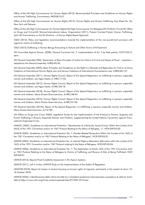Office of the UN High Commissioner for Human Rights (2010), Recommended Principles and Guidelines on Human Rights and Human Trafficking, Commentary, HR/PUB/10/2.

Office of the UN High Commissioner for Human Rights (2014), Human Rights and Human Trafficking, Fact Sheet No. 36, New York and Geneva.

Office of the UN High Commissioner for Human Rights/UN High Commissioner for Refugees/UN Children's Fund/UN Office on Drugs and Crime/UN Women/International Labour Organisation (2011), Prevent Combat Protect, Human Trafficking, Joint UN Commentary on the EU Directive - A Human Rights-Based Approach.

OSCE (2013), Policy and legislative recommendations towards the implementation of the non-punishment provision with regard to victims of trafficking.

OSCE (2013), Trafficking in Human Beings Amounting to Torture and Other Forms of III-Treatment.

UN Committee Against Torture, (2008), General Comment No. 2: Implementation of Art. 2 by State parties, CAT/C/GC/2, para.

UN General Assembly(1985), Declaration of Basic Principles of Justice for Victims of Crime and Abuse of Power: resolution / adopted by the General Assembly, A/RES/40/34.

UN General Assembly (2005), Basic Principles and Guidelines on the Right to a Remedy and Reparation for Victims of Gross Violations of International Human Rights Law and Serious Violations of International Humanitarian Law, A/RES/60/147.

UN General Assembly (2011), Human Rights Council, Report of the Special Rapporteur on trafficking in persons, especially women and children, Joy Ngozi Ezeilo, A /HRC/17/35.

UN General Assembly (2012), Human Rights Council, Report of the Special Rapporteur on trafficking in persons, especially women and children, Joy Ngozi Ezeilo, A/HRC/20/18.

UN General Assembly (2018), Human Rights Council, Report of the Special Rapporteur on trafficking in persons, especially women and children, Maria Grazia Giammarinaro, A/HRC/38/45.

UN General Assembly (2019), Human Rights Council, Report of the Special Rapporteur on trafficking in persons, especially women and children, Maria Grazia Giammarinaro, A/HRC/41/46.

UN General Assembly (2019a), Report of the Special Rapporteur on trafficking in persons, especially women and children, Maria Grazia Giammarinaro, A/74/189.

UN Office on Drugs and Crime (2004), Legislative Guide for the Implementation of the Protocol to Prevent, Suppress and Punish Trafficking in Persons, Especially Women and Children, supplementing the United Nations Convention against Transnational Organized Crime.

UNHCR, (2002), Guidelines on International Protection: "Membership of a Particular Social Group" Within the Context of Art I(A)(2) of the 1951 Convention and/or its 1967 Protocol Relating to the Status of Refugees, 11, HCR/GIP/02/02.

UNHCR (2002), Guidelines on International Protection No. 1: Gender-Related Persecution Within the Context of Art 1A(2) of the 1951 Convention and/or its 1967 Protocol Relating to the Status of Refugees", HCR/GIP/02/01.

UNHCR (2003), Guidelines on International Protection No. 4: Internal Flight or Relocation Alternative within the context of Art 1A(2) of the 1951 Convention and/or 1967 Protocol relating to the Status of Refugees, HCR/GIP/03/04.

UNHCR (2006), Guidelines on International Protection No. 7: The Application of Article 1A(2) of the 1951 Convention and/ or 1967 Protocol Relating to the Status of Refugees to Victims of Trafficking and Persons At Risk of Being Trafficked, HCR/ GIP/06/07.

UNHCR (2013), Beyond Proof Credibility Assessment in EU Asylum Systems.

UNHCR (2017), Left in Limbo, UNHCR Study on the Implementation of the Dublin III Regulation.

UNHCHR (2018), Report of mission to Austria focusing on human rights of migrants, particularly in the context of return 15-18 October 2018.

UNHCR (2020), L'identificazione delle vittime di tratta tra l richiedenti protezione internazionale e procedure di referral. Available at https://www.unhcr.org/it/wp-content/uploads/sites/97/2021/01/Linee-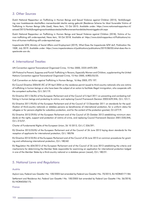### 3. Other Sources

Dutch National Rapporteur on Trafficking in Human Beings and Sexual Violence against Children (2015), Verblijfsregeling voor kwetsbaarste slachtoffers mensenhandel slechts weinig gebruikt (Residence Scheme for Most Vunerable Victims of Trafficking in Human Beings Little Used), News Item, 15 Oct 2015. Available under: https://www.nationaalrapporteur.nl/ actueel/2015/Verblijfsregelingvoorkwetsbaarsteslachtoffersmensenhandelslechtsweiniggebruikt.aspx

Dutch National Rapporteur on Trafficking in Human Beings and Sexual Violence against Children (2018), Victims of human trafficking still underreported, News item, 18 Oct 2018. Available at: https://www.dutchrapporteur.nl/Publications/victims-of-human-trafficking-still-underreported.aspx

Inspectorate SZW, Ministry of Social Affairs and Employment (2019), What Does the Inspectorate SZW do?, Publication No. 100E, July 2019. Available under: https://www.inspectorateszw.nl/publications/publications/2019/08/05/what-does-the-inspectorate-szw-do.

### 4. International Treaties

UN Convention against Transnational Organized Crime, 15 Nov 2000, 2225 UNTS 209.

UN Protocol to Prevent, Suppress and Punish Trafficking in Persons, Especially Women and Children, supplementing the United Nations Convention against Transnational Organized Crime, 15 Nov 2000, A/RES/55/25.

CoE Convention on Action against Trafficking in Human Beings, 16 May 2005, ETS 197.

EU Council Directive 2004/81/EC of 29 April 2004 on the residence permit issued to third-country nationals who are victims of trafficking in human beings or who have been the subject of an action to facilitate illegal immigration, who cooperate with the competent authorities, OJ L 261/19.

EU Directive 2011/36/EU of the European Parliament and of the Council of 5 April 2011 on preventing and combating trafficking in human beings and protecting its victims, and replacing Council Framework Decision 2002/629/JHA, OJ L 101/1.

EU Directive 2011/95/EU of the European Parliament and of the Council of 13 December 2011 on standards for the qualification of third-country nationals or stateless persons as beneficiaries of international protection, for a uniform status for refugees or for persons eligible for subsidiary protection, and for the content of the protection granted, OJ L377/9.

EU Directive 2012/29/EU of the European Parliament and of the Council of 25 October 2012 establishing minimum standards on the rights, support and protection of victims of crime, and replacing Council Framework Decision 2001/220/JHA, OJ L 315/57.

Charter of Fundamental Rights of the European Union, 26 10 2012, OJ L C 326/391.

EU Directive 2013/33/EU of the European Parliament and of the Council of 26 June 2013 laying down standards for the reception of applicants for international protection, OJ L 180/96

EU Directive 2013/32/EU of the European Parliament and of the Council of 26 June 2013 on common procedures for granting and withdrawing international protection, OJ L 180/60

EU Regulation No 604/2013 of the European Parliament and of the Council of 26 June 2013 establishing the criteria and mechanisms for determining the Member State responsible for examining an application for international protection lodged in one of the Member States by a third-country national or a stateless person (recast), OJ L 180/31.

### 5. National Laws and Reaulations

#### Austria

Asylum Law, Federal Law Gazette I No. 100/2005 last amended by Federal Law Gazette I No. 70/2015, ELI NOR40171184.

Settlement and Residence Act, Federal Law Gazette I No. 100/2005 last amended by Federal Law Gazette I No. 56/2018, ELI NOR40206175.

#### **France**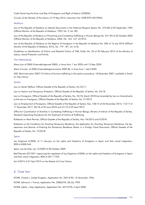Code Governing the Entry and Stay of Foreigners and Right of Asylum (CESEDA).

Circular of the Minister of the Interior of 19 May 2015, Instruction No. NOR INTV1501995N.

#### Moldova

Law of the Republic of Moldova on Identity Documents in the National Passport System No. 273-XIII of 09 September 1994 (Official Monitor of the Republic of Moldova, 1995, No. 9, Art. 89).

Law of the Republic of Moldova on Preventing and Combating Trafficking in Human Beings No. 241-XVI of 20 October 2005 (Official Monitor of the Republic of Moldova, 2005, No. 164 -167, Art 812).

Law of the Republic of Moldova on the Regime of Foreigners in the Republic of Moldova No. 200 of 16 July 2010 (Official Monitor of the Republic of Moldova, 2010, No. 179 -181, Art. 610).

Guidelines on Identification of Victims and Potential Victims of THB, Order No. 33 of 20 February 2012 of the Ministry of Labour, Social Protection and Family.

#### **The Netherlands**

Aliens Law of 2000 (Vreemdelingenwet 2000), in force from 1 Jan 2020 until 13 May 2020.

Aliens Circular of 2000 (Vreemdelingencirculaire 2000 (B), in force from 1 April 2020.

IND, Work Instruction 2007/16 Victims of human trafficking in the asylum procedure, 18 December 2007, available in Dutch at: http://bit.ly/

#### Serbia

Law on Social Welfare, Official Gazette of the Republic of Serbia, No 24/11.

Law on Asylum and Temporary Protection, Official Gazette of the Republic of Serbia, No. 24/18.

Law on Foreigners, Official Gazette of the Republic of Serbia, No. 24/18, March 2018 last amended by Law on Amendments to the Law on Foreigners, Official Gazette of the Republic of Serbia, No. 31/2019.

Law on Employment of Foreigners, Official Gazette of the Republic of Serbia, Nos. 128/14 of 26 November 2014, 113/17 of 17 December 2017, 50/18 of 29 June 2018 and 31/19 of 29 April 2019

Office for Coordination of Activities in Combating Trafficking in Human Beings, Ministry of Interior of the Republic of Serbia, Standard Operating Procedures for the Treatment of Victims of Trafficking,

Rulebook on Work Permits, Official Gazette of the Republic of Serbia, Nos. 94/2015 and 9/2018.

Rulebook on the Conditions for Granting Temporary Residence, the Application for Granting Temporary Residence, the Appearance and Manner of Entering the Temporary Residence Sticker in a Foreign Travel Document, Official Gazette of the Republic of Serbia, No. 72/2018.

#### Spain

Ley Orgánica 4/2000, of 11 January, on the rights and freedoms of foreigners in Spain and their social integration, BOE-A-2000-544.

Spain, Ley de Asilo, Ley 12/2009 of 30 October 2009

Real Decreto 557/2011 approving the regulation of Ley Orgánica 4/2000, on the rights and freedoms of foreigners in Spain and their social integration, BOE-A-2011-7703.

Act 4/2015 of 27 April 2015 on the Statute of Crime Victims.

### 6. Case law

ECHR, Chahal v. United Kinadom, Application No. 22414/93, 15 November 1996.

ECtHR, Selmouni v. France, Application No. 25803/94, 28 July 1999.

ECtHR, Labita v. Italy, Application, Application No. 26772/95, 6 April 2000.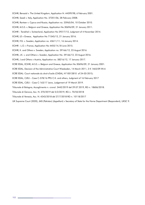- ECtHR, Bensaid v. The United Kingdom, Application N. 44599/98, 6 February 2001.
- ECtHR, Saadi v. Italy, Application No. 37201/06, 28 February 2008.
- ECtHR, Rantsev v. Cyprus and Russia, Application no. 25965/04, 10 October 2010.
- ECtHR, M.S.S. v. Belgium and Greece, Application No 30696/09, 21 January 2011.
- ECtHR Tarakhel v. Switzerland, Application No 29217/12, Judgment of 4 November 2014.
- ECtHR, LE v Greece, Application No 71545/12, 21 January 2016.
- ECtHR, F.G. v. Sweden, Application no. 43611/11, 16 January 2014.
- ECtHR L.O. v France, Application No 4455/14,18 June 2015.
- ECtHR, K. and Others v. Sweden, Application no. 59166/12, 23 August 2016.
- ECtHR, J.K. v. and Others v. Sweden, Application No. 59166/12, 23 August 2016.
- ECtHR, J and Others v Austria, Application no. 58216/12, 17 January 2017.
- ECRE EDAL, ECtHR, M.S.S. v. Belgium and Greece, Application No 30696/09, 21 January 2001.
- ECRE EDAL, Decision of the Administrative Court Wiesbaden, 14 March 2011, 3 K 1465/09.WI.A
- ECRE EDAL: Court nationale du droit d'asile (CNDA), N°10012810 of 24-03-2015;
- ECRE EDAL, CJEU Case C-578/16 PPU C.K. and others, Judgment of 16 February 2017
- ECRE EDAL, CJEU Case C-163/17 Jawo, Judgement of 19 March 2019.
- Tribunale di Bologna, Accoglimento n. cronol. 3442/2019 del 29.07.2019, RG n. 18606/2018.
- Tribunale di Genova, Acc. N. 370/2019 del 5/2/2019, RG n. 70/55/2018
- Tribunale di Venezia, Acc. N. 4243/2018 del 27/7/2018 RG n. 10118/2017
- UK Supreme Court (2020), JMS (Pakistan) (Appellant) v Secretary of State for the Home Department (Respondent), UKSC 9.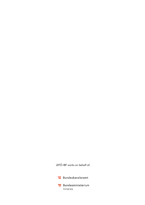LEFÖ-IBF works on behalf of: